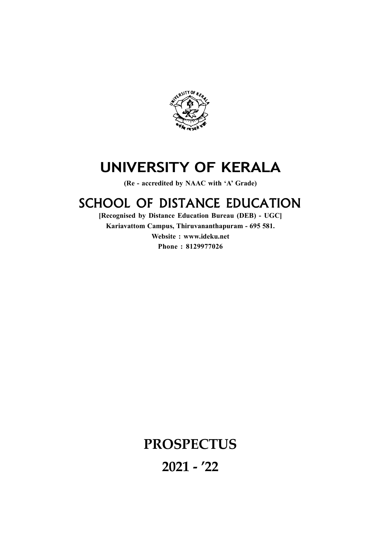

# UNIVERSITY OF KERALA

(Re - accredited by NAAC with 'A' Grade)

# SCHOOL OF DISTANCE EDUCATION

[Recognised by Distance Education Bureau (DEB) - UGC] Kariavattom Campus, Thiruvananthapuram - 695 581. Website : www.ideku.net Phone : 8129977026

# **PROSPECTUS** 2021 - '22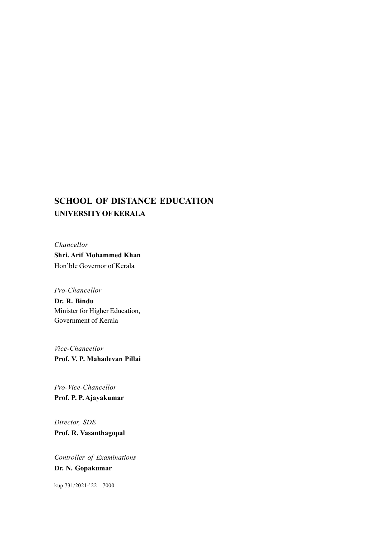# SCHOOL OF DISTANCE EDUCATION UNIVERSITY OF KERALA

Chancellor Shri. Arif Mohammed Khan Hon'ble Governor of Kerala

Pro-Chancellor

Dr. R. Bindu Minister for Higher Education, Government of Kerala

Vice-Chancellor Prof. V. P. Mahadevan Pillai

Pro-Vice-Chancellor Prof. P. P. Ajayakumar

Director, SDE Prof. R. Vasanthagopal

Controller of Examinations Dr. N. Gopakumar

kup 731/2021-'22 7000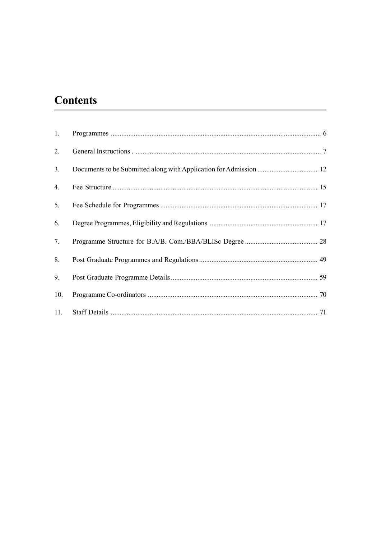# **Contents**

| 1.  |  |
|-----|--|
| 2.  |  |
| 3.  |  |
| 4.  |  |
| 5.  |  |
| 6.  |  |
| 7.  |  |
| 8.  |  |
| 9.  |  |
| 10. |  |
| 11. |  |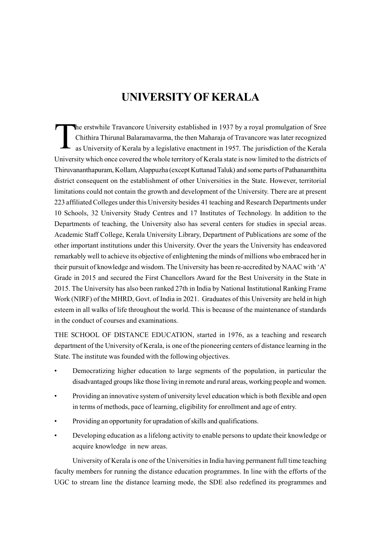# UNIVERSITY OF KERALA

The Ch as The erstwhile Travancore University established in 1937 by a royal promulgation of Sree Chithira Thirunal Balaramavarma, the then Maharaja of Travancore was later recognized as University of Kerala by a legislative enactment in 1957. The jurisdiction of the Kerala University which once covered the whole territory of Kerala state is now limited to the districts of Thiruvananthapuram, Kollam, Alappuzha (except Kuttanad Taluk) and some parts of Pathanamthitta district consequent on the establishment of other Universities in the State. However, territorial limitations could not contain the growth and development of the University. There are at present 223 affiliated Colleges under this University besides 41 teaching and Research Departments under 10 Schools, 32 University Study Centres and 17 Institutes of Technology. In addition to the Departments of teaching, the University also has several centers for studies in special areas. Academic Staff College, Kerala University Library, Department of Publications are some of the other important institutions under this University. Over the years the University has endeavored remarkably well to achieve its objective of enlightening the minds of millions who embraced her in their pursuit of knowledge and wisdom. The University has been re-accredited by NAAC with 'A' Grade in 2015 and secured the First Chancellors Award for the Best University in the State in 2015. The University has also been ranked 27th in India by National Institutional Ranking Frame Work (NIRF) of the MHRD, Govt. of India in 2021. Graduates of this University are held in high esteem in all walks of life throughout the world. This is because of the maintenance of standards in the conduct of courses and examinations.

THE SCHOOL OF DISTANCE EDUCATION, started in 1976, as a teaching and research department of the University of Kerala, is one of the pioneering centers of distance learning in the State. The institute was founded with the following objectives.

- Democratizing higher education to large segments of the population, in particular the disadvantaged groups like those living in remote and rural areas, working people and women.
- Providing an innovative system of university level education which is both flexible and open in terms of methods, pace of learning, eligibility for enrollment and age of entry.
- Providing an opportunity for upradation of skills and qualifications.
- Developing education as a lifelong activity to enable persons to update their knowledge or acquire knowledge in new areas.

University of Kerala is one of the Universities in India having permanent full time teaching faculty members for running the distance education programmes. In line with the efforts of the UGC to stream line the distance learning mode, the SDE also redefined its programmes and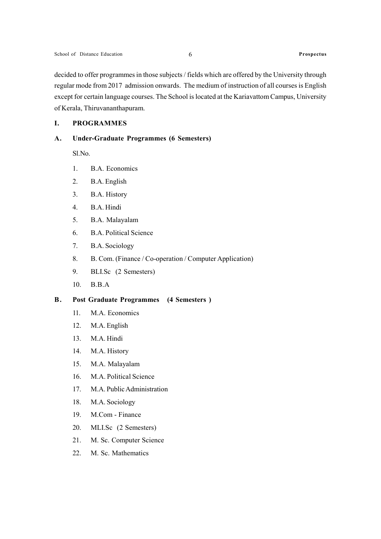decided to offer programmes in those subjects / fields which are offered by the University through regular mode from 2017 admission onwards. The medium of instruction of all courses is English except for certain language courses. The School is located at the Kariavattom Campus, University of Kerala, Thiruvananthapuram.

### I. PROGRAMMES

### A. Under-Graduate Programmes (6 Semesters)

Sl.No.

- 1. B.A. Economics
- 2. B.A. English
- 3. B.A. History
- 4. B.A. Hindi
- 5. B.A. Malayalam
- 6. B.A. Political Science
- 7. B.A. Sociology
- 8. B. Com. (Finance / Co-operation / Computer Application)
- 9. BLI.Sc (2 Semesters)
- 10. B.B.A

### B. Post Graduate Programmes (4 Semesters )

- 11. M.A. Economics
- 12. M.A. English
- 13. M.A. Hindi
- 14. M.A. History
- 15. M.A. Malayalam
- 16. M.A. Political Science
- 17. M.A. Public Administration
- 18. M.A. Sociology
- 19. M.Com Finance
- 20. MLI.Sc (2 Semesters)
- 21. M. Sc. Computer Science
- 22. M. Sc. Mathematics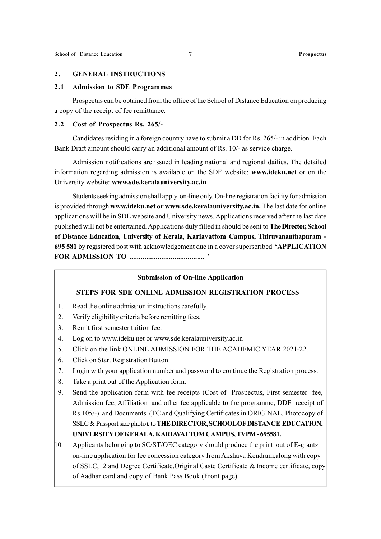### 2. GENERAL INSTRUCTIONS

### 2.1 Admission to SDE Programmes

Prospectus can be obtained from the office of the School of Distance Education on producing a copy of the receipt of fee remittance.

### 2.2 Cost of Prospectus Rs. 265/-

Candidates residing in a foreign country have to submit a DD for Rs. 265/- in addition. Each Bank Draft amount should carry an additional amount of Rs. 10/- as service charge.

Admission notifications are issued in leading national and regional dailies. The detailed information regarding admission is available on the SDE website: www.ideku.net or on the University website: www.sde.keralauniversity.ac.in

Students seeking admission shall apply on-line only. On-line registration facility for admission is provided through www.ideku.net or www.sde.keralauniversity.ac.in. The last date for online applications will be in SDE website and University news. Applications received after the last date published will not be entertained. Applications duly filled in should be sent to The Director, School of Distance Education, University of Kerala, Kariavattom Campus, Thiruvananthapuram - 695 581 by registered post with acknowledgement due in a cover superscribed 'APPLICATION FOR ADMISSION TO ........................................ '

### Submission of On-line Application

### STEPS FOR SDE ONLINE ADMISSION REGISTRATION PROCESS

- 1. Read the online admission instructions carefully.
- 2. Verify eligibility criteria before remitting fees.
- 3. Remit first semester tuition fee.
- 4. Log on to www.ideku.net or www.sde.keralauniversity.ac.in
- 5. Click on the link ONLINE ADMISSION FOR THE ACADEMIC YEAR 2021-22.
- 6. Click on Start Registration Button.
- 7. Login with your application number and password to continue the Registration process.
- 8. Take a print out of the Application form.
- 9. Send the application form with fee receipts (Cost of Prospectus, First semester fee, Admission fee, Affiliation and other fee applicable to the programme, DDF receipt of Rs.105/-) and Documents (TC and Qualifying Certificates in ORIGINAL, Photocopy of SSLC & Passport size photo), to THE DIRECTOR, SCHOOL OF DISTANCE EDUCATION, UNIVERSITY OF KERALA, KARIAVATTOM CAMPUS, TVPM - 695581.
- $10.$  Applicants belonging to SC/ST/OEC category should produce the print out of E-grantz on-line application for fee concession category from Akshaya Kendram,along with copy of SSLC,+2 and Degree Certificate,Original Caste Certificate & Income certificate, copy of Aadhar card and copy of Bank Pass Book (Front page).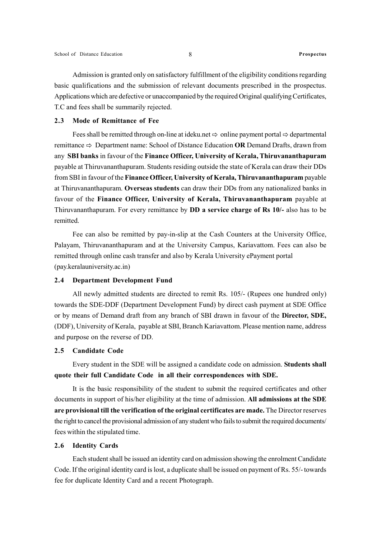Admission is granted only on satisfactory fulfillment of the eligibility conditions regarding basic qualifications and the submission of relevant documents prescribed in the prospectus. Applications which are defective or unaccompanied by the required Original qualifying Certificates, T.C and fees shall be summarily rejected.

### 2.3 Mode of Remittance of Fee

Fees shall be remitted through on-line at ideku.net  $\Rightarrow$  online payment portal  $\Rightarrow$  departmental remittance  $\Rightarrow$  Department name: School of Distance Education OR Demand Drafts, drawn from any SBI banks in favour of the Finance Officer, University of Kerala, Thiruvananthapuram payable at Thiruvananthapuram. Students residing outside the state of Kerala can draw their DDs from SBI in favour of the Finance Officer, University of Kerala, Thiruvananthapuram payable at Thiruvananthapuram. Overseas students can draw their DDs from any nationalized banks in favour of the Finance Officer, University of Kerala, Thiruvananthapuram payable at Thiruvananthapuram. For every remittance by DD a service charge of Rs 10/- also has to be remitted.

Fee can also be remitted by pay-in-slip at the Cash Counters at the University Office, Palayam, Thiruvananthapuram and at the University Campus, Kariavattom. Fees can also be remitted through online cash transfer and also by Kerala University ePayment portal (pay.keralauniversity.ac.in)

### 2.4 Department Development Fund

All newly admitted students are directed to remit Rs. 105/- (Rupees one hundred only) towards the SDE-DDF (Department Development Fund) by direct cash payment at SDE Office or by means of Demand draft from any branch of SBI drawn in favour of the Director, SDE, (DDF), University of Kerala, payable at SBI, Branch Kariavattom. Please mention name, address and purpose on the reverse of DD.

### 2.5 Candidate Code

Every student in the SDE will be assigned a candidate code on admission. Students shall quote their full Candidate Code in all their correspondences with SDE.

It is the basic responsibility of the student to submit the required certificates and other documents in support of his/her eligibility at the time of admission. All admissions at the SDE are provisional till the verification of the original certificates are made. The Director reserves the right to cancel the provisional admission of any student who fails to submit the required documents/ fees within the stipulated time.

### 2.6 Identity Cards

Each student shall be issued an identity card on admission showing the enrolment Candidate Code. If the original identity card is lost, a duplicate shall be issued on payment of Rs. 55/- towards fee for duplicate Identity Card and a recent Photograph.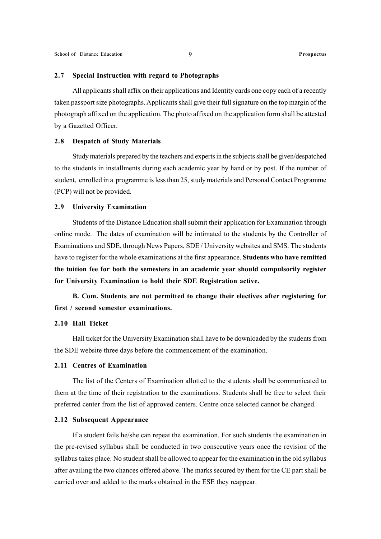### 2.7 Special Instruction with regard to Photographs

All applicants shall affix on their applications and Identity cards one copy each of a recently taken passport size photographs. Applicants shall give their full signature on the top margin of the photograph affixed on the application. The photo affixed on the application form shall be attested by a Gazetted Officer.

### 2.8 Despatch of Study Materials

Study materials prepared by the teachers and experts in the subjects shall be given/despatched to the students in installments during each academic year by hand or by post. If the number of student, enrolled in a programme is less than 25, study materials and Personal Contact Programme (PCP) will not be provided.

### 2.9 University Examination

Students of the Distance Education shall submit their application for Examination through online mode. The dates of examination will be intimated to the students by the Controller of Examinations and SDE, through News Papers, SDE / University websites and SMS. The students have to register for the whole examinations at the first appearance. Students who have remitted the tuition fee for both the semesters in an academic year should compulsorily register for University Examination to hold their SDE Registration active.

B. Com. Students are not permitted to change their electives after registering for first / second semester examinations.

### 2.10 Hall Ticket

Hall ticket for the University Examination shall have to be downloaded by the students from the SDE website three days before the commencement of the examination.

### 2.11 Centres of Examination

The list of the Centers of Examination allotted to the students shall be communicated to them at the time of their registration to the examinations. Students shall be free to select their preferred center from the list of approved centers. Centre once selected cannot be changed.

### 2.12 Subsequent Appearance

If a student fails he/she can repeat the examination. For such students the examination in the pre-revised syllabus shall be conducted in two consecutive years once the revision of the syllabus takes place. No student shall be allowed to appear for the examination in the old syllabus after availing the two chances offered above. The marks secured by them for the CE part shall be carried over and added to the marks obtained in the ESE they reappear.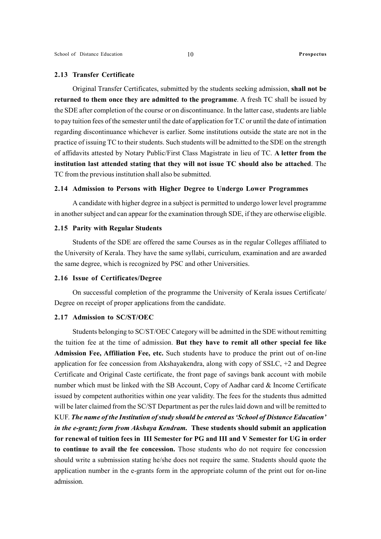### 2.13 Transfer Certificate

Original Transfer Certificates, submitted by the students seeking admission, shall not be returned to them once they are admitted to the programme. A fresh TC shall be issued by the SDE after completion of the course or on discontinuance. In the latter case, students are liable to pay tuition fees of the semester until the date of application for T.C or until the date of intimation regarding discontinuance whichever is earlier. Some institutions outside the state are not in the practice of issuing TC to their students. Such students will be admitted to the SDE on the strength of affidavits attested by Notary Public/First Class Magistrate in lieu of TC. A letter from the institution last attended stating that they will not issue TC should also be attached. The TC from the previous institution shall also be submitted.

### 2.14 Admission to Persons with Higher Degree to Undergo Lower Programmes

A candidate with higher degree in a subject is permitted to undergo lower level programme in another subject and can appear for the examination through SDE, if they are otherwise eligible.

### 2.15 Parity with Regular Students

Students of the SDE are offered the same Courses as in the regular Colleges affiliated to the University of Kerala. They have the same syllabi, curriculum, examination and are awarded the same degree, which is recognized by PSC and other Universities.

### 2.16 Issue of Certificates/Degree

On successful completion of the programme the University of Kerala issues Certificate/ Degree on receipt of proper applications from the candidate.

### 2.17 Admission to SC/ST/OEC

Students belonging to SC/ST/OEC Category will be admitted in the SDE without remitting the tuition fee at the time of admission. But they have to remit all other special fee like Admission Fee, Affiliation Fee, etc. Such students have to produce the print out of on-line application for fee concession from Akshayakendra, along with copy of SSLC, +2 and Degree Certificate and Original Caste certificate, the front page of savings bank account with mobile number which must be linked with the SB Account, Copy of Aadhar card & Income Certificate issued by competent authorities within one year validity. The fees for the students thus admitted will be later claimed from the SC/ST Department as per the rules laid down and will be remitted to KUF. The name of the Institution of study should be entered as 'School of Distance Education' in the e-grantz form from Akshaya Kendram. These students should submit an application for renewal of tuition fees in III Semester for PG and III and V Semester for UG in order to continue to avail the fee concession. Those students who do not require fee concession should write a submission stating he/she does not require the same. Students should quote the application number in the e-grants form in the appropriate column of the print out for on-line admission.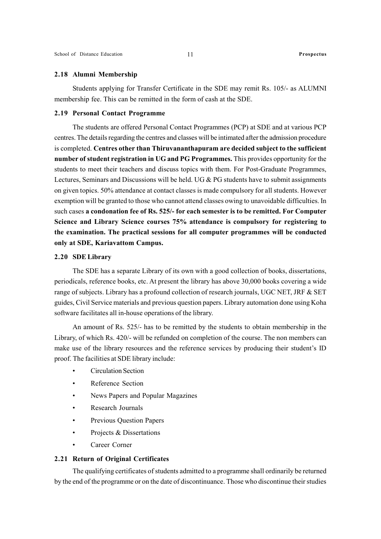### 2.18 Alumni Membership

Students applying for Transfer Certificate in the SDE may remit Rs. 105/- as ALUMNI membership fee. This can be remitted in the form of cash at the SDE.

### 2.19 Personal Contact Programme

The students are offered Personal Contact Programmes (PCP) at SDE and at various PCP centres. The details regarding the centres and classes will be intimated after the admission procedure is completed. Centres other than Thiruvananthapuram are decided subject to the sufficient number of student registration in UG and PG Programmes. This provides opportunity for the students to meet their teachers and discuss topics with them. For Post-Graduate Programmes, Lectures, Seminars and Discussions will be held. UG & PG students have to submit assignments on given topics. 50% attendance at contact classes is made compulsory for all students. However exemption will be granted to those who cannot attend classes owing to unavoidable difficulties. In such cases a condonation fee of Rs. 525/- for each semester is to be remitted. For Computer Science and Library Science courses 75% attendance is compulsory for registering to the examination. The practical sessions for all computer programmes will be conducted only at SDE, Kariavattom Campus.

### 2.20 SDE Library

The SDE has a separate Library of its own with a good collection of books, dissertations, periodicals, reference books, etc. At present the library has above 30,000 books covering a wide range of subjects. Library has a profound collection of research journals, UGC NET, JRF & SET guides, Civil Service materials and previous question papers. Library automation done using Koha software facilitates all in-house operations of the library.

An amount of Rs. 525/- has to be remitted by the students to obtain membership in the Library, of which Rs. 420/- will be refunded on completion of the course. The non members can make use of the library resources and the reference services by producing their student's ID proof. The facilities at SDE library include:

- Circulation Section
- Reference Section
- News Papers and Popular Magazines
- Research Journals
- Previous Question Papers
- Projects & Dissertations
- Career Corner

### 2.21 Return of Original Certificates

The qualifying certificates of students admitted to a programme shall ordinarily be returned by the end of the programme or on the date of discontinuance. Those who discontinue their studies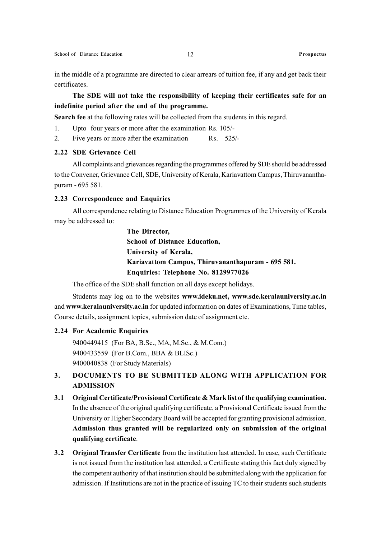in the middle of a programme are directed to clear arrears of tuition fee, if any and get back their certificates.

The SDE will not take the responsibility of keeping their certificates safe for an indefinite period after the end of the programme.

Search fee at the following rates will be collected from the students in this regard.

1. Upto four years or more after the examination Rs. 105/-

2. Five years or more after the examination Rs. 525/-

### 2.22 SDE Grievance Cell

All complaints and grievances regarding the programmes offered by SDE should be addressed to the Convener, Grievance Cell, SDE, University of Kerala, Kariavattom Campus, Thiruvananthapuram - 695 581.

### 2.23 Correspondence and Enquiries

All correspondence relating to Distance Education Programmes of the University of Kerala may be addressed to:

> The Director, School of Distance Education, University of Kerala, Kariavattom Campus, Thiruvananthapuram - 695 581. Enquiries: Telephone No. 8129977026

The office of the SDE shall function on all days except holidays.

Students may log on to the websites www.ideku.net, www.sde.keralauniversity.ac.in and www.keralauniversity.ac.in for updated information on dates of Examinations, Time tables, Course details, assignment topics, submission date of assignment etc.

### 2.24 For Academic Enquiries

9400449415 (For BA, B.Sc., MA, M.Sc., & M.Com.) 9400433559 (For B.Com., BBA & BLISc.) 9400040838 (For Study Materials)

### 3. DOCUMENTS TO BE SUBMITTED ALONG WITH APPLICATION FOR ADMISSION

- 3.1 Original Certificate/Provisional Certificate & Mark list of the qualifying examination. In the absence of the original qualifying certificate, a Provisional Certificate issued from the University or Higher Secondary Board will be accepted for granting provisional admission. Admission thus granted will be regularized only on submission of the original qualifying certificate.
- 3.2 Original Transfer Certificate from the institution last attended. In case, such Certificate is not issued from the institution last attended, a Certificate stating this fact duly signed by the competent authority of that institution should be submitted along with the application for admission. If Institutions are not in the practice of issuing TC to their students such students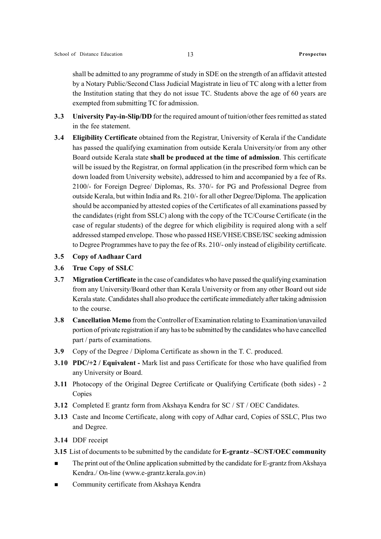shall be admitted to any programme of study in SDE on the strength of an affidavit attested by a Notary Public/Second Class Judicial Magistrate in lieu of TC along with a letter from the Institution stating that they do not issue TC. Students above the age of 60 years are exempted from submitting TC for admission.

- 3.3 University Pay-in-Slip/DD for the required amount of tuition/other fees remitted as stated in the fee statement.
- 3.4 Eligibility Certificate obtained from the Registrar, University of Kerala if the Candidate has passed the qualifying examination from outside Kerala University/or from any other Board outside Kerala state shall be produced at the time of admission. This certificate will be issued by the Registrar, on formal application (in the prescribed form which can be down loaded from University website), addressed to him and accompanied by a fee of Rs. 2100/- for Foreign Degree/ Diplomas, Rs. 370/- for PG and Professional Degree from outside Kerala, but within India and Rs. 210/- for all other Degree/Diploma. The application should be accompanied by attested copies of the Certificates of all examinations passed by the candidates (right from SSLC) along with the copy of the TC/Course Certificate (in the case of regular students) of the degree for which eligibility is required along with a self addressed stamped envelope. Those who passed HSE/VHSE/CBSE/ISC seeking admission to Degree Programmes have to pay the fee of Rs. 210/- only instead of eligibility certificate.
- 3.5 Copy of Aadhaar Card
- 3.6 True Copy of SSLC
- 3.7 Migration Certificate in the case of candidates who have passed the qualifying examination from any University/Board other than Kerala University or from any other Board out side Kerala state. Candidates shall also produce the certificate immediately after taking admission to the course.
- 3.8 Cancellation Memo from the Controller of Examination relating to Examination/unavailed portion of private registration if any has to be submitted by the candidates who have cancelled part / parts of examinations.
- 3.9 Copy of the Degree / Diploma Certificate as shown in the T. C. produced.
- 3.10 PDC/+2 / Equivalent Mark list and pass Certificate for those who have qualified from any University or Board.
- 3.11 Photocopy of the Original Degree Certificate or Qualifying Certificate (both sides) 2 Copies
- 3.12 Completed E grantz form from Akshaya Kendra for SC / ST / OEC Candidates.
- 3.13 Caste and Income Certificate, along with copy of Adhar card, Copies of SSLC, Plus two and Degree.
- 3.14 DDF receipt
- 3.15 List of documents to be submitted by the candidate for E-grantz-SC/ST/OEC community
- The print out of the Online application submitted by the candidate for E-grantz from Akshaya Kendra./ On-line (www.e-grantz.kerala.gov.in)
- Community certificate from Akshaya Kendra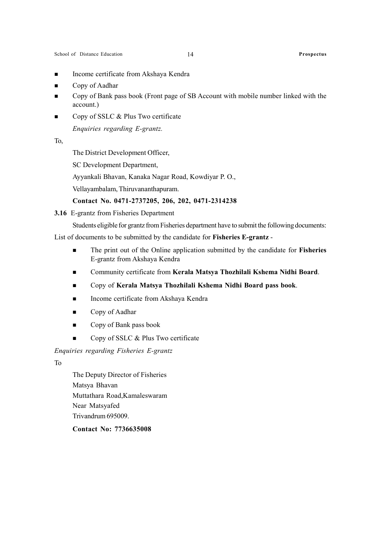- Income certificate from Akshaya Kendra
- Copy of Aadhar
- Copy of Bank pass book (Front page of SB Account with mobile number linked with the account.)
- Copy of SSLC & Plus Two certificate

Enquiries regarding E-grantz.

To,

The District Development Officer,

SC Development Department,

Ayyankali Bhavan, Kanaka Nagar Road, Kowdiyar P. O.,

Vellayambalam, Thiruvananthapuram.

### Contact No. 0471-2737205, 206, 202, 0471-2314238

3.16 E-grantz from Fisheries Department

Students eligible for grantz from Fisheries department have to submit the following documents:

List of documents to be submitted by the candidate for Fisheries E-grantz -

- The print out of the Online application submitted by the candidate for **Fisheries** E-grantz from Akshaya Kendra
- Community certificate from Kerala Matsya Thozhilali Kshema Nidhi Board.
- Copy of Kerala Matsya Thozhilali Kshema Nidhi Board pass book.
- Income certificate from Akshaya Kendra
- Copy of Aadhar
- Copy of Bank pass book
- Copy of SSLC  $&$  Plus Two certificate

Enquiries regarding Fisheries E-grantz

To

The Deputy Director of Fisheries Matsya Bhavan Muttathara Road,Kamaleswaram Near Matsyafed Trivandrum 695009.

### Contact No: 7736635008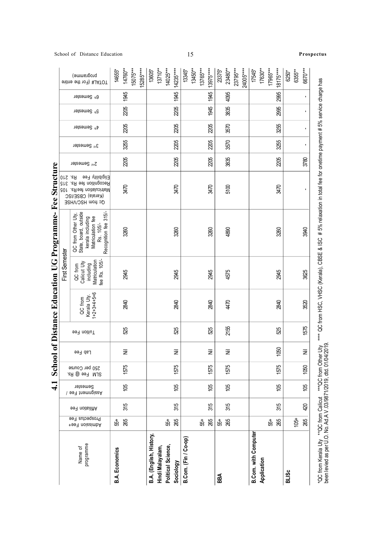|                                                                                                           |                                 |                  |             |                                       |                                                                       |                                                                                                                            | School of Distance Education UG Programme- Fee Structure                                          |                          |                          |            |                                                      |                                      |
|-----------------------------------------------------------------------------------------------------------|---------------------------------|------------------|-------------|---------------------------------------|-----------------------------------------------------------------------|----------------------------------------------------------------------------------------------------------------------------|---------------------------------------------------------------------------------------------------|--------------------------|--------------------------|------------|------------------------------------------------------|--------------------------------------|
|                                                                                                           |                                 |                  |             |                                       | First Semester                                                        |                                                                                                                            |                                                                                                   |                          |                          |            |                                                      |                                      |
| Semester<br>Nssignment Fee<br>Affiliation Fee<br>Prospectus Fee<br>+997 noissimbA<br>programme<br>Name of | 250 per Course<br>SLM Fee @ Rs. | Lab Fee          | Tuition Fee | Kerala Uty.<br>1+2+3+4+5+6<br>QC from | Matriculation<br>fee Rs. 105/-<br>Calicut Uty<br>including<br>QC from | Recognition fee 315/-<br>QC from Other Uty,<br>State, board, outside<br>Matriculation fee<br>kerala including<br>Rs. 105/- | Recognition fee Rs. 210<br>Eligibiity Fee Rs. 210<br>Matriculation feeRs. 105<br>Qc from HSC/VHSE | 2 <sup>nd</sup> Semester | 3 <sup>rd</sup> Semester | 19temester | d <sup>th</sup> Semester<br>5 <sup>th</sup> Semester | programme)<br>#JATOT (For the entire |
| 55+<br><b>B.A. Economics</b>                                                                              |                                 |                  |             |                                       |                                                                       |                                                                                                                            |                                                                                                   |                          |                          |            |                                                      | 14655*                               |
| ĝ<br>315<br>265                                                                                           | 1575                            | Ξ                | 525         | 2840                                  | 2945                                                                  | 3260                                                                                                                       | 3470                                                                                              | 2205                     | 3255                     | 205        | 1945<br>2205                                         | 14760**                              |
|                                                                                                           |                                 |                  |             |                                       |                                                                       |                                                                                                                            |                                                                                                   |                          |                          |            |                                                      | 15285****<br>15075***                |
| B.A. (English, History,                                                                                   |                                 |                  |             |                                       |                                                                       |                                                                                                                            |                                                                                                   |                          |                          |            |                                                      | 13605*                               |
| Hindi Malayalam,                                                                                          |                                 |                  |             |                                       |                                                                       |                                                                                                                            |                                                                                                   |                          |                          |            |                                                      | 14025***<br>$13710***$               |
| 105<br>315<br>265<br>55+<br><b>Political Science,</b><br>Sociology                                        | 1575                            | Ξ                | 525         | 2840                                  | 2945                                                                  | 3260                                                                                                                       | 3470                                                                                              | 205                      | 2205                     | 205        | 1945<br>2205                                         | $14235***$                           |
| B.Com. (Fin / Co-op)                                                                                      |                                 |                  |             |                                       |                                                                       |                                                                                                                            |                                                                                                   |                          |                          |            |                                                      | 13345*                               |
|                                                                                                           |                                 |                  |             |                                       |                                                                       |                                                                                                                            |                                                                                                   |                          |                          |            |                                                      | $13450***$                           |
| 55+                                                                                                       |                                 |                  |             |                                       |                                                                       |                                                                                                                            |                                                                                                   |                          |                          |            |                                                      | 13765***                             |
| ĝ<br>315<br>265                                                                                           | 1575                            | Ξ                | 525         | 2840                                  | 2945                                                                  | 3260                                                                                                                       | 3470                                                                                              | 205                      | 2205                     | 205        | 1945<br>1945                                         | 13975****                            |
| $55\mathrm{^+}$                                                                                           |                                 |                  |             |                                       |                                                                       |                                                                                                                            |                                                                                                   |                          |                          |            |                                                      | 23375*                               |
| <u>පි</u><br>315<br>265                                                                                   | 1575                            | $\overline{\Xi}$ | 2155        | 4470                                  | 4575                                                                  | 4890                                                                                                                       | 5100                                                                                              | 3835                     | 3570                     | 3570       | 4095<br>3835                                         | 23480**                              |
|                                                                                                           |                                 |                  |             |                                       |                                                                       |                                                                                                                            |                                                                                                   |                          |                          |            |                                                      | 23795***                             |
|                                                                                                           |                                 |                  |             |                                       |                                                                       |                                                                                                                            |                                                                                                   |                          |                          |            |                                                      | 24005****                            |
| <b>B.Com. with Computer</b>                                                                               |                                 |                  |             |                                       |                                                                       |                                                                                                                            |                                                                                                   |                          |                          |            |                                                      | 17545*                               |
| Application                                                                                               |                                 |                  |             |                                       |                                                                       |                                                                                                                            |                                                                                                   |                          |                          |            |                                                      | 17630**                              |
| 55+                                                                                                       |                                 |                  |             |                                       |                                                                       |                                                                                                                            |                                                                                                   |                          |                          |            |                                                      | 17965***                             |
| 8<br>315<br>265                                                                                           | 1575                            | 1050             | 525         | 2840                                  | 2945                                                                  | 3260                                                                                                                       | 3470                                                                                              | 205                      | 3255                     | 3255       | 2995<br>2995                                         | 18175****                            |
|                                                                                                           |                                 |                  |             |                                       |                                                                       |                                                                                                                            |                                                                                                   |                          |                          |            |                                                      | 6250*                                |
| $105 +$                                                                                                   |                                 |                  |             |                                       |                                                                       |                                                                                                                            |                                                                                                   |                          |                          |            |                                                      | 6355**                               |
| 105<br>420<br>265                                                                                         | 1050                            | $\bar{z}$        | 1575        | 3520                                  | 3625                                                                  | 3940                                                                                                                       | ٠                                                                                                 | 3780                     |                          | ٠          |                                                      | 6670***                              |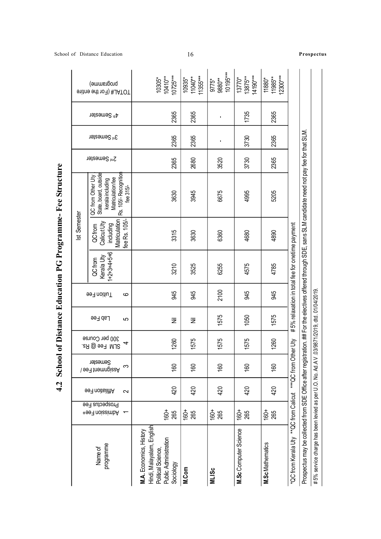| $1+2+3+4+5+6$<br>Kerala Uty<br>QC from<br>Tuition Fee<br>$\mathbf \omega$<br>Lab Fee<br>5<br>300 per Course<br>SLM Fee @ Rs.<br>4<br>Semester<br>Semester<br>Semester<br>$\infty$<br>997 noitsilithA<br>$\sim$<br>Prospectus Fee<br>+997 noissimbA <<br>programme<br>Name of | Ist Semester                                                                |                                                                                                                        |                          |                          |                                                    |
|------------------------------------------------------------------------------------------------------------------------------------------------------------------------------------------------------------------------------------------------------------------------------|-----------------------------------------------------------------------------|------------------------------------------------------------------------------------------------------------------------|--------------------------|--------------------------|----------------------------------------------------|
|                                                                                                                                                                                                                                                                              | œ.<br>Matriculation<br>fee Rs. 105/-<br>Calicut Uty<br>including<br>QC from | State, board, outside<br>105/-Recognition<br>  QC from Other Uty<br>Matriculation fee<br>kerala including<br>fee 315/- | 2 <sup>nd</sup> Semester | 3 <sup>rd</sup> Semester | programme)<br>FOTAL# (For the entire<br>1stemester |
| 3210<br>945<br>W<br>1260<br>160<br>420<br>160+<br>265<br>Hindi, Malayalam, English<br>M.A. Economics, History<br>Public Administration<br>Political Science,<br>Sociology                                                                                                    | 3315                                                                        | 3630                                                                                                                   | 2365<br>2365             | 2365                     | $10725***$<br>$10410**$<br>10305*                  |
| 3525<br>945<br>$\overline{\Xi}$<br>1575<br>160<br>420<br>$160 +$<br>265<br>M.Com                                                                                                                                                                                             | 3630                                                                        | 3945                                                                                                                   | 2365<br>2680             |                          | $11355***$<br>11040**<br>10935*<br>2365            |
| 6255<br>2100<br>1575<br>1575<br>160<br>420<br>160+<br>265<br><b>MLISc</b>                                                                                                                                                                                                    | 6360                                                                        | 3520<br>6675                                                                                                           | $\blacksquare$           |                          | 10195***<br>9880**<br>9775*<br>$\mathbf{r}$        |
| 4575<br>945<br>1050<br>1575<br>160<br>420<br>$160 +$<br>265<br>M.Sc Computer Science                                                                                                                                                                                         | 4680                                                                        | 4995                                                                                                                   | 3730<br>3730             |                          | 14190***<br>13875**<br>13770*<br>1735              |
| 4785<br>945<br>1575<br>1260<br>160<br>420<br>$160 +$<br>265<br><b>M.Sc Mathematics</b>                                                                                                                                                                                       | 4890                                                                        | 5205                                                                                                                   | 2365<br>2365             |                          | 12300***<br>11985**<br>11880*<br>2365              |
| #5% relaxation in total fee for onetime payment<br>"QC from Kerala Uty ""QC from Calicut ""QC from Other Uty                                                                                                                                                                 |                                                                             |                                                                                                                        |                          |                          |                                                    |
| Prospectus may be collected from SDE Office after registration. ## For the electives offered through SDE, sans SLM candi                                                                                                                                                     |                                                                             | date need not pay fee for that SLM.                                                                                    |                          |                          |                                                    |
| #5% service charge has been levied as per U.O. No. Ad.A V .03/9871/2019, dtd. 01/04/2019.                                                                                                                                                                                    |                                                                             |                                                                                                                        |                          |                          |                                                    |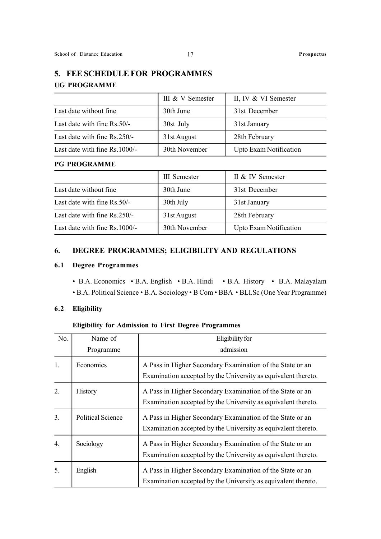## 5. FEE SCHEDULE FOR PROGRAMMES UG PROGRAMME

|                               | III & V Semester | II, IV & VI Semester   |
|-------------------------------|------------------|------------------------|
| Last date without fine.       | 30th June        | 31st December          |
| Last date with fine Rs.50/-   | 30st July        | 31st January           |
| Last date with fine Rs.250/-  | 31st August      | 28th February          |
| Last date with fine Rs.1000/- | 30th November    | Upto Exam Notification |

### PG PROGRAMME

|                               | III Semester  | II & IV Semester       |
|-------------------------------|---------------|------------------------|
| Last date without fine.       | 30th June     | 31st December          |
| Last date with fine Rs.50/-   | 30th July     | 31st January           |
| Last date with fine Rs.250/-  | 31st August   | 28th February          |
| Last date with fine Rs.1000/- | 30th November | Upto Exam Notification |

### 6. DEGREE PROGRAMMES; ELIGIBILITY AND REGULATIONS

### 6.1 Degree Programmes

• B.A. Economics • B.A. English • B.A. Hindi • B.A. History • B.A. Malayalam • B.A. Political Science • B.A. Sociology • B Com • BBA • BLI.Sc (One Year Programme)

### 6.2 Eligibility

### Eligibility for Admission to First Degree Programmes

| No.              | Name of                  | Eligibility for                                                                                                            |
|------------------|--------------------------|----------------------------------------------------------------------------------------------------------------------------|
|                  | Programme                | admission                                                                                                                  |
| 1.               | Economics                | A Pass in Higher Secondary Examination of the State or an<br>Examination accepted by the University as equivalent thereto. |
| 2.               | History                  | A Pass in Higher Secondary Examination of the State or an<br>Examination accepted by the University as equivalent thereto. |
| 3.               | <b>Political Science</b> | A Pass in Higher Secondary Examination of the State or an<br>Examination accepted by the University as equivalent thereto. |
| $\overline{4}$ . | Sociology                | A Pass in Higher Secondary Examination of the State or an<br>Examination accepted by the University as equivalent thereto. |
| 5.               | English                  | A Pass in Higher Secondary Examination of the State or an<br>Examination accepted by the University as equivalent thereto. |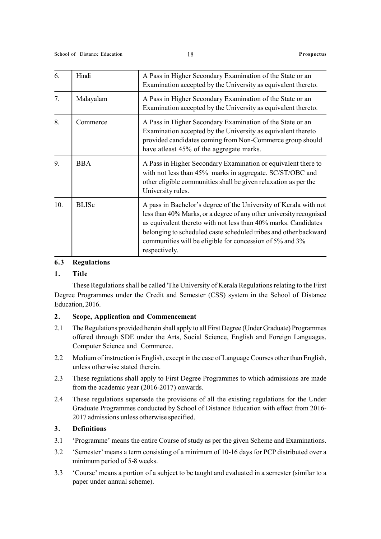| 6.  | Hindi        | A Pass in Higher Secondary Examination of the State or an<br>Examination accepted by the University as equivalent thereto.                                                                                                                                                                                                                                 |
|-----|--------------|------------------------------------------------------------------------------------------------------------------------------------------------------------------------------------------------------------------------------------------------------------------------------------------------------------------------------------------------------------|
| 7.  | Malayalam    | A Pass in Higher Secondary Examination of the State or an<br>Examination accepted by the University as equivalent thereto.                                                                                                                                                                                                                                 |
| 8.  | Commerce     | A Pass in Higher Secondary Examination of the State or an<br>Examination accepted by the University as equivalent thereto<br>provided candidates coming from Non-Commerce group should<br>have atleast 45% of the aggregate marks.                                                                                                                         |
| 9.  | <b>BBA</b>   | A Pass in Higher Secondary Examination or equivalent there to<br>with not less than 45% marks in aggregate. SC/ST/OBC and<br>other eligible communities shall be given relaxation as per the<br>University rules.                                                                                                                                          |
| 10. | <b>BLISc</b> | A pass in Bachelor's degree of the University of Kerala with not<br>less than 40% Marks, or a degree of any other university recognised<br>as equivalent thereto with not less than 40% marks. Candidates<br>belonging to scheduled caste scheduled tribes and other backward<br>communities will be eligible for concession of 5% and 3%<br>respectively. |

### 6.3 Regulations

### 1. Title

These Regulations shall be called 'The University of Kerala Regulations relating to the First Degree Programmes under the Credit and Semester (CSS) system in the School of Distance Education, 2016.

### 2. Scope, Application and Commencement

- 2.1 The Regulations provided herein shall apply to all First Degree (Under Graduate) Programmes offered through SDE under the Arts, Social Science, English and Foreign Languages, Computer Science and Commerce.
- 2.2 Medium of instruction is English, except in the case of Language Courses other than English, unless otherwise stated therein.
- 2.3 These regulations shall apply to First Degree Programmes to which admissions are made from the academic year (2016-2017) onwards.
- 2.4 These regulations supersede the provisions of all the existing regulations for the Under Graduate Programmes conducted by School of Distance Education with effect from 2016- 2017 admissions unless otherwise specified.

### 3. Definitions

- 3.1 'Programme' means the entire Course of study as per the given Scheme and Examinations.
- 3.2 'Semester' means a term consisting of a minimum of 10-16 days for PCP distributed over a minimum period of 5-8 weeks.
- 3.3 'Course' means a portion of a subject to be taught and evaluated in a semester (similar to a paper under annual scheme).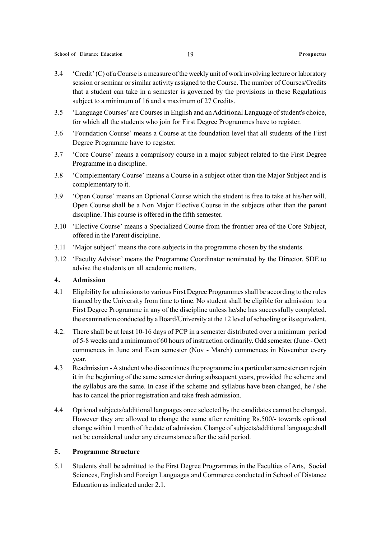- 3.4 'Credit' (C) of a Course is a measure of the weekly unit of work involving lecture or laboratory session or seminar or similar activity assigned to the Course. The number of Courses/Credits that a student can take in a semester is governed by the provisions in these Regulations subject to a minimum of 16 and a maximum of 27 Credits.
- 3.5 'Language Courses' are Courses in English and an Additional Language of student's choice, for which all the students who join for First Degree Programmes have to register.
- 3.6 'Foundation Course' means a Course at the foundation level that all students of the First Degree Programme have to register.
- 3.7 'Core Course' means a compulsory course in a major subject related to the First Degree Programme in a discipline.
- 3.8 'Complementary Course' means a Course in a subject other than the Major Subject and is complementary to it.
- 3.9 'Open Course' means an Optional Course which the student is free to take at his/her will. Open Course shall be a Non Major Elective Course in the subjects other than the parent discipline. This course is offered in the fifth semester.
- 3.10 'Elective Course' means a Specialized Course from the frontier area of the Core Subject, offered in the Parent discipline.
- 3.11 'Major subject' means the core subjects in the programme chosen by the students.
- 3.12 'Faculty Advisor' means the Programme Coordinator nominated by the Director, SDE to advise the students on all academic matters.

### 4. Admission

- 4.1 Eligibility for admissions to various First Degree Programmes shall be according to the rules framed by the University from time to time. No student shall be eligible for admission to a First Degree Programme in any of the discipline unless he/she has successfully completed. the examination conducted by a Board/University at the +2 level of schooling or its equivalent.
- 4.2. There shall be at least 10-16 days of PCP in a semester distributed over a minimum period of 5-8 weeks and a minimum of 60 hours of instruction ordinarily. Odd semester (June - Oct) commences in June and Even semester (Nov - March) commences in November every year.
- 4.3 Readmission A student who discontinues the programme in a particular semester can rejoin it in the beginning of the same semester during subsequent years, provided the scheme and the syllabus are the same. In case if the scheme and syllabus have been changed, he / she has to cancel the prior registration and take fresh admission.
- 4.4 Optional subjects/additional languages once selected by the candidates cannot be changed. However they are allowed to change the same after remitting Rs.500/- towards optional change within 1 month of the date of admission. Change of subjects/additional language shall not be considered under any circumstance after the said period.

### 5. Programme Structure

5.1 Students shall be admitted to the First Degree Programmes in the Faculties of Arts, Social Sciences, English and Foreign Languages and Commerce conducted in School of Distance Education as indicated under 2.1.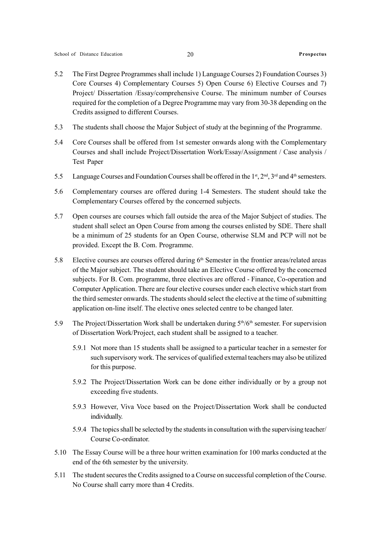- 5.2 The First Degree Programmes shall include 1) Language Courses 2) Foundation Courses 3) Core Courses 4) Complementary Courses 5) Open Course 6) Elective Courses and 7) Project/ Dissertation /Essay/comprehensive Course. The minimum number of Courses required for the completion of a Degree Programme may vary from 30-38 depending on the Credits assigned to different Courses.
- 5.3 The students shall choose the Major Subject of study at the beginning of the Programme.
- 5.4 Core Courses shall be offered from 1st semester onwards along with the Complementary Courses and shall include Project/Dissertation Work/Essay/Assignment / Case analysis / Test Paper
- 5.5 Language Courses and Foundation Courses shall be offered in the  $1<sup>st</sup>$ ,  $2<sup>nd</sup>$ ,  $3<sup>rd</sup>$  and  $4<sup>th</sup>$  semesters.
- 5.6 Complementary courses are offered during 1-4 Semesters. The student should take the Complementary Courses offered by the concerned subjects.
- 5.7 Open courses are courses which fall outside the area of the Major Subject of studies. The student shall select an Open Course from among the courses enlisted by SDE. There shall be a minimum of 25 students for an Open Course, otherwise SLM and PCP will not be provided. Except the B. Com. Programme.
- 5.8 Elective courses are courses offered during  $6<sup>th</sup>$  Semester in the frontier areas/related areas of the Major subject. The student should take an Elective Course offered by the concerned subjects. For B. Com. programme, three electives are offered - Finance, Co-operation and Computer Application. There are four elective courses under each elective which start from the third semester onwards. The students should select the elective at the time of submitting application on-line itself. The elective ones selected centre to be changed later.
- 5.9 The Project/Dissertation Work shall be undertaken during  $5<sup>th</sup>/6<sup>th</sup>$  semester. For supervision of Dissertation Work/Project, each student shall be assigned to a teacher.
	- 5.9.1 Not more than 15 students shall be assigned to a particular teacher in a semester for such supervisory work. The services of qualified external teachers may also be utilized for this purpose.
	- 5.9.2 The Project/Dissertation Work can be done either individually or by a group not exceeding five students.
	- 5.9.3 However, Viva Voce based on the Project/Dissertation Work shall be conducted individually.
	- 5.9.4 The topics shall be selected by the students in consultation with the supervising teacher/ Course Co-ordinator.
- 5.10 The Essay Course will be a three hour written examination for 100 marks conducted at the end of the 6th semester by the university.
- 5.11 The student secures the Credits assigned to a Course on successful completion of the Course. No Course shall carry more than 4 Credits.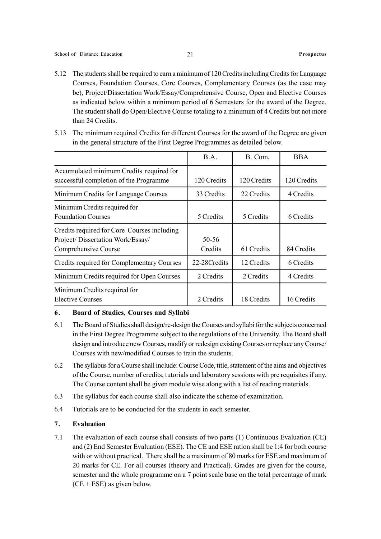- 5.12 The students shall be required to earn a minimum of 120 Credits including Credits for Language Courses, Foundation Courses, Core Courses, Complementary Courses (as the case may be), Project/Dissertation Work/Essay/Comprehensive Course, Open and Elective Courses as indicated below within a minimum period of 6 Semesters for the award of the Degree. The student shall do Open/Elective Course totaling to a minimum of 4 Credits but not more than 24 Credits.
- 5.13 The minimum required Credits for different Courses for the award of the Degree are given in the general structure of the First Degree Programmes as detailed below.

|                                                                                                         | B.A.             | B. Com.     | <b>BBA</b>  |
|---------------------------------------------------------------------------------------------------------|------------------|-------------|-------------|
| Accumulated minimum Credits required for<br>successful completion of the Programme                      | 120 Credits      | 120 Credits | 120 Credits |
| Minimum Credits for Language Courses                                                                    | 33 Credits       | 22 Credits  | 4 Credits   |
| Minimum Credits required for<br><b>Foundation Courses</b>                                               | 5 Credits        | 5 Credits   | 6 Credits   |
| Credits required for Core Courses including<br>Project/Dissertation Work/Essay/<br>Comprehensive Course | 50-56<br>Credits | 61 Credits  | 84 Credits  |
| Credits required for Complementary Courses                                                              | 22-28 Credits    | 12 Credits  | 6 Credits   |
| Minimum Credits required for Open Courses                                                               | 2 Credits        | 2 Credits   | 4 Credits   |
| Minimum Credits required for<br>Elective Courses                                                        | 2 Credits        | 18 Credits  | 16 Credits  |

### 6. Board of Studies, Courses and Syllabi

- 6.1 The Board of Studies shall design/re-design the Courses and syllabi for the subjects concerned in the First Degree Programme subject to the regulations of the University. The Board shall design and introduce new Courses, modify or redesign existing Courses or replace any Course/ Courses with new/modified Courses to train the students.
- 6.2 The syllabus for a Course shall include: Course Code, title, statement of the aims and objectives of the Course, number of credits, tutorials and laboratory sessions with pre requisites if any. The Course content shall be given module wise along with a list of reading materials.
- 6.3 The syllabus for each course shall also indicate the scheme of examination.
- 6.4 Tutorials are to be conducted for the students in each semester.

### 7. Evaluation

7.1 The evaluation of each course shall consists of two parts (1) Continuous Evaluation (CE) and (2) End Semester Evaluation (ESE). The CE and ESE ration shall be 1:4 for both course with or without practical. There shall be a maximum of 80 marks for ESE and maximum of 20 marks for CE. For all courses (theory and Practical). Grades are given for the course, semester and the whole programme on a 7 point scale base on the total percentage of mark  $(CE + ESE)$  as given below.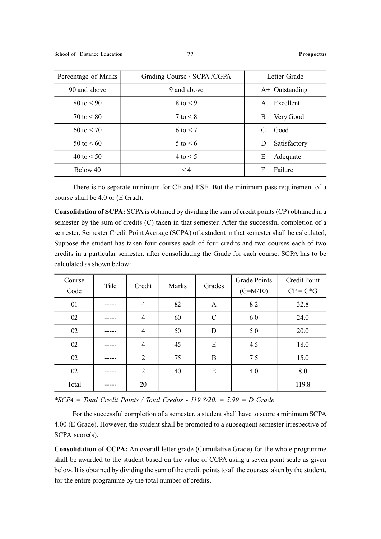| Percentage of Marks | Grading Course / SCPA / CGPA | Letter Grade      |
|---------------------|------------------------------|-------------------|
| 90 and above        | 9 and above                  | $A+$ Outstanding  |
| $80 \text{ to } 50$ | $8$ to $\leq 9$              | Excellent<br>A    |
| $70 \text{ to } 50$ | $7$ to $\leq 8$              | Very Good<br>B    |
| $60 \text{ to } 50$ | $6$ to $\leq 7$              | Good<br>C         |
| $50 \text{ to } 50$ | $5$ to $\leq 6$              | Satisfactory<br>D |
| 40 to $< 50$        | $4$ to $\leq 5$              | Adequate<br>Е     |
| Below 40            | $\leq 4$                     | Failure<br>F      |

There is no separate minimum for CE and ESE. But the minimum pass requirement of a course shall be 4.0 or (E Grad).

Consolidation of SCPA: SCPA is obtained by dividing the sum of credit points (CP) obtained in a semester by the sum of credits (C) taken in that semester. After the successful completion of a semester, Semester Credit Point Average (SCPA) of a student in that semester shall be calculated, Suppose the student has taken four courses each of four credits and two courses each of two credits in a particular semester, after consolidating the Grade for each course. SCPA has to be calculated as shown below:

| Course<br>Code | Title | Credit         | Marks | Grades        | <b>Grade Points</b><br>$(G=M/10)$ | <b>Credit Point</b><br>$CP = C*G$ |
|----------------|-------|----------------|-------|---------------|-----------------------------------|-----------------------------------|
| 01             |       | $\overline{4}$ | 82    | A             | 8.2                               | 32.8                              |
| 02             |       | $\overline{4}$ | 60    | $\mathcal{C}$ | 6.0                               | 24.0                              |
| 02             |       | $\overline{4}$ | 50    | D             | 5.0                               | 20.0                              |
| 02             |       | $\overline{4}$ | 45    | E             | 4.5                               | 18.0                              |
| 02             |       | $\overline{2}$ | 75    | B             | 7.5                               | 15.0                              |
| 02             |       | $\overline{2}$ | 40    | E             | 4.0                               | 8.0                               |
| Total          |       | 20             |       |               |                                   | 119.8                             |

\*SCPA = Total Credit Points / Total Credits -  $119.8/20. = 5.99 = D$  Grade

For the successful completion of a semester, a student shall have to score a minimum SCPA 4.00 (E Grade). However, the student shall be promoted to a subsequent semester irrespective of SCPA score(s).

Consolidation of CCPA: An overall letter grade (Cumulative Grade) for the whole programme shall be awarded to the student based on the value of CCPA using a seven point scale as given below. It is obtained by dividing the sum of the credit points to all the courses taken by the student, for the entire programme by the total number of credits.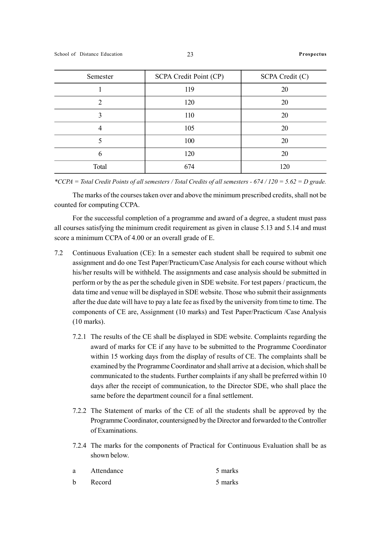| Semester       | SCPA Credit Point (CP) | SCPA Credit (C) |
|----------------|------------------------|-----------------|
|                | 119                    | 20              |
| $\mathfrak{D}$ | 120                    | 20              |
| 3              | 110                    | 20              |
| 4              | 105                    | 20              |
|                | 100                    | 20              |
| 6              | 120                    | 20              |
| Total          | 674                    |                 |

\*CCPA = Total Credit Points of all semesters / Total Credits of all semesters -  $674/120 = 5.62 = D$  grade.

The marks of the courses taken over and above the minimum prescribed credits, shall not be counted for computing CCPA.

For the successful completion of a programme and award of a degree, a student must pass all courses satisfying the minimum credit requirement as given in clause 5.13 and 5.14 and must score a minimum CCPA of 4.00 or an overall grade of E.

- 7.2 Continuous Evaluation (CE): In a semester each student shall be required to submit one assignment and do one Test Paper/Practicum/Case Analysis for each course without which his/her results will be withheld. The assignments and case analysis should be submitted in perform or by the as per the schedule given in SDE website. For test papers / practicum, the data time and venue will be displayed in SDE website. Those who submit their assignments after the due date will have to pay a late fee as fixed by the university from time to time. The components of CE are, Assignment (10 marks) and Test Paper/Practicum /Case Analysis (10 marks).
	- 7.2.1 The results of the CE shall be displayed in SDE website. Complaints regarding the award of marks for CE if any have to be submitted to the Programme Coordinator within 15 working days from the display of results of CE. The complaints shall be examined by the Programme Coordinator and shall arrive at a decision, which shall be communicated to the students. Further complaints if any shall be preferred within 10 days after the receipt of communication, to the Director SDE, who shall place the same before the department council for a final settlement.
	- 7.2.2 The Statement of marks of the CE of all the students shall be approved by the Programme Coordinator, countersigned by the Director and forwarded to the Controller of Examinations.
	- 7.2.4 The marks for the components of Practical for Continuous Evaluation shall be as shown below.

| a | Attendance | 5 marks |
|---|------------|---------|
| h | Record     | 5 marks |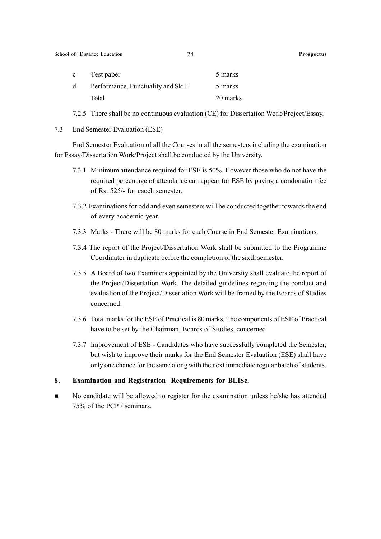| $\mathbf{c}$ | Test paper                         | 5 marks  |
|--------------|------------------------------------|----------|
| d            | Performance, Punctuality and Skill | 5 marks  |
|              | Total                              | 20 marks |

7.2.5 There shall be no continuous evaluation (CE) for Dissertation Work/Project/Essay.

7.3 End Semester Evaluation (ESE)

End Semester Evaluation of all the Courses in all the semesters including the examination for Essay/Dissertation Work/Project shall be conducted by the University.

- 7.3.1 Minimum attendance required for ESE is 50%. However those who do not have the required percentage of attendance can appear for ESE by paying a condonation fee of Rs. 525/- for eacch semester.
- 7.3.2 Examinations for odd and even semesters will be conducted together towards the end of every academic year.
- 7.3.3 Marks There will be 80 marks for each Course in End Semester Examinations.
- 7.3.4 The report of the Project/Dissertation Work shall be submitted to the Programme Coordinator in duplicate before the completion of the sixth semester.
- 7.3.5 A Board of two Examiners appointed by the University shall evaluate the report of the Project/Dissertation Work. The detailed guidelines regarding the conduct and evaluation of the Project/Dissertation Work will be framed by the Boards of Studies concerned.
- 7.3.6 Total marks for the ESE of Practical is 80 marks. The components of ESE of Practical have to be set by the Chairman, Boards of Studies, concerned.
- 7.3.7 Improvement of ESE Candidates who have successfully completed the Semester, but wish to improve their marks for the End Semester Evaluation (ESE) shall have only one chance for the same along with the next immediate regular batch of students.

### 8. Examination and Registration Requirements for BLISc.

No candidate will be allowed to register for the examination unless he/she has attended 75% of the PCP / seminars.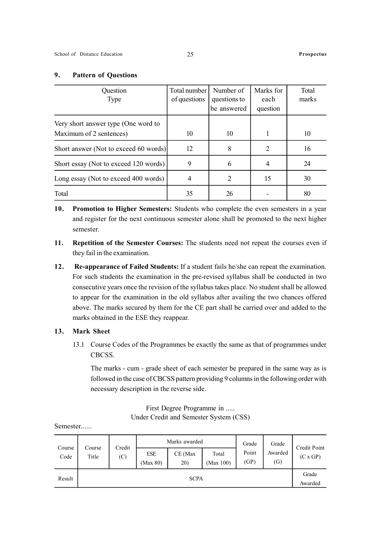### 9. Pattern of Questions

| Question<br>Type                                               | Total number<br>of questions | Number of<br>questions to<br>be answered | Marks for<br>each<br>question | Total<br>marks |
|----------------------------------------------------------------|------------------------------|------------------------------------------|-------------------------------|----------------|
| Very short answer type (One word to<br>Maximum of 2 sentences) | 10                           | 10                                       |                               | 10             |
| Short answer (Not to exceed 60 words)                          | 12                           | 8                                        | $\overline{2}$                | 16             |
| Short essay (Not to exceed 120 words)                          | 9                            | 6                                        | 4                             | 24             |
| Long essay (Not to exceed 400 words)                           | 4                            | 2                                        | 15                            | 30             |
| Total                                                          | 35                           | 26                                       |                               | 80             |

- 10. Promotion to Higher Semesters: Students who complete the even semesters in a year and register for the next continuous semester alone shall be promoted to the next higher semester.
- 11. Repetition of the Semester Courses: The students need not repeat the courses even if they fail in the examination.
- 12. Re-appearance of Failed Students: If a student fails he/she can repeat the examination. For such students the examination in the pre-revised syllabus shall be conducted in two consecutive years once the revision of the syllabus takes place. No student shall be allowed to appear for the examination in the old syllabus after availing the two chances offered above. The marks secured by them for the CE part shall be carried over and added to the marks obtained in the ESE they reappear.

### 13. Mark Sheet

13.1 Course Codes of the Programmes be exactly the same as that of programmes under **CBCSS** 

The marks - cum - grade sheet of each semester be prepared in the same way as is followed in the case of CBCSS pattern providing 9 columns in the following order with necessary description in the reverse side.

> First Degree Programme in ..... Under Credit and Semester System (CSS)

Semester......

|                | Credit<br>Course |     | Marks awarded          |                |                    | Grade         | Grade          | Credit Point     |
|----------------|------------------|-----|------------------------|----------------|--------------------|---------------|----------------|------------------|
| Course<br>Code | Title            | (C) | <b>ESE</b><br>(Max 80) | CE (Max<br>20) | Total<br>(Max 100) | Point<br>(GP) | Awarded<br>(G) | (C x GP)         |
| Result         |                  |     |                        | <b>SCPA</b>    |                    |               |                | Grade<br>Awarded |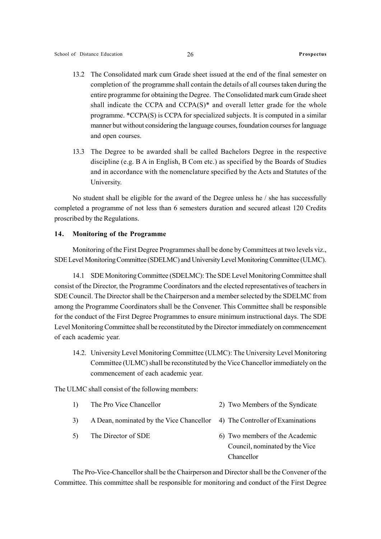- 13.2 The Consolidated mark cum Grade sheet issued at the end of the final semester on completion of the programme shall contain the details of all courses taken during the entire programme for obtaining the Degree. The Consolidated mark cum Grade sheet shall indicate the CCPA and CCPA(S)\* and overall letter grade for the whole programme. \*CCPA(S) is CCPA for specialized subjects. It is computed in a similar manner but without considering the language courses, foundation courses for language and open courses.
- 13.3 The Degree to be awarded shall be called Bachelors Degree in the respective discipline (e.g. B A in English, B Com etc.) as specified by the Boards of Studies and in accordance with the nomenclature specified by the Acts and Statutes of the University.

No student shall be eligible for the award of the Degree unless he / she has successfully completed a programme of not less than 6 semesters duration and secured atleast 120 Credits proscribed by the Regulations.

### 14. Monitoring of the Programme

Monitoring of the First Degree Programmes shall be done by Committees at two levels viz., SDE Level Monitoring Committee (SDELMC) and University Level Monitoring Committee (ULMC).

14.1 SDE Monitoring Committee (SDELMC): The SDE Level Monitoring Committee shall consist of the Director, the Programme Coordinators and the elected representatives of teachers in SDE Council. The Director shall be the Chairperson and a member selected by the SDELMC from among the Programme Coordinators shall be the Convener. This Committee shall be responsible for the conduct of the First Degree Programmes to ensure minimum instructional days. The SDE Level Monitoring Committee shall be reconstituted by the Director immediately on commencement of each academic year.

14.2. University Level Monitoring Committee (ULMC): The University Level Monitoring Committee (ULMC) shall be reconstituted by the Vice Chancellor immediately on the commencement of each academic year.

The ULMC shall consist of the following members:

| 1) | The Pro Vice Chancellor                                                    | 2) Two Members of the Syndicate |
|----|----------------------------------------------------------------------------|---------------------------------|
| 3) | A Dean, nominated by the Vice Chancellor 4) The Controller of Examinations |                                 |

5) The Director of SDE 6) Two members of the Academic Council, nominated by the Vice Chancellor

The Pro-Vice-Chancellor shall be the Chairperson and Director shall be the Convener of the Committee. This committee shall be responsible for monitoring and conduct of the First Degree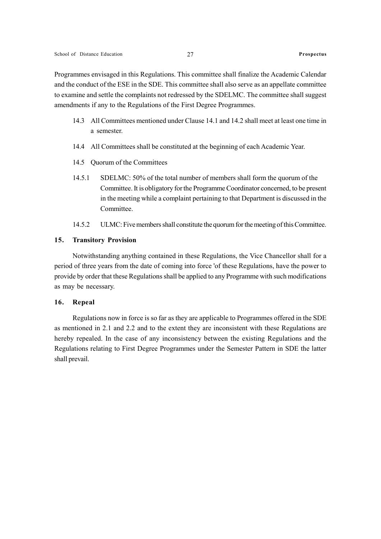Programmes envisaged in this Regulations. This committee shall finalize the Academic Calendar and the conduct of the ESE in the SDE. This committee shall also serve as an appellate committee to examine and settle the complaints not redressed by the SDELMC. The committee shall suggest amendments if any to the Regulations of the First Degree Programmes.

- 14.3 All Committees mentioned under Clause 14.1 and 14.2 shall meet at least one time in a semester.
- 14.4 All Committees shall be constituted at the beginning of each Academic Year.
- 14.5 Quorum of the Committees
- 14.5.1 SDELMC: 50% of the total number of members shall form the quorum of the Committee. It is obligatory for the Programme Coordinator concerned, to be present in the meeting while a complaint pertaining to that Department is discussed in the Committee.
- 14.5.2 ULMC: Five members shall constitute the quorum for the meeting of this Committee.

### 15. Transitory Provision

Notwithstanding anything contained in these Regulations, the Vice Chancellor shall for a period of three years from the date of coming into force 'of these Regulations, have the power to provide by order that these Regulations shall be applied to any Programme with such modifications as may be necessary.

### 16. Repeal

Regulations now in force is so far as they are applicable to Programmes offered in the SDE as mentioned in 2.1 and 2.2 and to the extent they are inconsistent with these Regulations are hereby repealed. In the case of any inconsistency between the existing Regulations and the Regulations relating to First Degree Programmes under the Semester Pattern in SDE the latter shall prevail.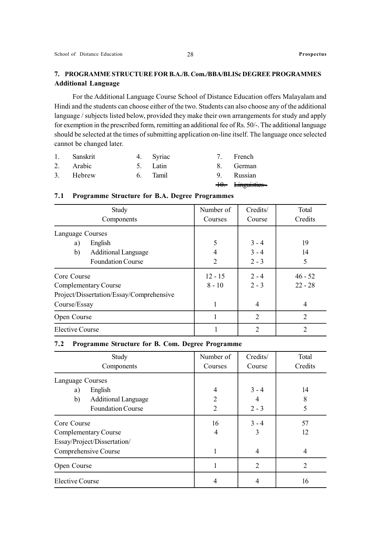For the Additional Language Course School of Distance Education offers Malayalam and Hindi and the students can choose either of the two. Students can also choose any of the additional language / subjects listed below, provided they make their own arrangements for study and apply for exemption in the prescribed form, remitting an additional fee of Rs. 50/-. The additional language should be selected at the times of submitting application on-line itself. The language once selected cannot be changed later.

| 1. Sanskrit | 4. Syriac | 7. French              |
|-------------|-----------|------------------------|
| 2. Arabic   | 5. Latin  | 8. German              |
| 3. Hebrew   | 6. Tamil  | 9. Russian             |
|             |           | 40. <i>Einguisties</i> |

### 7.1 Programme Structure for B.A. Degree Programmes

| Study<br>Components                      | Number of<br>Courses | Credits/<br>Course | Total<br>Credits |
|------------------------------------------|----------------------|--------------------|------------------|
|                                          |                      |                    |                  |
| Language Courses                         |                      |                    |                  |
| English<br>a)                            | 5                    | $3 - 4$            | 19               |
| b)<br><b>Additional Language</b>         | 4                    | $3 - 4$            | 14               |
| <b>Foundation Course</b>                 | 2                    | $2 - 3$            | 5                |
| Core Course                              | $12 - 15$            | $2 - 4$            | $46 - 52$        |
| Complementary Course                     | $8 - 10$             | $2 - 3$            | $22 - 28$        |
| Project/Dissertation/Essay/Comprehensive |                      |                    |                  |
| Course/Essay                             | 1                    | 4                  | $\overline{4}$   |
| Open Course                              | 1                    | $\overline{2}$     | $\overline{2}$   |
| Elective Course                          |                      | $\overline{2}$     | $\mathcal{D}$    |

### 7.2 Programme Structure for B. Com. Degree Programme

| Study<br>Components              | Number of<br>Courses | Credits/<br>Course | Total<br>Credits |
|----------------------------------|----------------------|--------------------|------------------|
|                                  |                      |                    |                  |
| Language Courses                 |                      |                    |                  |
| English<br>a)                    | 4                    | $3 - 4$            | 14               |
| b)<br><b>Additional Language</b> | 2                    | 4                  | 8                |
| <b>Foundation Course</b>         | $\overline{2}$       | $2 - 3$            | 5                |
| Core Course                      | 16                   | $3 - 4$            | 57               |
| Complementary Course             | 4                    | 3                  | 12               |
| Essay/Project/Dissertation/      |                      |                    |                  |
| Comprehensive Course             | 1                    | 4                  | 4                |
| Open Course                      | л.                   | 2                  | $\overline{2}$   |
| <b>Elective Course</b>           | 4                    | 4                  | 16               |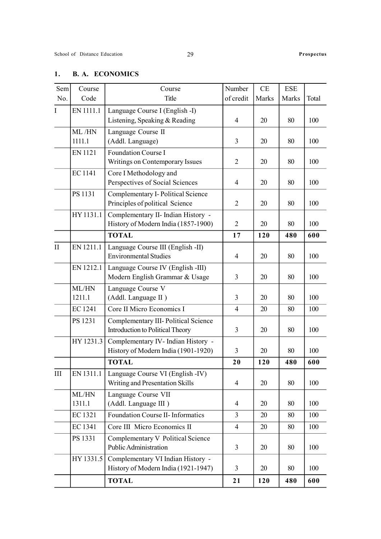### 1. B. A. ECONOMICS

| Sem          | Course          | Course                                                                    | Number         | CE    | <b>ESE</b> |       |
|--------------|-----------------|---------------------------------------------------------------------------|----------------|-------|------------|-------|
| No.          | Code            | Title                                                                     | of credit      | Marks | Marks      | Total |
| $\mathbf{I}$ | EN 1111.1       | Language Course I (English -I)<br>Listening, Speaking & Reading           | 4              | 20    | 80         | 100   |
|              | ML/HN           | Language Course II                                                        |                |       |            |       |
|              | 1111.1          | (Addl. Language)                                                          | $\overline{3}$ | 20    | 80         | 100   |
|              | <b>EN 1121</b>  | <b>Foundation Course I</b><br>Writings on Contemporary Issues             | $\overline{2}$ | 20    | 80         | 100   |
|              | <b>EC1141</b>   | Core I Methodology and<br>Perspectives of Social Sciences                 | $\overline{4}$ | 20    | 80         | 100   |
|              | PS 1131         | Complementary I-Political Science<br>Principles of political Science      | 2              | 20    | 80         | 100   |
|              | HY 1131.1       | Complementary II- Indian History -<br>History of Modern India (1857-1900) | $\overline{2}$ | 20    | 80         | 100   |
|              |                 | <b>TOTAL</b>                                                              | 17             | 120   | 480        | 600   |
| $\mathbf{I}$ | EN 1211.1       | Language Course III (English -II)                                         |                |       |            |       |
|              |                 | <b>Environmental Studies</b>                                              | 4              | 20    | 80         | 100   |
|              | EN 1212.1       | Language Course IV (English -III)<br>Modern English Grammar & Usage       | 3              | 20    | 80         | 100   |
|              | ML/HN<br>1211.1 | Language Course V<br>(Addl. Language II)                                  | 3              | 20    | 80         | 100   |
|              | <b>EC1241</b>   | Core II Micro Economics I                                                 | $\overline{4}$ | 20    | 80         | 100   |
|              | PS 1231         | Complementary III- Political Science<br>Introduction to Political Theory  | 3              | 20    | 80         | 100   |
|              | HY 1231.3       | Complementary IV- Indian History -<br>History of Modern India (1901-1920) | $\overline{3}$ | 20    | 80         | 100   |
|              |                 | <b>TOTAL</b>                                                              | 20             | 120   | 480        | 600   |
| III          | EN 1311.1       | Language Course VI (English -IV)<br>Writing and Presentation Skills       | $\overline{4}$ | 20    | 80         | 100   |
|              | ML/HN<br>1311.1 | Language Course VII<br>(Addl. Language III)                               | 4              | 20    | 80         | 100   |
|              | EC 1321         | Foundation Course II- Informatics                                         | 3              | 20    | 80         | 100   |
|              | EC 1341         | Core III Micro Economics II                                               | $\overline{4}$ | 20    | 80         | 100   |
|              | PS 1331         | Complementary V Political Science<br>Public Administration                | $\overline{3}$ | 20    | 80         | 100   |
|              | HY 1331.5       | Complementary VI Indian History -<br>History of Modern India (1921-1947)  | 3              | 20    | 80         | 100   |
|              |                 | <b>TOTAL</b>                                                              | 21             | 120   | 480        | 600   |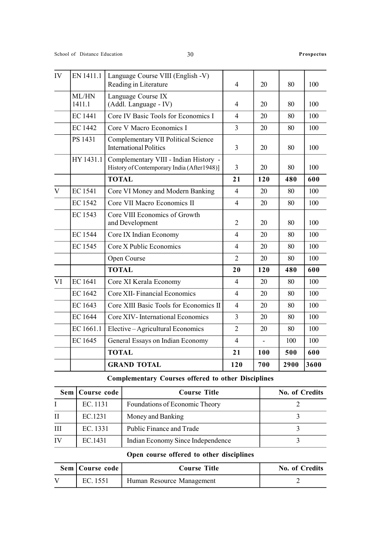| IV           | EN 1411.1       | Language Course VIII (English -V)<br>Reading in Literature                          | $\overline{4}$ | 20  | 80   | 100  |
|--------------|-----------------|-------------------------------------------------------------------------------------|----------------|-----|------|------|
|              | ML/HN<br>1411.1 | Language Course IX<br>(Addl. Language - IV)                                         | $\overline{4}$ | 20  | 80   | 100  |
|              | EC 1441         | Core IV Basic Tools for Economics I                                                 | $\overline{4}$ | 20  | 80   | 100  |
|              | <b>EC 1442</b>  | Core V Macro Economics I                                                            | $\overline{3}$ | 20  | 80   | 100  |
|              | PS 1431         | <b>Complementary VII Political Science</b><br><b>International Politics</b>         | $\overline{3}$ | 20  | 80   | 100  |
|              | HY 1431.1       | Complementary VIII - Indian History -<br>History of Contemporary India (After1948)] | $\overline{3}$ | 20  | 80   | 100  |
|              |                 | <b>TOTAL</b>                                                                        | 21             | 120 | 480  | 600  |
| $\mathbf{V}$ | <b>EC1541</b>   | Core VI Money and Modern Banking                                                    | $\overline{4}$ | 20  | 80   | 100  |
|              | <b>EC1542</b>   | Core VII Macro Economics II                                                         | $\overline{4}$ | 20  | 80   | 100  |
|              | <b>EC1543</b>   | Core VIII Economics of Growth<br>and Development                                    | $\overline{2}$ | 20  | 80   | 100  |
|              | <b>EC1544</b>   | Core IX Indian Economy                                                              | $\overline{4}$ | 20  | 80   | 100  |
|              | <b>EC1545</b>   | Core X Public Economics                                                             | $\overline{4}$ | 20  | 80   | 100  |
|              |                 | Open Course                                                                         | $\overline{2}$ | 20  | 80   | 100  |
|              |                 | <b>TOTAL</b>                                                                        | 20             | 120 | 480  | 600  |
| VI           | EC 1641         | Core XI Kerala Economy                                                              | $\overline{4}$ | 20  | 80   | 100  |
|              | EC 1642         | Core XII- Financial Economics                                                       | $\overline{4}$ | 20  | 80   | 100  |
|              | EC 1643         | Core XIII Basic Tools for Economics II                                              | $\overline{4}$ | 20  | 80   | 100  |
|              | <b>EC1644</b>   | Core XIV-International Economics                                                    | $\overline{3}$ | 20  | 80   | 100  |
|              | EC 1661.1       | Elective-Agricultural Economics                                                     | $\overline{2}$ | 20  | 80   | 100  |
|              | EC 1645         | General Essays on Indian Economy                                                    | $\overline{4}$ |     | 100  | 100  |
|              |                 | <b>TOTAL</b>                                                                        | 21             | 100 | 500  | 600  |
|              |                 | <b>GRAND TOTAL</b>                                                                  | 120            | 700 | 2900 | 3600 |

## Complementary Courses offered to other Disciplines

|              | Sem   Course code | <b>Course Title</b>               | No. of Credits |
|--------------|-------------------|-----------------------------------|----------------|
|              | EC. 1131          | Foundations of Economic Theory    |                |
| $\mathbf{H}$ | EC.1231           | Money and Banking                 |                |
| Ш            | EC. 1331          | Public Finance and Trade          |                |
| IV           | EC.1431           | Indian Economy Since Independence |                |

### Open course offered to other disciplines

| Sem   Course code | <b>Course Title</b>       | No. of Credits |
|-------------------|---------------------------|----------------|
| EC. 1551          | Human Resource Management |                |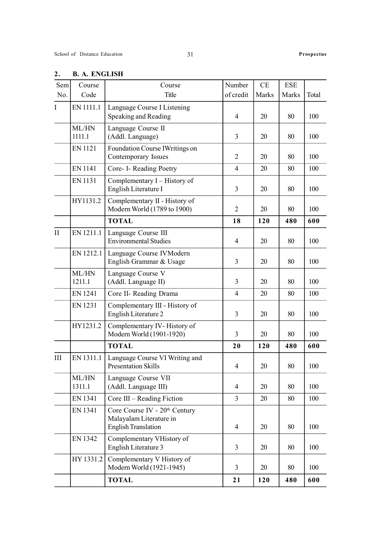| Sem<br>No.   | Course<br>Code  | Course<br>Title                                                                                    | Number<br>of credit | CE<br>Marks | <b>ESE</b><br>Marks | Total |
|--------------|-----------------|----------------------------------------------------------------------------------------------------|---------------------|-------------|---------------------|-------|
| I            | EN 1111.1       | Language Course I Listening                                                                        |                     |             |                     |       |
|              |                 | Speaking and Reading                                                                               | $\overline{4}$      | 20          | 80                  | 100   |
|              | ML/HN<br>1111.1 | Language Course II<br>(Addl. Language)                                                             | 3                   | 20          | 80                  | 100   |
|              | EN 1121         | Foundation Course IWritings on<br>Contemporary Issues                                              | $\overline{2}$      | 20          | 80                  | 100   |
|              | <b>EN 1141</b>  | Core- I- Reading Poetry                                                                            | $\overline{4}$      | 20          | 80                  | 100   |
|              | EN 1131         | Complementary I - History of<br>English Literature I                                               | 3                   | 20          | 80                  | 100   |
|              | HY1131.2        | Complementary II - History of<br>Modern World (1789 to 1900)                                       | $\overline{2}$      | 20          | 80                  | 100   |
|              |                 | <b>TOTAL</b>                                                                                       | 18                  | 120         | 480                 | 600   |
| $\mathbf{I}$ | EN 1211.1       | Language Course III<br><b>Environmental Studies</b>                                                | $\overline{4}$      | 20          | 80                  | 100   |
|              | EN 1212.1       | Language Course IVModern<br>English Grammar & Usage                                                | $\overline{3}$      | 20          | 80                  | 100   |
|              | ML/HN<br>1211.1 | Language Course V<br>(Addl. Language II)                                                           | 3                   | 20          | 80                  | 100   |
|              | <b>EN 1241</b>  | Core II- Reading Drama                                                                             | $\overline{4}$      | 20          | 80                  | 100   |
|              | EN 1231         | Complementary III - History of<br>English Literature 2                                             | 3                   | 20          | 80                  | 100   |
|              | HY1231.2        | Complementary IV-History of<br>Modern World (1901-1920)                                            | 3                   | 20          | 80                  | 100   |
|              |                 | <b>TOTAL</b>                                                                                       | 20                  | 120         | 480                 | 600   |
| III          | EN 1311.1       | Language Course VI Writing and<br><b>Presentation Skills</b>                                       | 4                   | 20          | 80                  | 100   |
|              | ML/HN<br>1311.1 | Language Course VII<br>(Addl. Language III)                                                        | $\overline{4}$      | 20          | 80                  | 100   |
|              | EN 1341         | Core III – Reading Fiction                                                                         | $\overline{3}$      | 20          | 80                  | 100   |
|              | EN 1341         | Core Course IV - 20 <sup>th</sup> Century<br>Malayalam Literature in<br><b>English Translation</b> | $\overline{4}$      | 20          | 80                  | 100   |
|              | EN 1342         | Complementary VHistory of<br>English Literature 3                                                  | 3                   | 20          | 80                  | 100   |
|              | HY 1331.2       | Complementary V History of<br>Modern World (1921-1945)                                             | $\overline{3}$      | 20          | 80                  | 100   |
|              |                 | <b>TOTAL</b>                                                                                       | 21                  | 120         | 480                 | 600   |

### 2. B. A. ENGLISH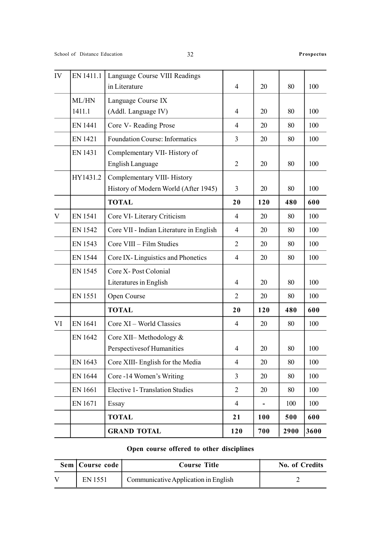| IV | EN 1411.1      | Language Course VIII Readings           |                |     |      |      |
|----|----------------|-----------------------------------------|----------------|-----|------|------|
|    |                | in Literature                           | $\overline{4}$ | 20  | 80   | 100  |
|    | ML/HN          | Language Course IX                      |                |     |      |      |
|    | 1411.1         | (Addl. Language IV)                     | $\overline{4}$ | 20  | 80   | 100  |
|    | <b>EN 1441</b> | Core V- Reading Prose                   | $\overline{4}$ | 20  | 80   | 100  |
|    | <b>EN 1421</b> | <b>Foundation Course: Informatics</b>   | $\overline{3}$ | 20  | 80   | 100  |
|    | EN 1431        | Complementary VII- History of           |                |     |      |      |
|    |                | <b>English Language</b>                 | $\overline{2}$ | 20  | 80   | 100  |
|    | HY1431.2       | Complementary VIII-History              |                |     |      |      |
|    |                | History of Modern World (After 1945)    | 3              | 20  | 80   | 100  |
|    |                | <b>TOTAL</b>                            | 20             | 120 | 480  | 600  |
| V  | <b>EN1541</b>  | Core VI- Literary Criticism             | 4              | 20  | 80   | 100  |
|    | EN 1542        | Core VII - Indian Literature in English | $\overline{4}$ | 20  | 80   | 100  |
|    | EN 1543        | Core VIII - Film Studies                | $\overline{2}$ | 20  | 80   | 100  |
|    | <b>EN 1544</b> | Core IX-Linguistics and Phonetics       | $\overline{4}$ | 20  | 80   | 100  |
|    | EN 1545        | Core X-Post Colonial                    |                |     |      |      |
|    |                | Literatures in English                  | $\overline{4}$ | 20  | 80   | 100  |
|    | EN 1551        | Open Course                             | 2              | 20  | 80   | 100  |
|    |                | <b>TOTAL</b>                            | 20             | 120 | 480  | 600  |
| VI | EN 1641        | Core XI – World Classics                | 4              | 20  | 80   | 100  |
|    | EN 1642        | Core XII-Methodology &                  |                |     |      |      |
|    |                | Perspectives of Humanities              | $\overline{4}$ | 20  | 80   | 100  |
|    | EN 1643        | Core XIII- English for the Media        | $\overline{4}$ | 20  | 80   | 100  |
|    | EN 1644        | Core -14 Women's Writing                | 3              | 20  | 80   | 100  |
|    | EN 1661        | <b>Elective 1- Translation Studies</b>  | $\overline{2}$ | 20  | 80   | 100  |
|    | EN 1671        | Essay                                   | $\overline{4}$ |     | 100  | 100  |
|    |                | <b>TOTAL</b>                            | 21             | 100 | 500  | 600  |
|    |                | <b>GRAND TOTAL</b>                      | 120            | 700 | 2900 | 3600 |

## Open course offered to other disciplines

| Sem   Course code | Course Title                         | No. of Credits |
|-------------------|--------------------------------------|----------------|
| <b>EN 1551</b>    | Communicative Application in English |                |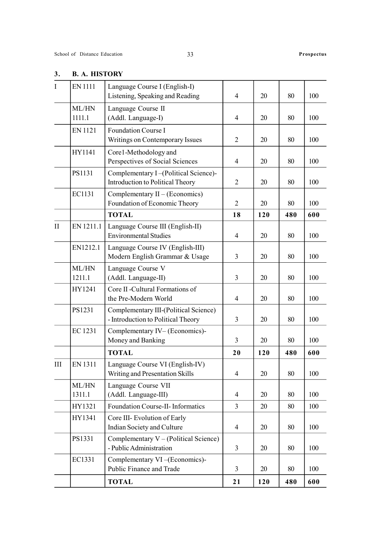| $\mathbf I$   | <b>EN1111</b>   | Language Course I (English-I)<br>Listening, Speaking and Reading            | $\overline{4}$ | 20  | 80  | 100 |
|---------------|-----------------|-----------------------------------------------------------------------------|----------------|-----|-----|-----|
|               | ML/HN<br>1111.1 | Language Course II<br>(Addl. Language-I)                                    | $\overline{4}$ | 20  | 80  | 100 |
|               | <b>EN1121</b>   | Foundation Course I<br>Writings on Contemporary Issues                      | $\overline{2}$ | 20  | 80  | 100 |
|               | HY1141          | Core1-Methodology and<br>Perspectives of Social Sciences                    | $\overline{4}$ | 20  | 80  | 100 |
|               | PS1131          | Complementary I-(Political Science)-<br>Introduction to Political Theory    | $\overline{2}$ | 20  | 80  | 100 |
|               | EC1131          | Complementary $II - (Economics)$<br>Foundation of Economic Theory           | $\overline{2}$ | 20  | 80  | 100 |
|               |                 | <b>TOTAL</b>                                                                | 18             | 120 | 480 | 600 |
| $\mathbf{II}$ | EN 1211.1       | Language Course III (English-II)<br><b>Environmental Studies</b>            | $\overline{4}$ | 20  | 80  | 100 |
|               | EN1212.1        | Language Course IV (English-III)<br>Modern English Grammar & Usage          | $\overline{3}$ | 20  | 80  | 100 |
|               | ML/HN<br>1211.1 | Language Course V<br>(Addl. Language-II)                                    | $\overline{3}$ | 20  | 80  | 100 |
|               | HY1241          | Core II -Cultural Formations of<br>the Pre-Modern World                     | $\overline{4}$ | 20  | 80  | 100 |
|               | PS1231          | Complementary III-(Political Science)<br>- Introduction to Political Theory | 3              | 20  | 80  | 100 |
|               | EC 1231         | Complementary IV-(Economics)-<br>Money and Banking                          | 3              | 20  | 80  | 100 |
|               |                 | <b>TOTAL</b>                                                                | 20             | 120 | 480 | 600 |
| Ш             | EN 1311         | Language Course VI (English-IV)<br>Writing and Presentation Skills          | $\overline{4}$ | 20  | 80  | 100 |
|               | ML/HN<br>1311.1 | Language Course VII<br>(Addl. Language-III)                                 | $\overline{4}$ | 20  | 80  | 100 |
|               | HY1321          | Foundation Course-II- Informatics                                           | $\overline{3}$ | 20  | 80  | 100 |
|               | HY1341          | Core III- Evolution of Early<br>Indian Society and Culture                  | $\overline{4}$ | 20  | 80  | 100 |
|               | PS1331          | Complementary $V - (Political Science)$<br>- Public Administration          | 3              | 20  | 80  | 100 |
|               | EC1331          | Complementary VI-(Economics)-<br>Public Finance and Trade                   | 3              | 20  | 80  | 100 |
|               |                 | <b>TOTAL</b>                                                                | 21             | 120 | 480 | 600 |

### 3. B. A. HISTORY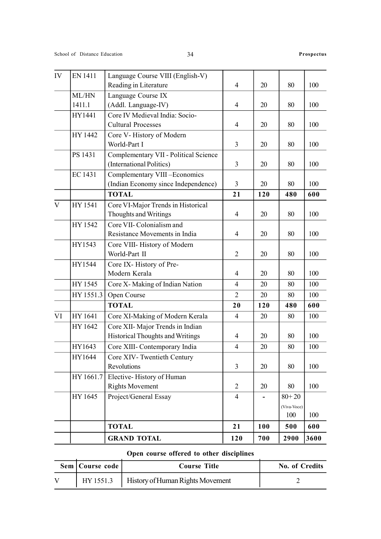|              |                 | <b>GRAND TOTAL</b>                                                   | 120            | 700 | 2900               | 3600 |
|--------------|-----------------|----------------------------------------------------------------------|----------------|-----|--------------------|------|
|              |                 | <b>TOTAL</b>                                                         | 21             | 100 | 500                | 600  |
|              |                 |                                                                      |                |     | (Viva-Voce)<br>100 | 100  |
|              | HY 1645         | Project/General Essay                                                | $\overline{4}$ |     | $80 + 20$          |      |
|              | HY 1661.7       | Elective-History of Human<br><b>Rights Movement</b>                  | $\overline{2}$ | 20  | 80                 | 100  |
|              | HY 1644         | Core XIV- Twentieth Century<br>Revolutions                           | $\overline{3}$ | 20  | 80                 | 100  |
|              | HY1643          | Core XIII- Contemporary India                                        | 4              | 20  | 80                 | 100  |
|              | HY 1642         | Core XII- Major Trends in Indian<br>Historical Thoughts and Writings | $\overline{4}$ | 20  | 80                 | 100  |
| VI           | HY 1641         | Core XI-Making of Modern Kerala                                      | $\overline{4}$ | 20  | 80                 | 100  |
|              |                 | <b>TOTAL</b>                                                         | 20             | 120 | 480                | 600  |
|              | HY 1551.3       | Open Course                                                          | $\overline{2}$ | 20  | 80                 | 100  |
|              | HY 1545         | Core X-Making of Indian Nation                                       | 4              | 20  | 80                 | 100  |
|              | HY1544          | Core IX-History of Pre-<br>Modern Kerala                             | $\overline{4}$ | 20  | 80                 | 100  |
|              | HY1543          | Core VIII- History of Modern<br>World-Part II                        | $\overline{2}$ | 20  | 80                 | 100  |
|              | HY 1542         | Core VII- Colonialism and<br>Resistance Movements in India           | 4              | 20  | 80                 | 100  |
| $\mathbf{V}$ | HY 1541         | Core VI-Major Trends in Historical<br>Thoughts and Writings          | $\overline{4}$ | 20  | 80                 | 100  |
|              |                 | <b>TOTAL</b>                                                         | 21             | 120 | 480                | 600  |
|              | EC 1431         | Complementary VIII-Economics<br>(Indian Economy since Independence)  | $\overline{3}$ | 20  | 80                 | 100  |
|              | PS 1431         | Complementary VII - Political Science<br>(International Politics)    | 3              | 20  | 80                 | 100  |
|              | HY 1442         | Core V-History of Modern<br>World-Part I                             | 3              | 20  | 80                 | 100  |
|              | HY1441          | Core IV Medieval India: Socio-<br><b>Cultural Processes</b>          | $\overline{4}$ | 20  | 80                 | 100  |
|              | ML/HN<br>1411.1 | Language Course IX<br>(Addl. Language-IV)                            | $\overline{4}$ | 20  | 80                 | 100  |
| IV           | <b>EN 1411</b>  | Language Course VIII (English-V)<br>Reading in Literature            | $\overline{4}$ | 20  | 80                 | 100  |

# Open course offered to other disciplines

|                   | Open course offered to other disciplines     |                       |
|-------------------|----------------------------------------------|-----------------------|
| Sem   Course code | <b>Course Title</b>                          | <b>No. of Credits</b> |
|                   | HY 1551.3   History of Human Rights Movement |                       |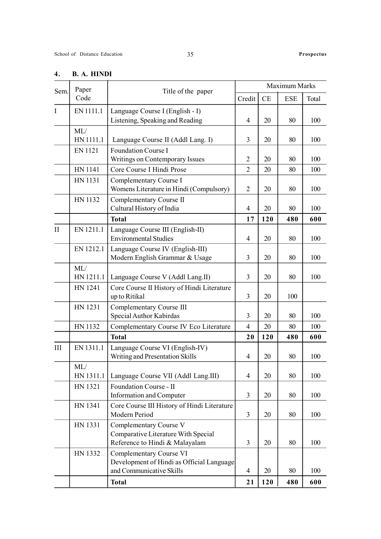### 4. B. A. HINDI

| Sem.         | Paper            | Title of the paper                                                                               |                |          | Maximum Marks |       |
|--------------|------------------|--------------------------------------------------------------------------------------------------|----------------|----------|---------------|-------|
|              | Code             |                                                                                                  | Credit         | $\rm CE$ | <b>ESE</b>    | Total |
| I            | EN 1111.1        | Language Course I (English - I)                                                                  |                |          |               |       |
|              |                  | Listening, Speaking and Reading                                                                  | $\overline{4}$ | 20       | 80            | 100   |
|              | ML/<br>HN 1111.1 | Language Course II (Addl Lang. I)                                                                | 3              | 20       | 80            | 100   |
|              | EN 1121          | Foundation Course I<br>Writings on Contemporary Issues                                           | $\overline{2}$ | 20       | 80            | 100   |
|              | HN 1141          | Core Course I Hindi Prose                                                                        | $\overline{2}$ | 20       | 80            | 100   |
|              | HN 1131          | Complementary Course I<br>Womens Literature in Hindi (Compulsory)                                | $\overline{2}$ | 20       | 80            | 100   |
|              | HN 1132          | Complementary Course II<br>Cultural History of India                                             | $\overline{4}$ | 20       | 80            | 100   |
|              |                  | <b>Total</b>                                                                                     | 17             | 120      | 480           | 600   |
| $\mathbf{I}$ | EN 1211.1        | Language Course III (English-II)<br><b>Environmental Studies</b>                                 | $\overline{4}$ | 20       | 80            | 100   |
|              | EN 1212.1        | Language Course IV (English-III)<br>Modern English Grammar & Usage                               | 3              | 20       | 80            | 100   |
|              | ML/<br>HN 1211.1 | Language Course V (Addl Lang.II)                                                                 | $\overline{3}$ | 20       | 80            | 100   |
|              | HN 1241          | Core Course II History of Hindi Literature<br>up to Ritikal                                      | 3              | 20       | 100           |       |
|              | HN 1231          | Complementary Course III<br>Special Author Kabirdas                                              | $\overline{3}$ | 20       | 80            | 100   |
|              | HN 1132          | Complementary Course IV Eco Literature                                                           | $\overline{4}$ | 20       | 80            | 100   |
|              |                  | <b>Total</b>                                                                                     | 20             | 120      | 480           | 600   |
| III          | EN 1311.1        | Language Course VI (English-IV)<br>Writing and Presentation Skills                               | $\overline{4}$ | 20       | 80            | 100   |
|              | ML/<br>HN 1311.1 | Language Course VII (Addl Lang.III)                                                              | 4              | 20       | 80            | 100   |
|              | HN 1321          | Foundation Course - II<br>Information and Computer                                               | $\overline{3}$ | 20       | 80            | 100   |
|              | HN 1341          | Core Course III History of Hindi Literature<br>Modern Period                                     | $\overline{3}$ | 20       | 80            | 100   |
|              | HN 1331          | Complementary Course V<br>Comparative Literature With Special<br>Reference to Hindi & Malayalam  | 3              | 20       | 80            | 100   |
|              | HN 1332          | Complementary Course VI<br>Development of Hindi as Official Language<br>and Communicative Skills | 4              | 20       | 80            | 100   |
|              |                  | <b>Total</b>                                                                                     | 21             | 120      | 480           | 600   |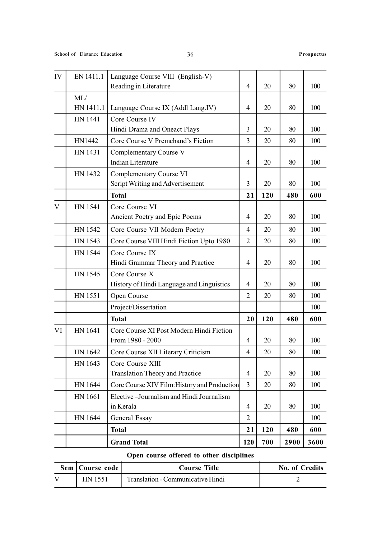| IV           | EN 1411.1 | Language Course VIII (English-V)<br>Reading in Literature    | 4              | 20  | 80   | 100  |
|--------------|-----------|--------------------------------------------------------------|----------------|-----|------|------|
|              | ML/       |                                                              |                |     |      |      |
|              | HN 1411.1 | Language Course IX (Addl Lang.IV)                            | $\overline{4}$ | 20  | 80   | 100  |
|              | HN 1441   | Core Course IV                                               |                |     |      |      |
|              |           | Hindi Drama and Oneact Plays                                 | 3              | 20  | 80   | 100  |
|              | HN1442    | Core Course V Premchand's Fiction                            | $\overline{3}$ | 20  | 80   | 100  |
|              | HN 1431   | Complementary Course V<br><b>Indian Literature</b>           | 4              | 20  | 80   | 100  |
|              | HN 1432   | Complementary Course VI<br>Script Writing and Advertisement  | 3              | 20  | 80   | 100  |
|              |           | <b>Total</b>                                                 | 21             | 120 | 480  | 600  |
| $\mathbf{V}$ | HN 1541   | Core Course VI                                               |                |     |      |      |
|              |           | Ancient Poetry and Epic Poems                                | $\overline{4}$ | 20  | 80   | 100  |
|              | HN 1542   | Core Course VII Modern Poetry                                | $\overline{4}$ | 20  | 80   | 100  |
|              | HN 1543   | Core Course VIII Hindi Fiction Upto 1980                     | $\overline{2}$ | 20  | 80   | 100  |
|              | HN 1544   | Core Course IX                                               |                |     |      |      |
|              |           | Hindi Grammar Theory and Practice                            | 4              | 20  | 80   | 100  |
|              | HN 1545   | Core Course X                                                |                |     |      |      |
|              |           | History of Hindi Language and Linguistics                    | 4              | 20  | 80   | 100  |
|              | HN 1551   | Open Course                                                  | $\overline{2}$ | 20  | 80   | 100  |
|              |           | Project/Dissertation                                         |                |     |      | 100  |
|              |           | <b>Total</b>                                                 | 20             | 120 | 480  | 600  |
| VI           | HN 1641   | Core Course XI Post Modern Hindi Fiction<br>From 1980 - 2000 | 4              | 20  | 80   | 100  |
|              | HN 1642   | Core Course XII Literary Criticism                           | 4              | 20  | 80   | 100  |
|              | HN 1643   | Core Course XIII                                             |                |     |      |      |
|              |           | <b>Translation Theory and Practice</b>                       | 4              | 20  | 80   | 100  |
|              | HN 1644   | Core Course XIV Film: History and Production                 | $\overline{3}$ | 20  | 80   | 100  |
|              | HN 1661   | Elective-Journalism and Hindi Journalism<br>in Kerala        | $\overline{4}$ | 20  | 80   | 100  |
|              | HN 1644   | General Essay                                                | $\overline{2}$ |     |      | 100  |
|              |           | <b>Total</b>                                                 | 21             | 120 | 480  | 600  |
|              |           | <b>Grand Total</b>                                           | 120            | 700 | 2900 | 3600 |

# Open course offered to other disciplines

 $\overline{a}$ 

 $\overline{\phantom{a}}$ 

| Sem   Course code | Course Title                      | No. of Credits |
|-------------------|-----------------------------------|----------------|
| HN 1551           | Translation - Communicative Hindi |                |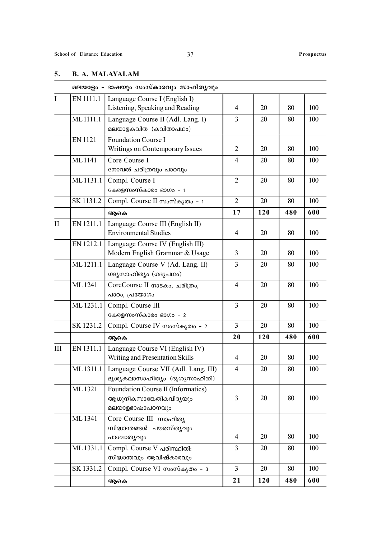### 5. B. A. MALAYALAM

|              |               | മലയാളം - ഭാഷയും സംസ്കാരവും സാഹിതൃവും                                            |                |     |     |     |
|--------------|---------------|---------------------------------------------------------------------------------|----------------|-----|-----|-----|
| $\mathbf I$  | EN 1111.1     | Language Course I (English I)<br>Listening, Speaking and Reading                | $\overline{4}$ | 20  | 80  | 100 |
|              | ML1111.1      | Language Course II (Adl. Lang. I)<br>മലയാളകവിത (കവിതാപഥം)                       | $\overline{3}$ | 20  | 80  | 100 |
|              | <b>EN1121</b> | Foundation Course I<br>Writings on Contemporary Issues                          | $\overline{2}$ | 20  | 80  | 100 |
|              | ML1141        | Core Course I<br>നോവൽ ചരിത്രവും പാഠവും                                          | 4              | 20  | 80  | 100 |
|              | ML 1131.1     | Compl. Course I<br>കേരളസംസ്കാരം ഭാഗം – 1                                        | $\overline{2}$ | 20  | 80  | 100 |
|              | SK 1131.2     | Compl. Course II സംസ്കൃതം - 1                                                   | $\overline{2}$ | 20  | 80  | 100 |
|              |               | ആകെ                                                                             | 17             | 120 | 480 | 600 |
| $\mathbf{I}$ | EN 1211.1     | Language Course III (English II)<br><b>Environmental Studies</b>                | $\overline{4}$ | 20  | 80  | 100 |
|              | EN 1212.1     | Language Course IV (English III)<br>Modern English Grammar & Usage              | 3              | 20  | 80  | 100 |
|              | ML1211.1      | Language Course V (Ad. Lang. II)<br>ഗദൃസാഹിത്യം (ഗദൃപഥം)                        | 3              | 20  | 80  | 100 |
|              | ML1241        | CoreCourse II mosao, ചരിത്രം,<br>പാഠം, പ്രയോഗം                                  | $\overline{4}$ | 20  | 80  | 100 |
|              | ML 1231.1     | Compl. Course III<br>കേരളസംസ്കാരം ഭാഗം – 2                                      | 3              | 20  | 80  | 100 |
|              | SK 1231.2     | Compl. Course IV സംസ്കൃതം - 2                                                   | $\overline{3}$ | 20  | 80  | 100 |
|              |               | ആകെ                                                                             | 20             | 120 | 480 | 600 |
| III          | EN 1311.1     | Language Course VI (English IV)<br>Writing and Presentation Skills              | $\overline{4}$ | 20  | 80  | 100 |
|              | ML1311.1      | Language Course VII (Adl. Lang. III)<br>ദൃശ്യകലാസാഹിത്യം (ദൃശ്യസാഹിതി)          | 4              | 20  | 80  | 100 |
|              | ML1321        | Foundation Course II (Informatics)<br>ആധുനികസാങ്കേതികവിദൃയും<br>മലയാളഭാഷാപഠനവും | 3              | 20  | 80  | 100 |
|              | ML1341        | Core Course III സാഹിത്യ<br>സിദ്ധാന്തങ്ങൾ: പൗരസ്തൃവും<br>പാശ്ചാതൃവും             | 4              | 20  | 80  | 100 |
|              | ML 1331.1     | Compl. Course V പരിസ്ഥിതി:<br>സിദ്ധാന്തവും ആവിഷ്കാരവും                          | 3              | 20  | 80  | 100 |
|              | SK 1331.2     | Compl. Course VI സംസ്കൃതം - 3                                                   | $\overline{3}$ | 20  | 80  | 100 |
|              |               | ആകെ                                                                             | 21             | 120 | 480 | 600 |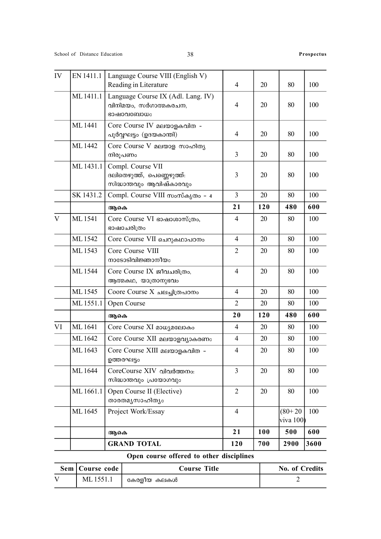|              | Open course offered to other disciplines |                                                                             |                |     |                        |      |  |  |  |  |
|--------------|------------------------------------------|-----------------------------------------------------------------------------|----------------|-----|------------------------|------|--|--|--|--|
|              |                                          | <b>GRAND TOTAL</b>                                                          | 120            | 700 | 2900                   | 3600 |  |  |  |  |
|              |                                          | ആകെ                                                                         | 21             | 100 | 500                    | 600  |  |  |  |  |
|              | ML 1645                                  | Project Work/Essay                                                          | $\overline{4}$ |     | $(80+20)$<br>viva 100) | 100  |  |  |  |  |
|              | ML 1661.1                                | Open Course II (Elective)<br>താരതമൃസാഹിതൃം                                  | $\overline{2}$ | 20  | 80                     | 100  |  |  |  |  |
|              | ML 1644                                  | CoreCourse XIV വിവർത്തനം:<br>സിദ്ധാന്തവും പ്രയോഗവും                         | 3              | 20  | 80                     | 100  |  |  |  |  |
|              | ML1643                                   | Core Course XIII മലയാളകവിത -<br>ഉത്തരഘട്ടം                                  | 4              | 20  | 80                     | 100  |  |  |  |  |
|              | ML 1642                                  | Core Course XII മലയാളവ്യാകരണം                                               | 4              | 20  | 80                     | 100  |  |  |  |  |
| VI           | ML1641                                   | Core Course XI മാധ്യമലോകം                                                   | 4              | 20  | 80                     | 100  |  |  |  |  |
|              |                                          | ആകെ                                                                         | 20             | 120 | 480                    | 600  |  |  |  |  |
|              | ML 1551.1                                | Open Course                                                                 | $\overline{2}$ | 20  | 80                     | 100  |  |  |  |  |
|              | ML 1545                                  | Coore Course X ചലച്ചിത്രപഠനം                                                | 4              | 20  | 80                     | 100  |  |  |  |  |
|              | ML 1544                                  | Core Course IX ജീവചരിത്രം,<br>ആത്മകഥ, യാത്രാനുഭവം                           | $\overline{4}$ | 20  | 80                     | 100  |  |  |  |  |
|              | ML1543                                   | Core Course VIII<br>നാടോടിവിജ്ഞാനീയം                                        | 2              | 20  | 80                     | 100  |  |  |  |  |
|              | ML1542                                   | Core Course VII ചെറുകഥാപഠനം                                                 | $\overline{4}$ | 20  | 80                     | 100  |  |  |  |  |
| $\mathbf{V}$ | ML1541                                   | Core Course VI ഭാഷാശാസ്ത്രം,<br>ഭാഷാചരിത്രം                                 | 4              | 20  | 80                     | 100  |  |  |  |  |
|              |                                          | ആകെ                                                                         | 21             | 120 | 480                    | 600  |  |  |  |  |
|              | SK 1431.2                                | Compl. Course VIII സംസ്കൃതം - 4                                             | $\overline{3}$ | 20  | 80                     | 100  |  |  |  |  |
|              | ML 1431.1                                | Compl. Course VII<br>ദലിതെഴുത്ത്, പെണ്ണെഴുത്ത്:<br>സിദ്ധാന്തവും ആവിഷ്കാരവും | 3              | 20  | 80                     | 100  |  |  |  |  |
|              | ML 1442                                  | Core Course V മലയാള സാഹിത്യ<br>നിരൂപണം                                      | 3              | 20  | 80                     | 100  |  |  |  |  |
|              | ML 1441                                  | Core Course IV മലയാളകവിത -<br>പൂർവ്വഘട്ടം (ഉദയകാന്തി)                       | 4              | 20  | 80                     | 100  |  |  |  |  |
|              | ML1411.1                                 | Language Course IX (Adl. Lang. IV)<br>വിനിമയം, സർഗാത്മകരചന,<br>ഭാഷാവബോധം    | 4              | 20  | 80                     | 100  |  |  |  |  |
| IV           | EN 1411.1                                | Language Course VIII (English V)<br>Reading in Literature                   | $\overline{4}$ | 20  | 80                     | 100  |  |  |  |  |

| Sem   Course code | <b>Course Title</b> | <b>No. of Credits</b> |
|-------------------|---------------------|-----------------------|
| ML1551.1          | കേരളീയ കലകൾ         |                       |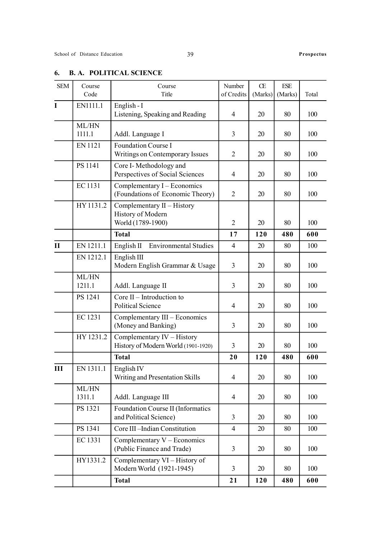| <b>SEM</b>   | Course<br>Code  | Course<br>Title                                                        | Number<br>of Credits | Œ<br>(Marks) | $\ensuremath{\text{ESE}}$<br>(Marks) | Total |
|--------------|-----------------|------------------------------------------------------------------------|----------------------|--------------|--------------------------------------|-------|
| $\mathbf I$  | EN1111.1        | English - I<br>Listening, Speaking and Reading                         | 4                    | 20           | 80                                   | 100   |
|              | ML/HN<br>1111.1 | Addl. Language I                                                       | 3                    | 20           | 80                                   | 100   |
|              | <b>EN 1121</b>  | Foundation Course I<br>Writings on Contemporary Issues                 | 2                    | 20           | 80                                   | 100   |
|              | PS 1141         | Core I-Methodology and<br>Perspectives of Social Sciences              | 4                    | 20           | 80                                   | 100   |
|              | EC 1131         | Complementary I - Economics<br>(Foundations of Economic Theory)        | $\overline{2}$       | 20           | 80                                   | 100   |
|              | HY 1131.2       | Complementary $II$ – History<br>History of Modern<br>World (1789-1900) | $\overline{2}$       | 20           | 80                                   | 100   |
|              |                 | <b>Total</b>                                                           | 17                   | 120          | 480                                  | 600   |
| $\mathbf{I}$ | EN 1211.1       | <b>Environmental Studies</b><br>English $\Pi$                          | $\overline{4}$       | 20           | 80                                   | 100   |
|              | EN 1212.1       | English III<br>Modern English Grammar & Usage                          | 3                    | 20           | 80                                   | 100   |
|              | ML/HN<br>1211.1 | Addl. Language II                                                      | 3                    | 20           | 80                                   | 100   |
|              | PS 1241         | Core $II$ – Introduction to<br><b>Political Science</b>                | 4                    | 20           | 80                                   | 100   |
|              | <b>EC1231</b>   | Complementary III - Economics<br>(Money and Banking)                   | 3                    | 20           | 80                                   | 100   |
|              | HY 1231.2       | Complementary IV - History<br>History of Modern World (1901-1920)      | 3                    | 20           | 80                                   | 100   |
|              |                 | <b>Total</b>                                                           | 20                   | 120          | 480                                  | 600   |
| Ш            | EN 1311.1       | English <sub>IV</sub><br>Writing and Presentation Skills               | $\overline{4}$       | 20           | 80                                   | 100   |
|              | ML/HN<br>1311.1 | Addl. Language III                                                     | $\overline{4}$       | 20           | 80                                   | 100   |
|              | PS 1321         | Foundation Course II (Informatics<br>and Political Science)            | 3                    | 20           | 80                                   | 100   |
|              | PS 1341         | Core III-Indian Constitution                                           | $\overline{4}$       | 20           | 80                                   | 100   |
|              | EC 1331         | Complementary $V -$ Economics<br>(Public Finance and Trade)            | 3                    | 20           | 80                                   | 100   |
|              | HY1331.2        | Complementary VI - History of<br>Modern World (1921-1945)              | 3                    | 20           | 80                                   | 100   |
|              |                 | <b>Total</b>                                                           | 21                   | 120          | 480                                  | 600   |

### 6. B. A. POLITICAL SCIENCE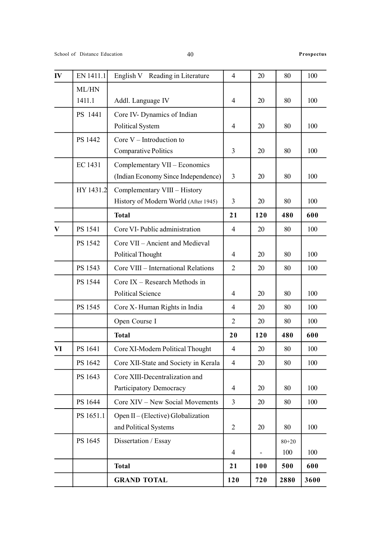| IV       | EN 1411.1       | English V Reading in Literature                                      | $\overline{4}$ | 20  | 80               | 100  |
|----------|-----------------|----------------------------------------------------------------------|----------------|-----|------------------|------|
|          | ML/HN<br>1411.1 | Addl. Language IV                                                    | $\overline{4}$ | 20  | 80               | 100  |
|          | PS 1441         | Core IV- Dynamics of Indian<br>Political System                      | 4              | 20  | 80               | 100  |
|          | PS 1442         | Core $V$ – Introduction to<br><b>Comparative Politics</b>            | 3              | 20  | 80               | 100  |
|          | EC 1431         | Complementary VII - Economics<br>(Indian Economy Since Independence) | $\overline{3}$ | 20  | 80               | 100  |
|          | HY 1431.2       | Complementary VIII - History<br>History of Modern World (After 1945) | 3              | 20  | 80               | 100  |
|          |                 | <b>Total</b>                                                         | 21             | 120 | 480              | 600  |
| $\bf{V}$ | PS 1541         | Core VI- Public administration                                       | $\overline{4}$ | 20  | 80               | 100  |
|          | PS 1542         | Core VII - Ancient and Medieval<br><b>Political Thought</b>          | $\overline{4}$ | 20  | 80               | 100  |
|          | PS 1543         | Core VIII - International Relations                                  | $\overline{2}$ | 20  | 80               | 100  |
|          | PS 1544         | Core IX - Research Methods in<br><b>Political Science</b>            | 4              | 20  | 80               | 100  |
|          | PS 1545         | Core X-Human Rights in India                                         | $\overline{4}$ | 20  | 80               | 100  |
|          |                 | Open Course I                                                        | $\overline{2}$ | 20  | 80               | 100  |
|          |                 | <b>Total</b>                                                         | 20             | 120 | 480              | 600  |
| VI       | PS 1641         | Core XI-Modern Political Thought                                     | 4              | 20  | 80               | 100  |
|          | PS 1642         | Core XII-State and Society in Kerala                                 | 4              | 20  | 80               | 100  |
|          | PS 1643         | Core XIII-Decentralization and<br>Participatory Democracy            | 4              | 20  | 80               | 100  |
|          | PS 1644         | Core XIV - New Social Movements                                      | $\overline{3}$ | 20  | 80               | 100  |
|          | PS 1651.1       | Open II – (Elective) Globalization<br>and Political Systems          | $\overline{2}$ | 20  | 80               | 100  |
|          | PS 1645         | Dissertation / Essay                                                 | $\overline{4}$ |     | $80 + 20$<br>100 | 100  |
|          |                 | <b>Total</b>                                                         | 21             | 100 | 500              | 600  |
|          |                 | <b>GRAND TOTAL</b>                                                   | 120            | 720 | 2880             | 3600 |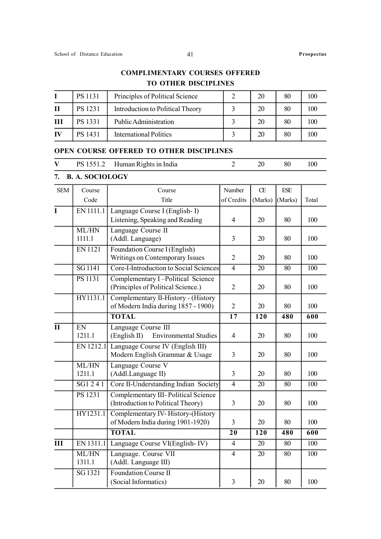### COMPLIMENTARY COURSES OFFERED TO OTHER DISCIPLINES

|    | <b>PS</b> 1131 | Principles of Political Science  | 20 | 80 | 100 |
|----|----------------|----------------------------------|----|----|-----|
| H  | <b>PS</b> 1231 | Introduction to Political Theory | 20 | 80 | 100 |
| Ш  | <b>PS 1331</b> | Public Administration            | 20 | 80 | 100 |
| IV | PS 1431        | <b>International Politics</b>    | 20 | 80 | 100 |

### OPEN COURSE OFFERED TO OTHER DISCIPLINES

| PS 1551.2 Human Rights in India<br>V |  |  | 80 |  |
|--------------------------------------|--|--|----|--|
|--------------------------------------|--|--|----|--|

### 7. B. A. SOCIOLOGY

| <b>SEM</b>                | Course          | Course                                       | Number          | Œ                | $\ensuremath{\text{ESE}}$ |                  |
|---------------------------|-----------------|----------------------------------------------|-----------------|------------------|---------------------------|------------------|
|                           | Code            | Title                                        | of Credits      | (Marks)          | (Marks)                   | Total            |
| $\mathbf I$               | EN 1111.1       | Language Course I (English-I)                |                 |                  |                           |                  |
|                           |                 | Listening, Speaking and Reading              | $\overline{4}$  | 20               | 80                        | 100              |
|                           | ML/HN           | Language Course II                           |                 |                  |                           |                  |
|                           | 1111.1          | (Addl. Language)                             | 3               | 20               | 80                        | 100              |
|                           | <b>EN1121</b>   | Foundation Course I (English)                |                 |                  |                           |                  |
|                           |                 | Writings on Contemporary Issues              | $\overline{2}$  | 20               | 80                        | 100              |
|                           | <b>SG1141</b>   | Core-I-Introduction to Social Sciences       | $\overline{4}$  | $\overline{20}$  | 80                        | $\overline{100}$ |
|                           | <b>PS</b> 1131  | Complementary I-Political Science            |                 |                  |                           |                  |
|                           |                 | (Principles of Political Science.)           | $\overline{2}$  | 20               | 80                        | 100              |
|                           | HY1131.1        | Complementary II-History - (History          |                 |                  |                           |                  |
|                           |                 | of Modern India during 1857 - 1900)          | $\overline{2}$  | 20               | 80                        | 100              |
|                           |                 | <b>TOTAL</b>                                 | $\overline{17}$ | $\overline{120}$ | 480                       | $\overline{600}$ |
| $\overline{\mathbf{H}}$   | $\overline{EN}$ | Language Course III                          |                 |                  |                           |                  |
|                           | 1211.1          | (English II)<br><b>Environmental Studies</b> | $\overline{4}$  | 20               | 80                        | 100              |
|                           | EN 1212.1       | Language Course IV (English III)             |                 |                  |                           |                  |
|                           |                 | Modern English Grammar & Usage               | $\overline{3}$  | 20               | 80                        | 100              |
|                           | ML/HN           | Language Course V                            |                 |                  |                           |                  |
|                           | 1211.1          | (Addl.Language II)                           | $\overline{3}$  | 20               | 80                        | 100              |
|                           | SG1241          | Core II-Understanding Indian Society         | $\overline{4}$  | 20               | 80                        | 100              |
|                           | <b>PS 1231</b>  | Complementary III- Political Science         |                 |                  |                           |                  |
|                           |                 | (Introduction to Political Theory)           | 3               | 20               | 80                        | 100              |
|                           | HY1231.1        | Complementary IV-History-(History            |                 |                  |                           |                  |
|                           |                 | of Modern India during 1901-1920)            | $\overline{3}$  | 20               | 80                        | 100              |
|                           |                 | <b>TOTAL</b>                                 | 20              | 120              | 480                       | 600              |
| $\overline{\mathbf{III}}$ | EN 1311.1       | Language Course VI(English-IV)               | $\overline{4}$  | 20               | 80                        | $\overline{100}$ |
|                           | ML/HN           | Language. Course VII                         | $\overline{4}$  | 20               | 80                        | 100              |
|                           | 1311.1          | (Addl. Language III)                         |                 |                  |                           |                  |
|                           | SG 1321         | Foundation Course II                         |                 |                  |                           |                  |
|                           |                 | (Social Informatics)                         | 3               | 20               | 80                        | 100              |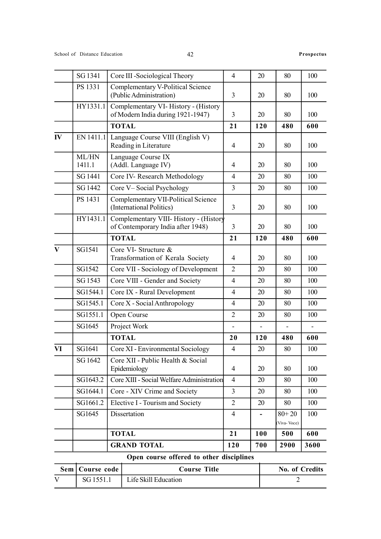| Sem                     | Course code     | <b>Course Title</b>                                                         |                          |                | No. of Credits           |      |
|-------------------------|-----------------|-----------------------------------------------------------------------------|--------------------------|----------------|--------------------------|------|
|                         |                 | Open course offered to other disciplines                                    |                          |                |                          |      |
|                         |                 | <b>GRAND TOTAL</b>                                                          | 120                      | 700            | 2900                     | 3600 |
|                         |                 | <b>TOTAL</b>                                                                | 21                       | 100            | 500                      | 600  |
|                         | SG1645          | Dissertation                                                                | 4                        | $\blacksquare$ | $80 + 20$<br>(Viva-Voce) | 100  |
|                         | SG1661.2        | Elective I - Tourism and Society                                            | $\overline{2}$           | 20             | 80                       | 100  |
|                         | SG1644.1        | Core - XIV Crime and Society                                                | $\overline{3}$           | 20             | 80                       | 100  |
|                         | SG1643.2        | Core XIII - Social Welfare Administration                                   | $\overline{4}$           | 20             | 80                       | 100  |
|                         | SG 1642         | Core XII - Public Health & Social<br>Epidemiology                           | 4                        | 20             | 80                       | 100  |
| VI                      | SG1641          | Core XI - Environmental Sociology                                           | $\overline{\mathcal{A}}$ | 20             | 80                       | 100  |
|                         |                 | <b>TOTAL</b>                                                                | 20                       | 120            | 480                      | 600  |
|                         | SG1645          | Project Work                                                                | $\blacksquare$           |                |                          |      |
|                         | SG1551.1        | Open Course                                                                 | $\overline{2}$           | 20             | 80                       | 100  |
|                         | SG1545.1        | Core X - Social Anthropology                                                | $\overline{4}$           | 20             | 80                       | 100  |
|                         | SG1544.1        | Core IX - Rural Development                                                 | $\overline{4}$           | 20             | 80                       | 100  |
|                         | SG 1543         | Core VIII - Gender and Society                                              | $\overline{4}$           | 20             | 80                       | 100  |
|                         | SG1542          | Core VII - Sociology of Development                                         | $\overline{2}$           | 20             | 80                       | 100  |
| $\overline{\mathbf{V}}$ | SG1541          | Core VI- Structure &<br>Transformation of Kerala Society                    | 4                        | 20             | 80                       | 100  |
|                         |                 | <b>TOTAL</b>                                                                | 21                       | 120            | 480                      | 600  |
|                         | HY1431.1        | Complementary VIII- History - (History<br>of Contemporary India after 1948) | 3                        | 20             | 80                       | 100  |
|                         | PS 1431         | <b>Complementary VII-Political Science</b><br>(International Politics)      | $\overline{3}$           | 20             | 80                       | 100  |
|                         | SG 1442         | Core V-Social Psychology                                                    | 3                        | 20             | 80                       | 100  |
|                         | SG 1441         | Core IV- Research Methodology                                               | $\overline{4}$           | 20             | 80                       | 100  |
|                         | ML/HN<br>1411.1 | Language Course IX<br>(Addl. Language IV)                                   | 4                        | 20             | 80                       | 100  |
| IV                      | EN 1411.1       | Language Course VIII (English V)<br>Reading in Literature                   | $\overline{4}$           | 20             | 80                       | 100  |
|                         |                 | <b>TOTAL</b>                                                                | 21                       | 120            | 480                      | 600  |
|                         | HY1331.1        | Complementary VI-History - (History<br>of Modern India during 1921-1947)    | 3                        | 20             | 80                       | 100  |
|                         | PS 1331         | Complementary V-Political Science<br>(Public Administration)                | $\overline{3}$           | 20             | 80                       | 100  |
|                         | SG 1341         | Core III -Sociological Theory                                               | $\overline{4}$           | 20             | 80                       | 100  |

| Sem   Course code | <b>Course Title</b>  | No. of Credits |
|-------------------|----------------------|----------------|
| SG 1551.1         | Life Skill Education |                |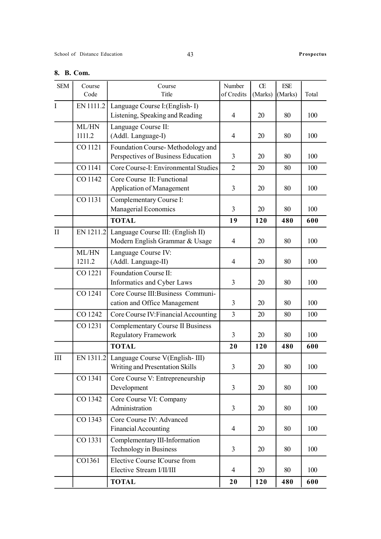### 8. B. Com.

| <b>SEM</b>  | Course    | Course                                                            | Number         | Œ       | ESE     |       |
|-------------|-----------|-------------------------------------------------------------------|----------------|---------|---------|-------|
|             | Code      | Title                                                             | of Credits     | (Marks) | (Marks) | Total |
| $\mathbf I$ | EN 1111.2 | Language Course I: (English-I)<br>Listening, Speaking and Reading | $\overline{4}$ | 20      | 80      | 100   |
|             | ML/HN     | Language Course II:                                               |                |         |         |       |
|             | 1111.2    | (Addl. Language-I)                                                | $\overline{4}$ | 20      | 80      | 100   |
|             | CO 1121   | Foundation Course-Methodology and                                 |                |         |         |       |
|             |           | Perspectives of Business Education                                | 3              | 20      | 80      | 100   |
|             | CO 1141   | Core Course-I: Environmental Studies                              | $\overline{2}$ | 20      | 80      | 100   |
|             | CO 1142   | Core Course II: Functional                                        |                |         |         |       |
|             |           | <b>Application of Management</b>                                  | 3              | 20      | 80      | 100   |
|             | CO 1131   | Complementary Course I:                                           |                |         |         |       |
|             |           | Managerial Economics                                              | 3              | 20      | 80      | 100   |
|             |           | <b>TOTAL</b>                                                      | 19             | 120     | 480     | 600   |
| II          | EN 1211.2 | Language Course III: (English II)                                 |                |         |         |       |
|             |           | Modern English Grammar & Usage                                    | $\overline{4}$ | 20      | 80      | 100   |
|             | ML/HN     | Language Course IV:                                               |                |         |         |       |
|             | 1211.2    | (Addl. Language-II)                                               | $\overline{4}$ | 20      | 80      | 100   |
|             | CO 1221   | Foundation Course II:                                             |                |         |         |       |
|             |           | Informatics and Cyber Laws                                        | 3              | 20      | 80      | 100   |
|             | CO 1241   | Core Course III: Business Communi-                                |                |         |         |       |
|             |           | cation and Office Management                                      | 3              | 20      | 80      | 100   |
|             | CO 1242   | Core Course IV: Financial Accounting                              | $\overline{3}$ | 20      | 80      | 100   |
|             | CO 1231   | <b>Complementary Course II Business</b>                           |                |         |         |       |
|             |           | <b>Regulatory Framework</b>                                       | 3              | 20      | 80      | 100   |
|             |           | <b>TOTAL</b>                                                      | 20             | 120     | 480     | 600   |
| III         | EN 1311.2 | Language Course V(English-III)                                    |                |         |         |       |
|             |           | Writing and Presentation Skills                                   | $\overline{3}$ | 20      | $80\,$  | 100   |
|             | CO 1341   | Core Course V: Entrepreneurship                                   |                |         |         |       |
|             |           | Development                                                       | $\overline{3}$ | 20      | 80      | 100   |
|             | CO 1342   | Core Course VI: Company                                           |                |         |         |       |
|             |           | Administration                                                    | $\overline{3}$ | 20      | 80      | 100   |
|             | CO 1343   | Core Course IV: Advanced                                          |                |         |         |       |
|             |           | <b>Financial Accounting</b>                                       | $\overline{4}$ | 20      | 80      | 100   |
|             | CO 1331   | Complementary III-Information                                     |                |         |         |       |
|             |           | Technology in Business                                            | $\mathfrak{Z}$ | 20      | 80      | 100   |
|             | CO1361    | Elective Course ICourse from                                      |                |         |         |       |
|             |           | Elective Stream I/II/III                                          | $\overline{4}$ | 20      | 80      | 100   |
|             |           | <b>TOTAL</b>                                                      | 20             | 120     | 480     | 600   |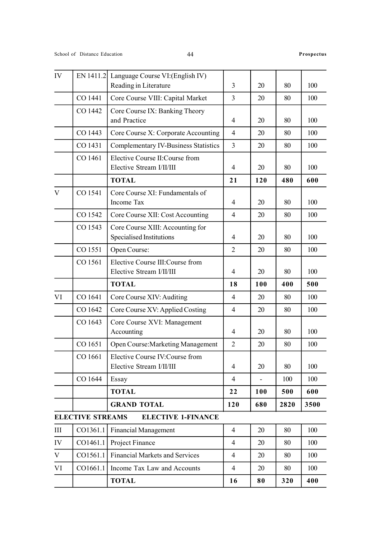| IV          | EN 1411.2               | Language Course VI: (English IV)<br>Reading in Literature    | $\overline{3}$ | 20                       | 80   | 100  |
|-------------|-------------------------|--------------------------------------------------------------|----------------|--------------------------|------|------|
|             | CO 1441                 | Core Course VIII: Capital Market                             | $\overline{3}$ | 20                       | 80   | 100  |
|             | CO 1442                 | Core Course IX: Banking Theory<br>and Practice               | $\overline{4}$ | 20                       | 80   | 100  |
|             | CO 1443                 | Core Course X: Corporate Accounting                          | $\overline{4}$ | 20                       | 80   | 100  |
|             | CO 1431                 | <b>Complementary IV-Business Statistics</b>                  | $\overline{3}$ | 20                       | 80   | 100  |
|             | CO 1461                 | Elective Course II: Course from<br>Elective Stream I/II/III  | $\overline{4}$ | 20                       | 80   | 100  |
|             |                         | <b>TOTAL</b>                                                 | 21             | 120                      | 480  | 600  |
| V           | CO 1541                 | Core Course XI: Fundamentals of<br>Income Tax                | $\overline{4}$ | 20                       | 80   | 100  |
|             | CO 1542                 | Core Course XII: Cost Accounting                             | $\overline{4}$ | 20                       | 80   | 100  |
|             | CO 1543                 | Core Course XIII: Accounting for<br>Specialised Institutions | $\overline{4}$ | 20                       | 80   | 100  |
|             | CO 1551                 | Open Course:                                                 | $\overline{2}$ | 20                       | 80   | 100  |
|             | CO 1561                 | Elective Course III: Course from<br>Elective Stream I/II/III | $\overline{4}$ | 20                       | 80   | 100  |
|             |                         | <b>TOTAL</b>                                                 | 18             | 100                      | 400  | 500  |
| VI          | CO 1641                 | Core Course XIV: Auditing                                    | $\overline{4}$ | 20                       | 80   | 100  |
|             | CO 1642                 | Core Course XV: Applied Costing                              | $\overline{4}$ | 20                       | 80   | 100  |
|             | CO 1643                 | Core Course XVI: Management<br>Accounting                    | $\overline{4}$ | 20                       | 80   | 100  |
|             | CO 1651                 | Open Course: Marketing Management                            | $\overline{2}$ | 20                       | 80   | 100  |
|             | CO 1661                 | Elective Course IV: Course from<br>Elective Stream I/II/III  | $\overline{4}$ | 20                       | 80   | 100  |
|             | CO 1644                 | Essay                                                        | $\overline{4}$ | $\overline{\phantom{a}}$ | 100  | 100  |
|             |                         | <b>TOTAL</b>                                                 | 22             | <b>100</b>               | 500  | 600  |
|             |                         | <b>GRAND TOTAL</b>                                           | 120            | 680                      | 2820 | 3500 |
|             | <b>ELECTIVE STREAMS</b> | <b>ELECTIVE 1-FINANCE</b>                                    |                |                          |      |      |
|             |                         |                                                              |                |                          |      |      |
| Ш           | CO1361.1                | <b>Financial Management</b>                                  | $\overline{4}$ | 20                       | 80   | 100  |
| IV          | CO1461.1                | Project Finance                                              | $\overline{4}$ | 20                       | 80   | 100  |
| $\mathbf V$ | CO1561.1                | <b>Financial Markets and Services</b>                        | $\overline{4}$ | 20                       | 80   | 100  |
| VI          | CO1661.1                | Income Tax Law and Accounts                                  | $\overline{4}$ | 20                       | 80   | 100  |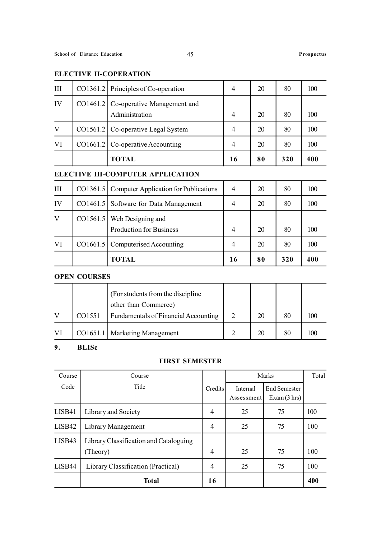### ELECTIVE II-COPERATION

| III | CO1361.2 Principles of Co-operation                      | 4  | 20 | 80  | 100 |
|-----|----------------------------------------------------------|----|----|-----|-----|
| IV  | CO1461.2   Co-operative Management and<br>Administration |    | 20 | 80  | 100 |
| V   | CO1561.2   Co-operative Legal System                     | 4  | 20 | 80  | 100 |
| VI  | CO1661.2   Co-operative Accounting                       | 4  | 20 | 80  | 100 |
|     | TOTAL                                                    | 16 | 80 | 320 | 400 |

### ELECTIVE III-COMPUTER APPLICATION

| Ш  | CO1361.5   Computer Application for Publications        | 4              | 20 | 80  | 100 |
|----|---------------------------------------------------------|----------------|----|-----|-----|
| IV | CO1461.5 Software for Data Management                   | 4              | 20 | 80  | 100 |
| V  | $CO1561.5$ Web Designing and<br>Production for Business | 4              | 20 | 80  | 100 |
| VI | CO1661.5 Computerised Accounting                        | $\overline{4}$ | 20 | 80  | 100 |
|    | <b>TOTAL</b>                                            | 16             | 80 | 320 | 400 |

### OPEN COURSES

|        | (For students from the discipline)                           |    |    |  |
|--------|--------------------------------------------------------------|----|----|--|
| CO1551 | other than Commerce)<br>Fundamentals of Financial Accounting | 20 | 80 |  |
|        | CO1651.1   Marketing Management                              |    | 80 |  |

### 9. BLISc

### FIRST SEMESTER

| Course | Course                                 |         |                        | Marks                              | Total |
|--------|----------------------------------------|---------|------------------------|------------------------------------|-------|
| Code   | Title                                  | Credits | Internal<br>Assessment | <b>End Semester</b><br>Exam(3 hrs) |       |
| LISB41 | Library and Society                    | 4       | 25                     | 75                                 | 100   |
| LISB42 | Library Management                     | 4       | 25                     | 75                                 | 100   |
| LISB43 | Library Classification and Cataloguing |         |                        |                                    |       |
|        | (Theory)                               | 4       | 25                     | 75                                 | 100   |
| LISB44 | Library Classification (Practical)     | 4       | 25                     | 75                                 | 100   |
|        | <b>Total</b>                           | 16      |                        |                                    | 400   |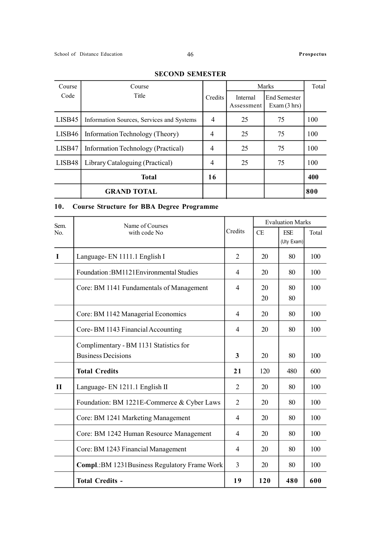| Course | Course                                    |         |                        | Marks                       | Total |
|--------|-------------------------------------------|---------|------------------------|-----------------------------|-------|
| Code   | Title                                     | Credits | Internal<br>Assessment | End Semester<br>Exam(3 hrs) |       |
| LISB45 | Information Sources, Services and Systems | 4       | 25                     | 75                          | 100   |
| LISB46 | Information Technology (Theory)           | 4       | 25                     | 75                          | 100   |
| LISB47 | Information Technology (Practical)        | 4       | 25                     | 75                          | 100   |
| LISB48 | Library Cataloguing (Practical)           | 4       | 25                     | 75                          | 100   |
|        | <b>Total</b>                              | 16      |                        |                             | 400   |
|        | <b>GRAND TOTAL</b>                        |         |                        |                             | 800   |

### SECOND SEMESTER

### 10. Course Structure for BBA Degree Programme

| Sem.           | Name of Courses                                |                |     | <b>Evaluation Marks</b> |       |
|----------------|------------------------------------------------|----------------|-----|-------------------------|-------|
| N <sub>0</sub> | with code No                                   | Credits        | CE  | <b>ESE</b>              | Total |
|                |                                                |                |     | (Uty Exam)              |       |
| $\mathbf I$    | Language-EN 1111.1 English I                   | $\overline{2}$ | 20  | 80                      | 100   |
|                | Foundation: BM1121 Environmental Studies       | 4              | 20  | 80                      | 100   |
|                | Core: BM 1141 Fundamentals of Management       | $\overline{4}$ | 20  | 80                      | 100   |
|                |                                                |                | 20  | 80                      |       |
|                | Core: BM 1142 Managerial Economics             | $\overline{4}$ | 20  | 80                      | 100   |
|                | Core-BM 1143 Financial Accounting              | $\overline{4}$ | 20  | 80                      | 100   |
|                | Complimentary - BM 1131 Statistics for         |                |     |                         |       |
|                | <b>Business Decisions</b>                      | 3              | 20  | 80                      | 100   |
|                | <b>Total Credits</b>                           | 21             | 120 | 480                     | 600   |
| $\mathbf{I}$   | Language- EN 1211.1 English II                 | 2              | 20  | 80                      | 100   |
|                | Foundation: BM 1221E-Commerce & Cyber Laws     | $\overline{2}$ | 20  | 80                      | 100   |
|                | Core: BM 1241 Marketing Management             | 4              | 20  | 80                      | 100   |
|                | Core: BM 1242 Human Resource Management        | 4              | 20  | 80                      | 100   |
|                | Core: BM 1243 Financial Management             | $\overline{4}$ | 20  | 80                      | 100   |
|                | Compl.: BM 1231 Business Regulatory Frame Work | 3              | 20  | 80                      | 100   |
|                | <b>Total Credits -</b>                         | 19             | 120 | 480                     | 600   |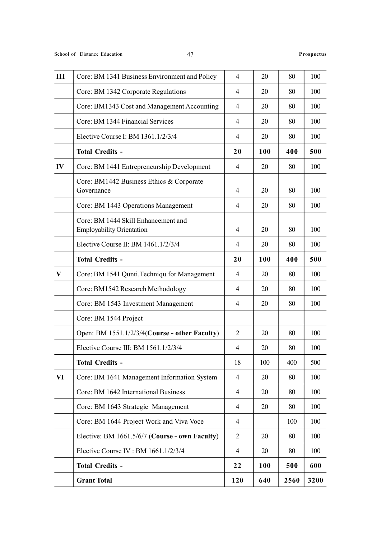| III      | Core: BM 1341 Business Environment and Policy                           | $\overline{4}$ | 20  | 80   | 100  |
|----------|-------------------------------------------------------------------------|----------------|-----|------|------|
|          | Core: BM 1342 Corporate Regulations                                     | $\overline{4}$ | 20  | 80   | 100  |
|          | Core: BM1343 Cost and Management Accounting                             | $\overline{4}$ | 20  | 80   | 100  |
|          | Core: BM 1344 Financial Services                                        | 4              | 20  | 80   | 100  |
|          | Elective Course I: BM 1361.1/2/3/4                                      | 4              | 20  | 80   | 100  |
|          | <b>Total Credits -</b>                                                  | 20             | 100 | 400  | 500  |
| IV       | Core: BM 1441 Entrepreneurship Development                              | 4              | 20  | 80   | 100  |
|          | Core: BM1442 Business Ethics & Corporate<br>Governance                  | 4              | 20  | 80   | 100  |
|          | Core: BM 1443 Operations Management                                     | $\overline{4}$ | 20  | 80   | 100  |
|          | Core: BM 1444 Skill Enhancement and<br><b>Employability Orientation</b> | $\overline{4}$ | 20  | 80   | 100  |
|          | Elective Course II: BM 1461.1/2/3/4                                     | 4              | 20  | 80   | 100  |
|          | <b>Total Credits -</b>                                                  | 20             | 100 | 400  | 500  |
| $\bf{V}$ | Core: BM 1541 Qunti. Techniqu. for Management                           | 4              | 20  | 80   | 100  |
|          | Core: BM1542 Research Methodology                                       | 4              | 20  | 80   | 100  |
|          | Core: BM 1543 Investment Management                                     | 4              | 20  | 80   | 100  |
|          | Core: BM 1544 Project                                                   |                |     |      |      |
|          | Open: BM 1551.1/2/3/4(Course - other Faculty)                           | 2              | 20  | 80   | 100  |
|          | Elective Course III: BM 1561.1/2/3/4                                    | 4              | 20  | 80   | 100  |
|          | <b>Total Credits -</b>                                                  | 18             | 100 | 400  | 500  |
| VI       | Core: BM 1641 Management Information System                             | $\overline{4}$ | 20  | 80   | 100  |
|          | Core: BM 1642 International Business                                    | 4              | 20  | 80   | 100  |
|          | Core: BM 1643 Strategic Management                                      | 4              | 20  | 80   | 100  |
|          | Core: BM 1644 Project Work and Viva Voce                                | 4              |     | 100  | 100  |
|          | Elective: BM 1661.5/6/7 (Course - own Faculty)                          | $\overline{2}$ | 20  | 80   | 100  |
|          | Elective Course IV : BM 1661.1/2/3/4                                    | 4              | 20  | 80   | 100  |
|          | <b>Total Credits -</b>                                                  | 22             | 100 | 500  | 600  |
|          | <b>Grant Total</b>                                                      | 120            | 640 | 2560 | 3200 |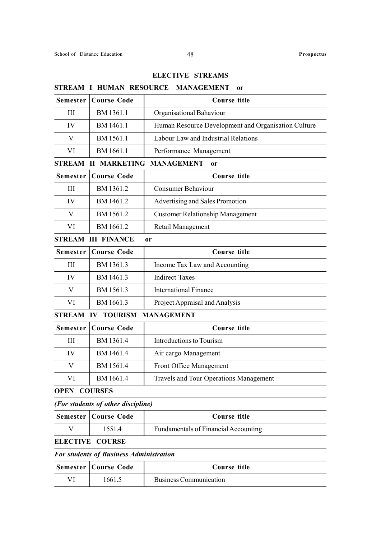### ELECTIVE STREAMS

| 9 I IVELATAI        | HUIVIAN RESUURUE                   | <b>NIARAULINILIA I</b>                              |
|---------------------|------------------------------------|-----------------------------------------------------|
| <b>Semester</b>     | <b>Course Code</b>                 | <b>Course title</b>                                 |
| III                 | BM 1361.1                          | Organisational Bahaviour                            |
| IV                  | BM 1461.1                          | Human Resource Development and Organisation Culture |
| V                   | BM 1561.1                          | Labour Law and Industrial Relations                 |
| VI                  | BM 1661.1                          | Performance Management                              |
| <b>STREAM</b>       | <b>MARKETING</b><br>Н              | <b>MANAGEMENT</b><br>or                             |
| <b>Semester</b>     | <b>Course Code</b>                 | <b>Course title</b>                                 |
| III                 | BM 1361.2                          | <b>Consumer Behaviour</b>                           |
| IV                  | BM 1461.2                          | Advertising and Sales Promotion                     |
| V                   | BM 1561.2                          | <b>Customer Relationship Management</b>             |
| VI                  | BM 1661.2                          | Retail Management                                   |
|                     | <b>STREAM III FINANCE</b>          | 0r                                                  |
| <b>Semester</b>     | <b>Course Code</b>                 | <b>Course title</b>                                 |
| Ш                   | BM 1361.3                          | Income Tax Law and Accounting                       |
| IV                  | BM 1461.3                          | <b>Indirect Taxes</b>                               |
| V                   | BM 1561.3                          | <b>International Finance</b>                        |
| VI                  | BM 1661.3                          | Project Appraisal and Analysis                      |
| <b>STREAM IV</b>    | <b>TOURISM</b>                     | <b>MANAGEMENT</b>                                   |
| <b>Semester</b>     | <b>Course Code</b>                 | <b>Course title</b>                                 |
| III                 | BM 1361.4                          | Introductions to Tourism                            |
| IV                  | BM 1461.4                          | Air cargo Management                                |
| V                   | BM 1561.4                          | Front Office Management                             |
| VI                  | BM 1661.4                          | <b>Travels and Tour Operations Management</b>       |
| <b>OPEN COURSES</b> |                                    |                                                     |
|                     | (For students of other discipline) |                                                     |
| <b>Semester</b>     | <b>Course Code</b>                 | <b>Course title</b>                                 |
| V                   | 1551.4                             | Fundamentals of Financial Accounting                |

### STREAM I HUMAN RESOURCE MANAGEMENT or

ELECTIVE COURSE

For students of Business Administration

| <b>Semester   Course Code</b> | Course title           |
|-------------------------------|------------------------|
| 1661.5                        | Business Communication |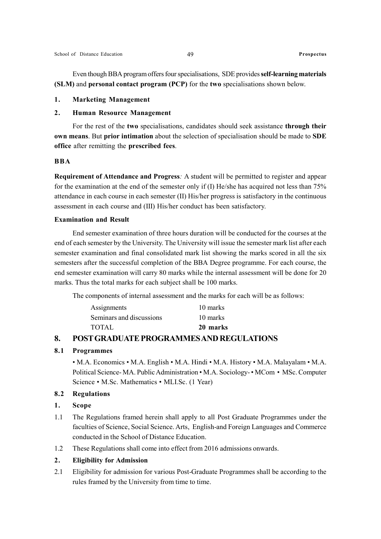Even though BBA program offers four specialisations, SDE provides self-learning materials (SLM) and personal contact program (PCP) for the two specialisations shown below.

### 1. Marketing Management

### 2. Human Resource Management

For the rest of the two specialisations, candidates should seek assistance through their own means. But prior intimation about the selection of specialisation should be made to SDE office after remitting the prescribed fees.

### BBA

Requirement of Attendance and Progress: A student will be permitted to register and appear for the examination at the end of the semester only if (I) He/she has acquired not less than 75% attendance in each course in each semester (II) His/her progress is satisfactory in the continuous assessment in each course and (III) His/her conduct has been satisfactory.

### Examination and Result

End semester examination of three hours duration will be conducted for the courses at the end of each semester by the University. The University will issue the semester mark list after each semester examination and final consolidated mark list showing the marks scored in all the six semesters after the successful completion of the BBA Degree programme. For each course, the end semester examination will carry 80 marks while the internal assessment will be done for 20 marks. Thus the total marks for each subject shall be 100 marks.

The components of internal assessment and the marks for each will be as follows:

| 10 marks |
|----------|
| 10 marks |
| 20 marks |
|          |

### 8. POST GRADUATE PROGRAMMES AND REGULATIONS

### 8.1 Programmes

• M.A. Economics • M.A. English • M.A. Hindi • M.A. History • M.A. Malayalam • M.A. Political Science- MA. Public Administration • M.A. Sociology- • MCom • MSc. Computer Science • M.Sc. Mathematics • MLI.Sc. (1 Year)

### 8.2 Regulations

### 1. Scope

- 1.1 The Regulations framed herein shall apply to all Post Graduate Programmes under the faculties of Science, Social Science. Arts, English-and Foreign Languages and Commerce conducted in the School of Distance Education.
- 1.2 These Regulations shall come into effect from 2016 admissions onwards.

### 2. Eligibility for Admission

2.1 Eligibility for admission for various Post-Graduate Programmes shall be according to the rules framed by the University from time to time.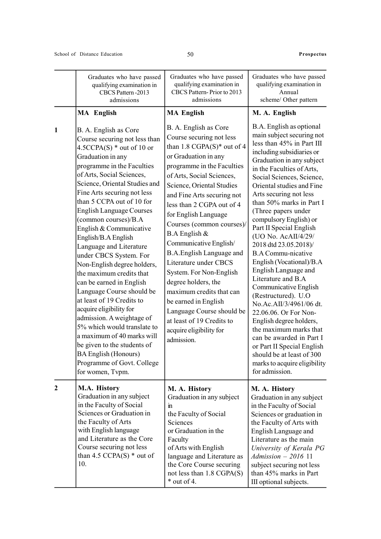|                  | Graduates who have passed<br>qualifying examination in<br>CBCS Pattern-2013<br>admissions                                                                                                                                                                                                                                                                                                                                                                                                                                                                                                                                                                                                                                                                                                                                  | Graduates who have passed<br>qualifying examination in<br>CBCS Pattern-Prior to 2013<br>admissions                                                                                                                                                                                                                                                                                                                                                                                                                                                                                                                              | Graduates who have passed<br>qualifying examination in<br>Annual<br>scheme/ Other pattern                                                                                                                                                                                                                                                                                                                                                                                                                                                                                                                                                                                                                                                                                                                                      |
|------------------|----------------------------------------------------------------------------------------------------------------------------------------------------------------------------------------------------------------------------------------------------------------------------------------------------------------------------------------------------------------------------------------------------------------------------------------------------------------------------------------------------------------------------------------------------------------------------------------------------------------------------------------------------------------------------------------------------------------------------------------------------------------------------------------------------------------------------|---------------------------------------------------------------------------------------------------------------------------------------------------------------------------------------------------------------------------------------------------------------------------------------------------------------------------------------------------------------------------------------------------------------------------------------------------------------------------------------------------------------------------------------------------------------------------------------------------------------------------------|--------------------------------------------------------------------------------------------------------------------------------------------------------------------------------------------------------------------------------------------------------------------------------------------------------------------------------------------------------------------------------------------------------------------------------------------------------------------------------------------------------------------------------------------------------------------------------------------------------------------------------------------------------------------------------------------------------------------------------------------------------------------------------------------------------------------------------|
|                  | <b>MA</b> English                                                                                                                                                                                                                                                                                                                                                                                                                                                                                                                                                                                                                                                                                                                                                                                                          | <b>MA English</b>                                                                                                                                                                                                                                                                                                                                                                                                                                                                                                                                                                                                               | M. A. English                                                                                                                                                                                                                                                                                                                                                                                                                                                                                                                                                                                                                                                                                                                                                                                                                  |
| $\mathbf{1}$     | B. A. English as Core<br>Course securing not less than<br>$4.5CCPA(S)$ * out of 10 or<br>Graduation in any<br>programme in the Faculties<br>of Arts, Social Sciences,<br>Science, Oriental Studies and<br>Fine Arts securing not less<br>than 5 CCPA out of 10 for<br><b>English Language Courses</b><br>(common courses)/B.A<br>English & Communicative<br>English/B.A English<br>Language and Literature<br>under CBCS System. For<br>Non-English degree holders,<br>the maximum credits that<br>can be earned in English<br>Language Course should be<br>at least of 19 Credits to<br>acquire eligibility for<br>admission. A weightage of<br>5% which would translate to<br>a maximum of 40 marks will<br>be given to the students of<br><b>BA English (Honours)</b><br>Programme of Govt. College<br>for women, Tvpm. | B. A. English as Core<br>Course securing not less<br>than 1.8 CGPA(S)* out of 4<br>or Graduation in any<br>programme in the Faculties<br>of Arts, Social Sciences,<br>Science, Oriental Studies<br>and Fine Arts securing not<br>less than 2 CGPA out of 4<br>for English Language<br>Courses (common courses)/<br>B.A English &<br>Communicative English/<br><b>B.A.English Language and</b><br>Literature under CBCS<br>System. For Non-English<br>degree holders, the<br>maximum credits that can<br>be earned in English<br>Language Course should be<br>at least of 19 Credits to<br>acquire eligibility for<br>admission. | B.A. English as optional<br>main subject securing not<br>less than 45% in Part III<br>including subsidiaries or<br>Graduation in any subject<br>in the Faculties of Arts,<br>Social Sciences, Science,<br>Oriental studies and Fine<br>Arts securing not less<br>than 50% marks in Part I<br>(Three papers under<br>compulsory English) or<br>Part II Special English<br>(UO No. AcAII/4/29/<br>2018 dtd 23.05.2018)/<br><b>B.A Commu-nicative</b><br>English (Vocational)/B.A<br>English Language and<br>Literature and B.A<br>Communicative English<br>(Restructured). U.O<br>No.Ac.AII/3/4961/06 dt.<br>22.06.06. Or For Non-<br>English degree holders,<br>the maximum marks that<br>can be awarded in Part I<br>or Part II Special English<br>should be at least of 300<br>marks to acquire eligibility<br>for admission. |
| $\boldsymbol{2}$ | M.A. History<br>Graduation in any subject<br>in the Faculty of Social<br>Sciences or Graduation in<br>the Faculty of Arts<br>with English language<br>and Literature as the Core<br>Course securing not less<br>than 4.5 CCPA $(S)$ * out of<br>10.                                                                                                                                                                                                                                                                                                                                                                                                                                                                                                                                                                        | M. A. History<br>Graduation in any subject<br>$\mathbf{m}$<br>the Faculty of Social<br>Sciences<br>or Graduation in the<br>Faculty<br>of Arts with English<br>language and Literature as<br>the Core Course securing<br>not less than 1.8 CGPA(S)<br>$*$ out of 4.                                                                                                                                                                                                                                                                                                                                                              | M. A. History<br>Graduation in any subject<br>in the Faculty of Social<br>Sciences or graduation in<br>the Faculty of Arts with<br>English Language and<br>Literature as the main<br>University of Kerala PG<br>$Admission - 2016$ 11<br>subject securing not less<br>than 45% marks in Part<br>III optional subjects.                                                                                                                                                                                                                                                                                                                                                                                                                                                                                                         |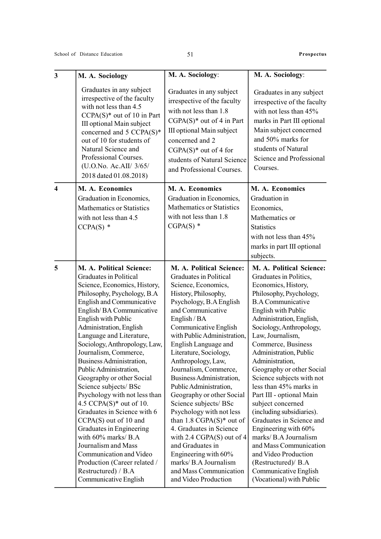| $\mathbf{3}$            | M. A. Sociology                                                                                                                                                                                                                                                                                                                                                                                                                                                                                                                                                                                                                                                                                                                               | M. A. Sociology:                                                                                                                                                                                                                                                                                                                                                                                                                                                                                                                                                                                                                                                                                   | M. A. Sociology:                                                                                                                                                                                                                                                                                                                                                                                                                                                                                                                                                                                                                                                                           |
|-------------------------|-----------------------------------------------------------------------------------------------------------------------------------------------------------------------------------------------------------------------------------------------------------------------------------------------------------------------------------------------------------------------------------------------------------------------------------------------------------------------------------------------------------------------------------------------------------------------------------------------------------------------------------------------------------------------------------------------------------------------------------------------|----------------------------------------------------------------------------------------------------------------------------------------------------------------------------------------------------------------------------------------------------------------------------------------------------------------------------------------------------------------------------------------------------------------------------------------------------------------------------------------------------------------------------------------------------------------------------------------------------------------------------------------------------------------------------------------------------|--------------------------------------------------------------------------------------------------------------------------------------------------------------------------------------------------------------------------------------------------------------------------------------------------------------------------------------------------------------------------------------------------------------------------------------------------------------------------------------------------------------------------------------------------------------------------------------------------------------------------------------------------------------------------------------------|
|                         | Graduates in any subject<br>irrespective of the faculty<br>with not less than 4.5<br>$CCPA(S)^*$ out of 10 in Part<br>III optional Main subject<br>concerned and 5 CCPA(S)*<br>out of 10 for students of<br>Natural Science and<br>Professional Courses.<br>(U.O.No. Ac.AII/ 3/65/<br>2018 dated 01.08.2018)                                                                                                                                                                                                                                                                                                                                                                                                                                  | Graduates in any subject<br>irrespective of the faculty<br>with not less than 1.8<br>$CGPA(S)*$ out of 4 in Part<br>III optional Main subject<br>concerned and 2<br>$CGPA(S)*$ out of 4 for<br>students of Natural Science<br>and Professional Courses.                                                                                                                                                                                                                                                                                                                                                                                                                                            | Graduates in any subject<br>irrespective of the faculty<br>with not less than 45%<br>marks in Part III optional<br>Main subject concerned<br>and 50% marks for<br>students of Natural<br>Science and Professional<br>Courses.                                                                                                                                                                                                                                                                                                                                                                                                                                                              |
| $\overline{\mathbf{4}}$ | M. A. Economics<br>Graduation in Economics,<br><b>Mathematics or Statistics</b><br>with not less than 4.5<br>$CCPA(S)$ *                                                                                                                                                                                                                                                                                                                                                                                                                                                                                                                                                                                                                      | M. A. Economics<br>Graduation in Economics,<br><b>Mathematics or Statistics</b><br>with not less than 1.8<br>$CGPA(S)$ *                                                                                                                                                                                                                                                                                                                                                                                                                                                                                                                                                                           | M. A. Economics<br>Graduation in<br>Economics,<br>Mathematics or<br><b>Statistics</b><br>with not less than 45%<br>marks in part III optional<br>subjects.                                                                                                                                                                                                                                                                                                                                                                                                                                                                                                                                 |
| 5                       | M. A. Political Science:<br>Graduates in Political<br>Science, Economics, History,<br>Philosophy, Psychology, B.A<br>English and Communicative<br>English/BA Communicative<br>English with Public<br>Administration, English<br>Language and Literature,<br>Sociology, Anthropology, Law,<br>Journalism, Commerce,<br>Business Administration,<br>Public Administration,<br>Geography or other Social<br>Science subjects/ BSc<br>Psychology with not less than<br>4.5 CCPA $(S)^*$ out of 10.<br>Graduates in Science with 6<br>$CCPA(S)$ out of 10 and<br>Graduates in Engineering<br>with 60% marks/ B.A<br>Journalism and Mass<br>Communication and Video<br>Production (Career related /<br>Restructured) / B.A<br>Communicative English | M. A. Political Science:<br>Graduates in Political<br>Science, Economics,<br>History, Philosophy,<br>Psychology, B.A English<br>and Communicative<br>English / BA<br>Communicative English<br>with Public Administration,<br>English Language and<br>Literature, Sociology,<br>Anthropology, Law,<br>Journalism, Commerce,<br>Business Administration,<br>Public Administration,<br>Geography or other Social<br>Science subjects/ BSc<br>Psychology with not less<br>than $1.8 \text{ CGPA}(S)^*$ out of<br>4. Graduates in Science<br>with $2.4 \text{ CGPA}(S)$ out of 4<br>and Graduates in<br>Engineering with 60%<br>marks/ B.A Journalism<br>and Mass Communication<br>and Video Production | M. A. Political Science:<br>Graduates in Politics,<br>Economics, History,<br>Philosophy, Psychology,<br><b>B.A Communicative</b><br><b>English with Public</b><br>Administration, English,<br>Sociology, Anthropology,<br>Law, Journalism,<br>Commerce, Business<br>Administration, Public<br>Administration,<br>Geography or other Social<br>Science subjects with not<br>less than 45% marks in<br>Part III - optional Main<br>subject concerned<br>(including subsidiaries).<br>Graduates in Science and<br>Engineering with 60%<br>marks/ B.A Journalism<br>and Mass Communication<br>and Video Production<br>(Restructured)/ B.A<br>Communicative English<br>(Vocational) with Public |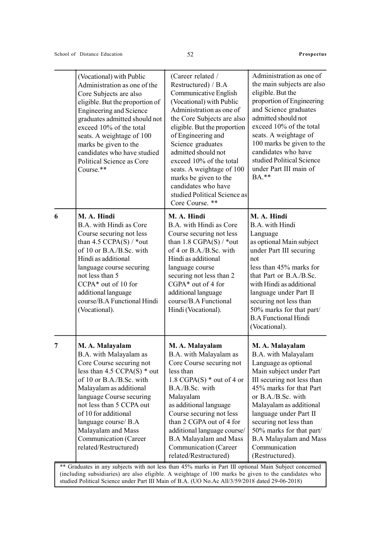|   | (Vocational) with Public<br>Administration as one of the<br>Core Subjects are also<br>eligible. But the proportion of<br><b>Engineering and Science</b><br>graduates admitted should not<br>exceed 10% of the total<br>seats. A weightage of 100<br>marks be given to the<br>candidates who have studied<br>Political Science as Core<br>Course.** | (Career related /<br>Restructured) / B.A<br>Communicative English<br>(Vocational) with Public<br>Administration as one of<br>the Core Subjects are also<br>eligible. But the proportion<br>of Engineering and<br>Science graduates<br>admitted should not<br>exceed 10% of the total<br>seats. A weightage of 100<br>marks be given to the<br>candidates who have<br>studied Political Science as<br>Core Course. ** | Administration as one of<br>the main subjects are also<br>eligible. But the<br>proportion of Engineering<br>and Science graduates<br>admitted should not<br>exceed 10% of the total<br>seats. A weightage of<br>100 marks be given to the<br>candidates who have<br>studied Political Science<br>under Part III main of<br>BA.**                         |
|---|----------------------------------------------------------------------------------------------------------------------------------------------------------------------------------------------------------------------------------------------------------------------------------------------------------------------------------------------------|----------------------------------------------------------------------------------------------------------------------------------------------------------------------------------------------------------------------------------------------------------------------------------------------------------------------------------------------------------------------------------------------------------------------|----------------------------------------------------------------------------------------------------------------------------------------------------------------------------------------------------------------------------------------------------------------------------------------------------------------------------------------------------------|
| 6 | M. A. Hindi<br>B.A. with Hindi as Core<br>Course securing not less<br>than $4.5$ CCPA(S) / *out<br>of 10 or B.A./B.Sc. with<br>Hindi as additional<br>language course securing<br>not less than 5<br>CCPA* out of 10 for<br>additional language<br>course/B.A Functional Hindi<br>(Vocational).                                                    | M. A. Hindi<br>B.A. with Hindi as Core<br>Course securing not less<br>than 1.8 CGPA $(S)$ / *out<br>of 4 or B.A./B.Sc. with<br>Hindi as additional<br>language course<br>securing not less than 2<br>CGPA* out of 4 for<br>additional language<br>course/B.A Functional<br>Hindi (Vocational).                                                                                                                       | M. A. Hindi<br>B.A. with Hindi<br>Language<br>as optional Main subject<br>under Part III securing<br>not<br>less than 45% marks for<br>that Part or B.A./B.Sc.<br>with Hindi as additional<br>language under Part II<br>securing not less than<br>50% marks for that part/<br><b>B.A Functional Hindi</b><br>(Vocational).                               |
| 7 | M. A. Malayalam<br>B.A. with Malayalam as<br>Core Course securing not<br>less than $4.5$ CCPA(S) $*$ out<br>of 10 or B.A./B.Sc. with<br>Malayalam as additional<br>language Course securing<br>not less than 5 CCPA out<br>of 10 for additional<br>language course/ B.A<br>Malayalam and Mass<br>Communication (Career<br>related/Restructured)    | M. A. Malayalam<br>B.A. with Malayalam as<br>Core Course securing not<br>less than<br>1.8 CGPA $(S)$ * out of 4 or<br>B.A./B.Sc. with<br>Malayalam<br>as additional language<br>Course securing not less<br>than 2 CGPA out of 4 for<br>additional language course/<br><b>B.A Malayalam and Mass</b><br>Communication (Career<br>related/Restructured)                                                               | M. A. Malayalam<br>B.A. with Malayalam<br>Language as optional<br>Main subject under Part<br>III securing not less than<br>45% marks for that Part<br>or B.A./B.Sc. with<br>Malayalam as additional<br>language under Part II<br>securing not less than<br>50% marks for that part/<br><b>B.A Malayalam and Mass</b><br>Communication<br>(Restructured). |

\*\* Graduates in any subjects with not less than 45% marks in Part III optional Main Subject concerned (including subsidiaries) are also eligible. A weightage of 100 marks be given to the candidates who studied Political Science under Part III Main of B.A. (UO No.Ac All/3/59/2018 dated 29-06-2018)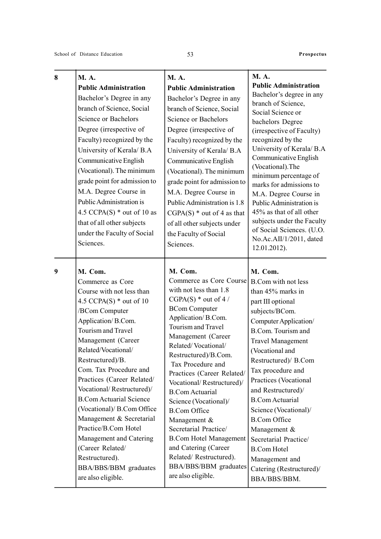| 8 | <b>M.A.</b>                              | <b>M.A.</b>                                         | <b>M.A.</b>                                      |
|---|------------------------------------------|-----------------------------------------------------|--------------------------------------------------|
|   | <b>Public Administration</b>             | <b>Public Administration</b>                        | <b>Public Administration</b>                     |
|   | Bachelor's Degree in any                 | Bachelor's Degree in any                            | Bachelor's degree in any                         |
|   | branch of Science, Social                | branch of Science, Social                           | branch of Science,<br>Social Science or          |
|   | Science or Bachelors                     | Science or Bachelors                                | bachelors Degree                                 |
|   | Degree (irrespective of                  | Degree (irrespective of                             | (irrespective of Faculty)                        |
|   | Faculty) recognized by the               | Faculty) recognized by the                          | recognized by the                                |
|   | University of Kerala/ B.A                | University of Kerala/ B.A                           | University of Kerala/ B.A                        |
|   | Communicative English                    | Communicative English                               | Communicative English                            |
|   | (Vocational). The minimum                | (Vocational). The minimum                           | (Vocational).The                                 |
|   | grade point for admission to             | grade point for admission to                        | minimum percentage of<br>marks for admissions to |
|   | M.A. Degree Course in                    | M.A. Degree Course in                               | M.A. Degree Course in                            |
|   | Public Administration is                 | Public Administration is 1.8                        | Public Administration is                         |
|   | 4.5 CCPA(S) $*$ out of 10 as             | $CGPA(S) * out of 4 as that$                        | 45% as that of all other                         |
|   | that of all other subjects               | of all other subjects under                         | subjects under the Faculty                       |
|   | under the Faculty of Social              | the Faculty of Social                               | of Social Sciences. (U.O.                        |
|   | Sciences.                                | Sciences.                                           | No.Ac.AII/1/2011, dated                          |
|   |                                          |                                                     | 12.01.2012).                                     |
| 9 | M. Com.                                  | M. Com.                                             | M. Com.                                          |
|   | Commerce as Core                         | Commerce as Core Course                             | B.Com with not less                              |
|   | Course with not less than                | with not less than 1.8                              | than 45% marks in                                |
|   | 4.5 CCPA(S) $*$ out of 10                | $CGPA(S) * out of 4 /$<br><b>BCom Computer</b>      | part III optional                                |
|   | /BCom Computer                           | Application/B.Com.                                  | subjects/BCom.                                   |
|   | Application/B.Com.<br>Tourism and Travel | Tourism and Travel                                  | Computer Application/                            |
|   | Management (Career                       | Management (Career                                  | B.Com. Tourism and                               |
|   | Related/Vocational/                      | Related/Vocational/                                 | <b>Travel Management</b><br>(Vocational and      |
|   | Restructured)/B.                         | Restructured)/B.Com.                                | Restructured)/ B.Com                             |
|   | Com. Tax Procedure and                   | Tax Procedure and                                   | Tax procedure and                                |
|   | Practices (Career Related/               | Practices (Career Related/                          | Practices (Vocational                            |
|   | Vocational/Restructured)/                | Vocational/Restructured)/<br><b>B.Com Actuarial</b> | and Restructured)/                               |
|   | <b>B.Com Actuarial Science</b>           | Science (Vocational)/                               | <b>B.Com Actuarial</b>                           |
|   | (Vocational)/ B.Com Office               | <b>B.Com Office</b>                                 | Science (Vocational)/                            |
|   | Management & Secretarial                 | Management &                                        | <b>B.Com Office</b>                              |
|   | Practice/B.Com Hotel                     | Secretarial Practice/                               | Management &                                     |
|   | Management and Catering                  | <b>B.Com Hotel Management</b>                       | Secretarial Practice/                            |
|   | (Career Related/                         | and Catering (Career                                | <b>B.Com Hotel</b>                               |
|   | Restructured).                           | Related/Restructured).                              | Management and                                   |
|   | BBA/BBS/BBM graduates                    | BBA/BBS/BBM graduates                               | Catering (Restructured)/                         |
|   | are also eligible.                       | are also eligible.                                  | BBA/BBS/BBM.                                     |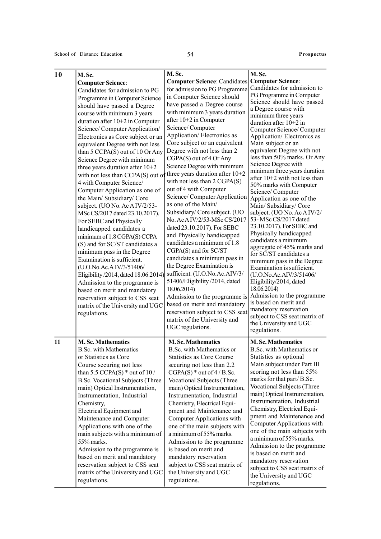| 10 | M. Sc.<br><b>Computer Science:</b><br>Candidates for admission to PG<br>Programme in Computer Science<br>should have passed a Degree<br>course with minimum 3 years<br>duration after $10+2$ in Computer<br>Science/Computer Application/<br>Electronics as Core subject or an<br>equivalent Degree with not less<br>than 5 CCPA(S) out of 10 Or Any<br>Science Degree with minimum<br>three years duration after $10+2$<br>with not less than CCPA(S) out of<br>4 with Computer Science/<br>Computer Application as one of<br>the Main/ Subsidiary/ Core<br>subject. (UO No. Ac AIV/2/53-<br>MSc CS/2017 dated 23.10.2017).<br>For SEBC and Physically<br>handicapped candidates a<br>minimum of 1.8 CGPA(S) CCPA<br>(S) and for SC/ST candidates a<br>minimum pass in the Degree<br>Examination is sufficient.<br>(U.O.No.Ac.A IV/3/51406/<br>Eligibility /2014, dated 18.06.2014)<br>Admission to the programme is<br>based on merit and mandatory<br>reservation subject to CSS seat<br>matrix of the University and UGC<br>regulations. | M.Sc.<br><b>Computer Science: Candidates</b><br>for admission to PG Programme<br>in Computer Science should<br>have passed a Degree course<br>with minimum 3 years duration<br>after 10+2 in Computer<br>Science/Computer<br>Application/Electronics as<br>Core subject or an equivalent<br>Degree with not less than 2<br>CGPA(S) out of 4 Or Any<br>Science Degree with minimum<br>three years duration after $10+2$<br>with not less than 2 CGPA(S)<br>out of 4 with Computer<br>Science/Computer Application<br>as one of the Main/<br>Subsidiary/Core subject. (UO<br>No. Ac AIV/2/53-MSc CS/2017<br>dated 23.10.2017). For SEBC<br>and Physically handicapped<br>candidates a minimum of 1.8<br>CGPA(S) and for SC/ST<br>candidates a minimum pass in<br>the Degree Examination is<br>sufficient. (U.O.No.Ac.AIV/3/<br>51406/Eligibility/2014, dated<br>18.06.2014)<br>Admission to the programme is<br>based on merit and mandatory<br>reservation subject to CSS seat<br>matrix of the University and<br>UGC regulations. | M. Sc.<br><b>Computer Science:</b><br>Candidates for admission to<br>PG Programme in Computer<br>Science should have passed<br>a Degree course with<br>minimum three years<br>duration after $10+2$ in<br>Computer Science/Computer<br>Application/Electronics as<br>Main subject or an<br>equivalent Degree with not<br>less than 50% marks. Or Any<br>Science Degree with<br>minimum three years duration<br>after 10+2 with not less than<br>50% marks with Computer<br>Science/Computer<br>Application as one of the<br>Main/Subsidiary/Core<br>subject. (UO No. Ac A IV/2/<br>53-MSc CS/2017 dated<br>23.10.2017). For SEBC and<br>Physically handicapped<br>candidates a minimum<br>aggregate of 45% marks and<br>for SC/ST candidates a<br>minimum pass in the Degree<br>Examination is sufficient.<br>(U.O.No.Ac.AIV/3/51406/<br>Eligibility/2014, dated<br>18.06.2014)<br>Admission to the programme<br>is based on merit and<br>mandatory reservation<br>subject to CSS seat matrix of<br>the University and UGC<br>regulations. |
|----|----------------------------------------------------------------------------------------------------------------------------------------------------------------------------------------------------------------------------------------------------------------------------------------------------------------------------------------------------------------------------------------------------------------------------------------------------------------------------------------------------------------------------------------------------------------------------------------------------------------------------------------------------------------------------------------------------------------------------------------------------------------------------------------------------------------------------------------------------------------------------------------------------------------------------------------------------------------------------------------------------------------------------------------------|-----------------------------------------------------------------------------------------------------------------------------------------------------------------------------------------------------------------------------------------------------------------------------------------------------------------------------------------------------------------------------------------------------------------------------------------------------------------------------------------------------------------------------------------------------------------------------------------------------------------------------------------------------------------------------------------------------------------------------------------------------------------------------------------------------------------------------------------------------------------------------------------------------------------------------------------------------------------------------------------------------------------------------------|--------------------------------------------------------------------------------------------------------------------------------------------------------------------------------------------------------------------------------------------------------------------------------------------------------------------------------------------------------------------------------------------------------------------------------------------------------------------------------------------------------------------------------------------------------------------------------------------------------------------------------------------------------------------------------------------------------------------------------------------------------------------------------------------------------------------------------------------------------------------------------------------------------------------------------------------------------------------------------------------------------------------------------------------|
| 11 | <b>M. Sc. Mathematics</b><br><b>B.Sc. with Mathematics</b><br>or Statistics as Core<br>Course securing not less<br>than 5.5 CCPA(S) $*$ out of 10/<br>B.Sc. Vocational Subjects (Three<br>main) Optical Instrumentation,<br>Instrumentation, Industrial<br>Chemistry,<br>Electrical Equipment and<br>Maintenance and Computer<br>Applications with one of the<br>main subjects with a minimum of<br>55% marks.<br>Admission to the programme is<br>based on merit and mandatory<br>reservation subject to CSS seat<br>matrix of the University and UGC<br>regulations.                                                                                                                                                                                                                                                                                                                                                                                                                                                                       | <b>M.Sc. Mathematics</b><br>B.Sc. with Mathematics or<br>Statistics as Core Course<br>securing not less than 2.2<br>$CGPA(S) * out of 4 / B.$ Sc.<br>Vocational Subjects (Three<br>main) Optical Instrumentation,<br>Instrumentation, Industrial<br>Chemistry, Electrical Equi-<br>pment and Maintenance and<br>Computer Applications with<br>one of the main subjects with<br>a minimum of 55% marks.<br>Admission to the programme<br>is based on merit and<br>mandatory reservation<br>subject to CSS seat matrix of<br>the University and UGC<br>regulations.                                                                                                                                                                                                                                                                                                                                                                                                                                                                 | <b>M.Sc. Mathematics</b><br>B.Sc. with Mathematics or<br>Statistics as optional<br>Main subject under Part III<br>scoring not less than 55%<br>marks for that part/B.Sc.<br>Vocational Subjects (Three<br>main) Optical Instrumentation,<br>Instrumentation, Industrial<br>Chemistry, Electrical Equi-<br>pment and Maintenance and<br>Computer Applications with<br>one of the main subjects with<br>a minimum of 55% marks.<br>Admission to the programme<br>is based on merit and<br>mandatory reservation<br>subject to CSS seat matrix of<br>the University and UGC<br>regulations.                                                                                                                                                                                                                                                                                                                                                                                                                                                   |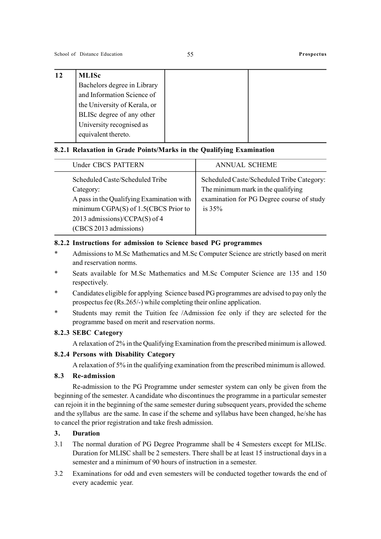| 12 | <b>MLISc</b>                 |
|----|------------------------------|
|    | Bachelors degree in Library  |
|    | and Information Science of   |
|    | the University of Kerala, or |
|    | BLISc degree of any other    |
|    | University recognised as     |
|    | equivalent thereto.          |
|    |                              |

### 8.2.1 Relaxation in Grade Points/Marks in the Qualifying Examination

| Under CBCS PATTERN                                                                                                                                                                              | <b>ANNUAL SCHEME</b>                                                                                                                     |
|-------------------------------------------------------------------------------------------------------------------------------------------------------------------------------------------------|------------------------------------------------------------------------------------------------------------------------------------------|
| Scheduled Caste/Scheduled Tribe<br>Category:<br>A pass in the Qualifying Examination with<br>minimum CGPA $(S)$ of 1.5(CBCS Prior to<br>2013 admissions)/CCPA(S) of 4<br>(CBCS 2013 admissions) | Scheduled Caste/Scheduled Tribe Category:<br>The minimum mark in the qualifying<br>examination for PG Degree course of study<br>is $35%$ |

### 8.2.2 Instructions for admission to Science based PG programmes

- \* Admissions to M.Sc Mathematics and M.Sc Computer Science are strictly based on merit and reservation norms.
- Seats available for M.Sc Mathematics and M.Sc Computer Science are 135 and 150 respectively.
- Candidates eligible for applying Science based PG programmes are advised to pay only the prospectus fee (Rs.265/-) while completing their online application.
- Students may remit the Tuition fee /Admission fee only if they are selected for the programme based on merit and reservation norms.

### 8.2.3 SEBC Category

A relaxation of 2% in the Qualifying Examination from the prescribed minimum is allowed.

### 8.2.4 Persons with Disability Category

A relaxation of 5% in the qualifying examination from the prescribed minimum is allowed.

### 8.3 Re-admission

Re-admission to the PG Programme under semester system can only be given from the beginning of the semester. A candidate who discontinues the programme in a particular semester can rejoin it in the beginning of the same semester during subsequent years, provided the scheme and the syllabus are the same. In case if the scheme and syllabus have been changed, he/she has to cancel the prior registration and take fresh admission.

### 3. Duration

- 3.1 The normal duration of PG Degree Programme shall be 4 Semesters except for MLISc. Duration for MLISC shall be 2 semesters. There shall be at least 15 instructional days in a semester and a minimum of 90 hours of instruction in a semester.
- 3.2 Examinations for odd and even semesters will be conducted together towards the end of every academic year.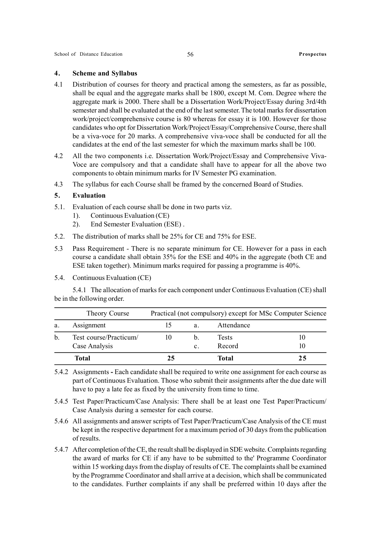### 4. Scheme and Syllabus

- 4.1 Distribution of courses for theory and practical among the semesters, as far as possible, shall be equal and the aggregate marks shall be 1800, except M. Com. Degree where the aggregate mark is 2000. There shall be a Dissertation Work/Project/Essay during 3rd/4th semester and shall be evaluated at the end of the last semester. The total marks for dissertation work/project/comprehensive course is 80 whereas for essay it is 100. However for those candidates who opt for Dissertation Work/Project/Essay/Comprehensive Course, there shall be a viva-voce for 20 marks. A comprehensive viva-voce shall be conducted for all the candidates at the end of the last semester for which the maximum marks shall be 100.
- 4.2 All the two components i.e. Dissertation Work/Project/Essay and Comprehensive Viva-Voce are compulsory and that a candidate shall have to appear for all the above two components to obtain minimum marks for IV Semester PG examination.
- 4.3 The syllabus for each Course shall be framed by the concerned Board of Studies.

### 5. Evaluation

- 5.1. Evaluation of each course shall be done in two parts viz.
	- 1). Continuous Evaluation (CE)
	- 2). End Semester Evaluation (ESE) .
- 5.2. The distribution of marks shall be 25% for CE and 75% for ESE.
- 5.3 Pass Requirement There is no separate minimum for CE. However for a pass in each course a candidate shall obtain 35% for the ESE and 40% in the aggregate (both CE and ESE taken together). Minimum marks required for passing a programme is 40%.
- 5.4. Continuous Evaluation (CE)

5.4.1 The allocation of marks for each component under Continuous Evaluation (CE) shall be in the following order.

|    | Theory Course          |    |                | Practical (not compulsory) except for MSc Computer Science |    |
|----|------------------------|----|----------------|------------------------------------------------------------|----|
| a. | Assignment             |    | a.             | Attendance                                                 |    |
| b. | Test course/Practicum/ | 10 | b.             | <b>Tests</b>                                               | 10 |
|    | Case Analysis          |    | $\mathbf{c}$ . | Record                                                     | 10 |
|    | Total                  | 25 |                | Total                                                      | 25 |

5.4.2 Assignments - Each candidate shall be required to write one assignment for each course as part of Continuous Evaluation. Those who submit their assignments after the due date will have to pay a late fee as fixed by the university from time to time.

- 5.4.5 Test Paper/Practicum/Case Analysis: There shall be at least one Test Paper/Practicum/ Case Analysis during a semester for each course.
- 5.4.6 All assignments and answer scripts of Test Paper/Practicum/Case Analysis of the CE must be kept in the respective department for a maximum period of 30 days from the publication of results.
- 5.4.7 After completion of the CE, the result shall be displayed in SDE website. Complaints regarding the award of marks for CE if any have to be submitted to the' Programme Coordinator within 15 working days from the display of results of CE. The complaints shall be examined by the Programme Coordinator and shall arrive at a decision, which shall be communicated to the candidates. Further complaints if any shall be preferred within 10 days after the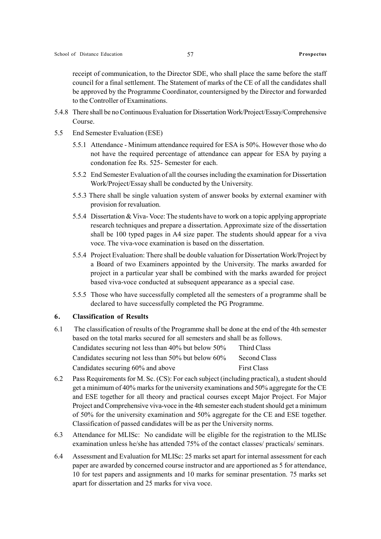receipt of communication, to the Director SDE, who shall place the same before the staff council for a final settlement. The Statement of marks of the CE of all the candidates shall be approved by the Programme Coordinator, countersigned by the Director and forwarded to the Controller of Examinations.

- 5.4.8 There shall be no Continuous Evaluation for Dissertation Work/Project/Essay/Comprehensive Course.
- 5.5 End Semester Evaluation (ESE)
	- 5.5.1 Attendance Minimum attendance required for ESA is 50%. However those who do not have the required percentage of attendance can appear for ESA by paying a condonation fee Rs. 525- Semester for each.
	- 5.5.2 End Semester Evaluation of all the courses including the examination for Dissertation Work/Project/Essay shall be conducted by the University.
	- 5.5.3 There shall be single valuation system of answer books by external examiner with provision for revaluation.
	- 5.5.4 Dissertation & Viva- Voce: The students have to work on a topic applying appropriate research techniques and prepare a dissertation. Approximate size of the dissertation shall be 100 typed pages in A4 size paper. The students should appear for a viva voce. The viva-voce examination is based on the dissertation.
	- 5.5.4 Project Evaluation: There shall be double valuation for Dissertation Work/Project by a Board of two Examiners appointed by the University. The marks awarded for project in a particular year shall be combined with the marks awarded for project based viva-voce conducted at subsequent appearance as a special case.
	- 5.5.5 Those who have successfully completed all the semesters of a programme shall be declared to have successfully completed the PG Programme.

### 6. Classification of Results

6.1 The classification of results of the Programme shall be done at the end of the 4th semester based on the total marks secured for all semesters and shall be as follows. Candidates securing not less than 40% but below 50% Third Class

| Candidates securing not less than 50% but below 60% | Second Class       |
|-----------------------------------------------------|--------------------|
| Candidates securing 60% and above                   | <b>First Class</b> |

- 6.2 Pass Requirements for M. Sc. (CS): For each subject (including practical), a student should get a minimum of 40% marks for the university examinations and 50% aggregate for the CE and ESE together for all theory and practical courses except Major Project. For Major Project and Comprehensive viva-voce in the 4th semester each student should get a minimum of 50% for the university examination and 50% aggregate for the CE and ESE together. Classification of passed candidates will be as per the University norms.
- 6.3 Attendance for MLISc: No candidate will be eligible for the registration to the MLISc examination unless he/she has attended 75% of the contact classes/ practicals/ seminars.
- 6.4 Assessment and Evaluation for MLISc: 25 marks set apart for internal assessment for each paper are awarded by concerned course instructor and are apportioned as 5 for attendance, 10 for test papers and assignments and 10 marks for seminar presentation. 75 marks set apart for dissertation and 25 marks for viva voce.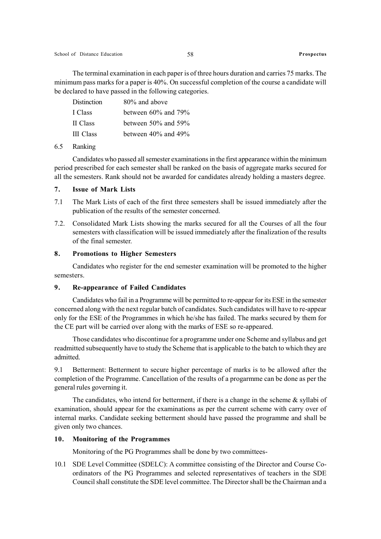The terminal examination in each paper is of three hours duration and carries 75 marks. The minimum pass marks for a paper is 40%. On successful completion of the course a candidate will be declared to have passed in the following categories.

| between 60% and 79%       |
|---------------------------|
| between $50\%$ and $59\%$ |
| between $40\%$ and $49\%$ |
|                           |

### 6.5 Ranking

Candidates who passed all semester examinations in the first appearance within the minimum period prescribed for each semester shall be ranked on the basis of aggregate marks secured for all the semesters. Rank should not be awarded for candidates already holding a masters degree.

### 7. Issue of Mark Lists

- 7.1 The Mark Lists of each of the first three semesters shall be issued immediately after the publication of the results of the semester concerned.
- 7.2. Consolidated Mark Lists showing the marks secured for all the Courses of all the four semesters with classification will be issued immediately after the finalization of the results of the final semester.

### 8. Promotions to Higher Semesters

Candidates who register for the end semester examination will be promoted to the higher semesters.

### 9. Re-appearance of Failed Candidates

Candidates who fail in a Programme will be permitted to re-appear for its ESE in the semester concerned along with the next regular batch of candidates. Such candidates will have to re-appear only for the ESE of the Programmes in which he/she has failed. The marks secured by them for the CE part will be carried over along with the marks of ESE so re-appeared.

Those candidates who discontinue for a programme under one Scheme and syllabus and get readmitted subsequently have to study the Scheme that is applicable to the batch to which they are admitted.

9.1 Betterment: Betterment to secure higher percentage of marks is to be allowed after the completion of the Programme. Cancellation of the results of a progarmme can be done as per the general rules governing it.

The candidates, who intend for betterment, if there is a change in the scheme & syllabi of examination, should appear for the examinations as per the current scheme with carry over of internal marks. Candidate seeking betterment should have passed the programme and shall be given only two chances.

### 10. Monitoring of the Programmes

Monitoring of the PG Programmes shall be done by two committees-

10.1 SDE Level Committee (SDELC): A committee consisting of the Director and Course Coordinators of the PG Programmes and selected representatives of teachers in the SDE Council shall constitute the SDE level committee. The Director shall be the Chairman and a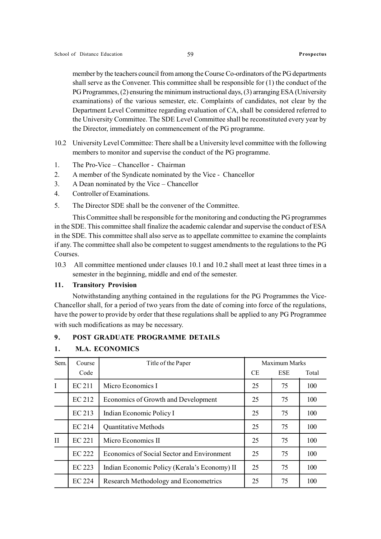member by the teachers council from among the Course Co-ordinators of the PG departments shall serve as the Convener. This committee shall be responsible for (1) the conduct of the PG Programmes, (2) ensuring the minimum instructional days, (3) arranging ESA (University examinations) of the various semester, etc. Complaints of candidates, not clear by the Department Level Committee regarding evaluation of CA, shall be considered referred to the University Committee. The SDE Level Committee shall be reconstituted every year by the Director, immediately on commencement of the PG programme.

- 10.2 University Level Committee: There shall be a University level committee with the following members to monitor and supervise the conduct of the PG programme.
- 1. The Pro-Vice Chancellor Chairman
- 2. A member of the Syndicate nominated by the Vice Chancellor
- 3. A Dean nominated by the Vice Chancellor
- 4. Controller of Examinations.
- 5. The Director SDE shall be the convener of the Committee.

This Committee shall be responsible for the monitoring and conducting the PG programmes in the SDE. This committee shall finalize the academic calendar and supervise the conduct of ESA in the SDE. This committee shall also serve as to appellate committee to examine the complaints if any. The committee shall also be competent to suggest amendments to the regulations to the PG Courses.

10.3 All committee mentioned under clauses 10.1 and 10.2 shall meet at least three times in a semester in the beginning, middle and end of the semester.

### 11. Transitory Provision

Notwithstanding anything contained in the regulations for the PG Programmes the Vice-Chancellor shall, for a period of two years from the date of coming into force of the regulations, have the power to provide by order that these regulations shall be applied to any PG Programmee with such modifications as may be necessary.

### 9. POST GRADUATE PROGRAMME DETAILS

| Sem.         | Course        | Title of the Paper                           | Maximum Marks |            |       |
|--------------|---------------|----------------------------------------------|---------------|------------|-------|
|              | Code          |                                              | <b>CE</b>     | <b>ESE</b> | Total |
| $\mathbf I$  | EC 211        | Micro Economics I                            | 25            | 75         | 100   |
|              | EC 212        | Economics of Growth and Development          | 25            | 75         | 100   |
|              | EC 213        | Indian Economic Policy I                     | 25            | 75         | 100   |
|              | <b>EC 214</b> | Quantitative Methods                         | 25            | 75         | 100   |
| $\mathbf{H}$ | <b>EC 221</b> | Micro Economics II                           | 25            | 75         | 100   |
|              | <b>EC 222</b> | Economics of Social Sector and Environment   | 25            | 75         | 100   |
|              | EC 223        | Indian Economic Policy (Kerala's Economy) II | 25            | 75         | 100   |
|              | <b>EC 224</b> | Research Methodology and Econometrics        | 25            | 75         | 100   |

### 1. M.A. ECONOMICS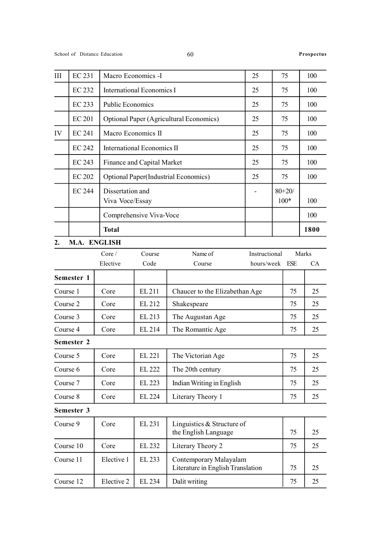| III | <b>EC 231</b> | Macro Economics -I                           | 25 | 75                   | 100  |
|-----|---------------|----------------------------------------------|----|----------------------|------|
|     | <b>EC 232</b> | International Economics I                    | 25 | 75                   | 100  |
|     | EC 233        | <b>Public Economics</b>                      | 25 | 75                   | 100  |
|     | <b>EC 201</b> | Optional Paper (Agricultural Economics)      | 25 | 75                   | 100  |
| IV  | EC 241        | Macro Economics II                           | 25 | 75                   | 100  |
|     | <b>EC 242</b> | <b>International Economics II</b>            | 25 | 75                   | 100  |
|     | EC 243        | Finance and Capital Market                   | 25 | 75                   | 100  |
|     | <b>EC 202</b> | <b>Optional Paper</b> (Industrial Economics) | 25 | 75                   | 100  |
|     | <b>EC 244</b> | Dissertation and<br>Viva Voce/Essay          |    | $80 + 20/$<br>$100*$ | 100  |
|     |               | Comprehensive Viva-Voce                      |    |                      | 100  |
|     |               | <b>Total</b>                                 |    |                      | 1800 |

### 2. M.A. ENGLISH

|            | Core/    | Course | Instructional<br>Name of       | Marks |           |
|------------|----------|--------|--------------------------------|-------|-----------|
|            | Elective | Code   | hours/week FSE<br>Course       |       | <b>CA</b> |
| Semester 1 |          |        |                                |       |           |
| Course 1   | Core     | EL 211 | Chaucer to the Elizabethan Age | 75    | 25        |
| Course 2   | Core     | EL 212 | Shakespeare                    | 75    | 25        |
| Course 3   | Core     | EL 213 | The Augustan Age               | 75    | 25        |
| Course 4   | Core     | EL 214 | The Romantic Age               | 75    | 25        |

Semester 2

| Course 5 | Core | EL 221 | The Victorian Age         | 75 | 25 |
|----------|------|--------|---------------------------|----|----|
| Course 6 | Core | EL 222 | The 20th century          | 75 | 25 |
| Course 7 | Core | EL 223 | Indian Writing in English | 75 | 25 |
| Course 8 | Core | EL 224 | Literary Theory 1         | 75 | 25 |

| Semester 3 |  |
|------------|--|
|            |  |

| Course 9  | Core       | EL 231 | Linguistics & Structure of<br>the English Language          | 75 | 25 |
|-----------|------------|--------|-------------------------------------------------------------|----|----|
| Course 10 | Core       | EL 232 | Literary Theory 2                                           | 75 | 25 |
| Course 11 | Elective 1 | EL 233 | Contemporary Malayalam<br>Literature in English Translation | 75 | 25 |
| Course 12 | Elective 2 | EL 234 | Dalit writing                                               | 75 | 25 |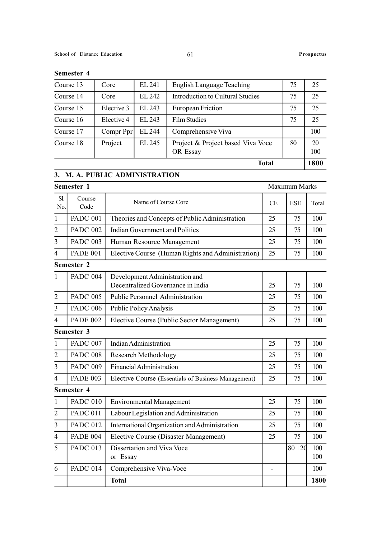|           |            |        | <b>Total</b>                                  |    | 1800      |
|-----------|------------|--------|-----------------------------------------------|----|-----------|
| Course 18 | Project    | EL 245 | Project & Project based Viva Voce<br>OR Essay | 80 | 20<br>100 |
| Course 17 | Compr Ppr  | EL 244 | Comprehensive Viva                            |    | 100       |
| Course 16 | Elective 4 | EL 243 | <b>Film Studies</b>                           | 75 | 25        |
| Course 15 | Elective 3 | EL 243 | European Friction                             | 75 | 25        |
| Course 14 | Core       | EL 242 | Introduction to Cultural Studies              | 75 | 25        |
| Course 13 | Core       | EL 241 | <b>English Language Teaching</b>              | 75 | 25        |
|           |            |        |                                               |    |           |

### Semester 4

### 3. M. A. PUBLIC ADMINISTRATION

|                | Semester 1      |                                                                     |    | Maximum Marks |            |
|----------------|-----------------|---------------------------------------------------------------------|----|---------------|------------|
| Sl.<br>No.     | Course<br>Code  | Name of Course Core                                                 | CE | <b>ESE</b>    | Total      |
| $\mathbf{1}$   | <b>PADC 001</b> | Theories and Concepts of Public Administration                      | 25 | 75            | 100        |
| $\overline{2}$ | <b>PADC 002</b> | <b>Indian Government and Politics</b>                               | 25 | 75            | 100        |
| 3              | <b>PADC 003</b> | Human Resource Management                                           | 25 | 75            | 100        |
| 4              | <b>PADE 001</b> | Elective Course (Human Rights and Administration)                   | 25 | 75            | 100        |
|                | Semester 2      |                                                                     |    |               |            |
| 1              | <b>PADC 004</b> | Development Administration and<br>Decentralized Governance in India | 25 | 75            | 100        |
| $\overline{2}$ | <b>PADC 005</b> | Public Personnel Administration                                     | 25 | 75            | 100        |
| 3              | <b>PADC 006</b> | Public Policy Analysis                                              | 25 | 75            | 100        |
| 4              | <b>PADE 002</b> | Elective Course (Public Sector Management)                          | 25 | 75            | 100        |
|                | Semester 3      |                                                                     |    |               |            |
| 1              | <b>PADC 007</b> | Indian Administration                                               | 25 | 75            | 100        |
| $\overline{2}$ | <b>PADC 008</b> | Research Methodology                                                | 25 | 75            | 100        |
| 3              | <b>PADC 009</b> | <b>Financial Administration</b>                                     | 25 | 75            | 100        |
| 4              | <b>PADE 003</b> | Elective Course (Essentials of Business Management)                 | 25 | 75            | 100        |
|                | Semester 4      |                                                                     |    |               |            |
| 1              | <b>PADC 010</b> | <b>Environmental Management</b>                                     | 25 | 75            | 100        |
| $\overline{2}$ | <b>PADC 011</b> | Labour Legislation and Administration                               | 25 | 75            | 100        |
| 3              | <b>PADC 012</b> | International Organization and Administration                       | 25 | 75            | 100        |
| $\overline{4}$ | <b>PADE 004</b> | Elective Course (Disaster Management)                               | 25 | 75            | 100        |
| 5              | <b>PADC 013</b> | Dissertation and Viva Voce<br>or Essay                              |    | $80 + 20$     | 100<br>100 |
| 6              | <b>PADC 014</b> | Comprehensive Viva-Voce                                             | ä, |               | 100        |
|                |                 | <b>Total</b>                                                        |    |               | 1800       |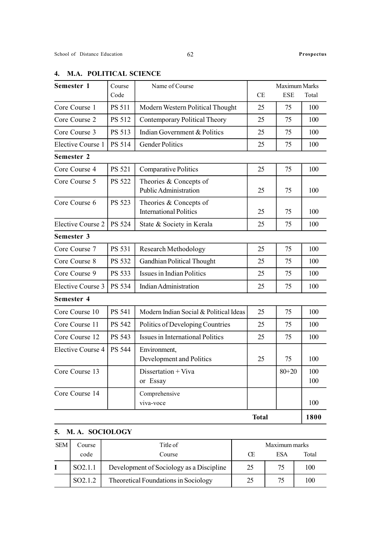| Semester 1               | Course        | Name of Course                                          |              | Maximum Marks |            |
|--------------------------|---------------|---------------------------------------------------------|--------------|---------------|------------|
|                          | Code          |                                                         | CE           | <b>ESE</b>    | Total      |
| Core Course 1            | <b>PS 511</b> | Modern Western Political Thought                        | 25           | 75            | 100        |
| Core Course 2            | PS 512        | <b>Contemporary Political Theory</b>                    | 25           | 75            | 100        |
| Core Course 3            | PS 513        | Indian Government & Politics                            | 25           | 75            | 100        |
| Elective Course 1        | PS 514        | <b>Gender Politics</b>                                  | 25           | 75            | 100        |
| Semester 2               |               |                                                         |              |               |            |
| Core Course 4            | PS 521        | Comparative Politics                                    | 25           | 75            | 100        |
| Core Course 5            | PS 522        | Theories & Concepts of<br>Public Administration         | 25           | 75            | 100        |
| Core Course 6            | PS 523        | Theories & Concepts of<br><b>International Politics</b> | 25           | 75            | 100        |
| <b>Elective Course 2</b> | PS 524        | State & Society in Kerala                               | 25           | 75            | 100        |
| Semester 3               |               |                                                         |              |               |            |
| Core Course 7            | <b>PS 531</b> | <b>Research Methodology</b>                             | 25           | 75            | 100        |
| Core Course 8            | PS 532        | Gandhian Political Thought                              | 25           | 75            | 100        |
| Core Course 9            | PS 533        | Issues in Indian Politics                               | 25           | 75            | 100        |
| Elective Course 3        | PS 534        | <b>Indian Administration</b>                            | 25           | 75            | 100        |
| Semester 4               |               |                                                         |              |               |            |
| Core Course 10           | PS 541        | Modern Indian Social & Political Ideas                  | 25           | 75            | 100        |
| Core Course 11           | PS 542        | Politics of Developing Countries                        | 25           | 75            | 100        |
| Core Course 12           | PS 543        | Issues in International Politics                        | 25           | 75            | 100        |
| Elective Course 4        | PS 544        | Environment,<br>Development and Politics                | 25           | 75            | 100        |
| Core Course 13           |               | Dissertation + Viva<br>or Essay                         |              | $80 + 20$     | 100<br>100 |
| Core Course 14           |               | Comprehensive<br>viva-voce                              |              |               | 100        |
|                          |               |                                                         | <b>Total</b> |               | 1800       |

### 4. M.A. POLITICAL SCIENCE

### 5. M. A. SOCIOLOGY

| <b>SEM</b> | Course              | Title of                                 |    | Maximum marks |       |
|------------|---------------------|------------------------------------------|----|---------------|-------|
|            | code                | Course                                   | Œ  | ESA           | Total |
|            | SO <sub>2.1.1</sub> | Development of Sociology as a Discipline | 25 | 75            | 100   |
|            | SO <sub>2.1.2</sub> | Theoretical Foundations in Sociology     | 25 | 75            | 100   |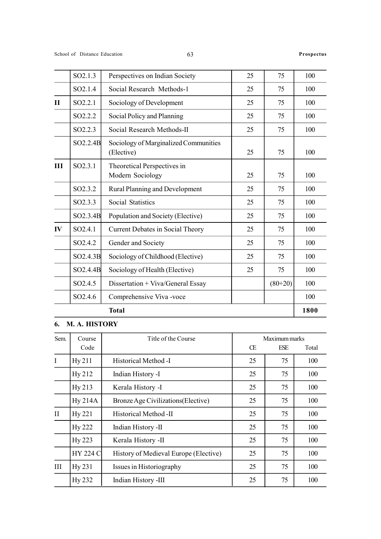|              | SO2.1.3               | Perspectives on Indian Society                      | 25 | 75        | 100  |
|--------------|-----------------------|-----------------------------------------------------|----|-----------|------|
|              | SO <sub>2.1.4</sub>   | Social Research Methods-1                           | 25 | 75        | 100  |
| $\mathbf{I}$ | SO2.2.1               | Sociology of Development                            | 25 | 75        | 100  |
|              | SO2.2.2               | Social Policy and Planning                          | 25 | 75        | 100  |
|              | SO2.2.3               | Social Research Methods-II                          | 25 | 75        | 100  |
|              | SO2.2.4B              | Sociology of Marginalized Communities<br>(Elective) | 25 | 75        | 100  |
| III          | SO2.3.1               | Theoretical Perspectives in<br>Modern Sociology     | 25 | 75        | 100  |
|              | SO <sub>2</sub> .3.2  | Rural Planning and Development                      | 25 | 75        | 100  |
|              | SO2.3.3               | Social Statistics                                   | 25 | 75        | 100  |
|              | SO2.3.4B              | Population and Society (Elective)                   | 25 | 75        | 100  |
| IV           | SO2.4.1               | Current Debates in Social Theory                    | 25 | 75        | 100  |
|              | SO <sub>2.4.2</sub>   | Gender and Society                                  | 25 | 75        | 100  |
|              | SO2.4.3B              | Sociology of Childhood (Elective)                   | 25 | 75        | 100  |
|              | SO <sub>2</sub> .4.4B | Sociology of Health (Elective)                      | 25 | 75        | 100  |
|              | SO <sub>2.4.5</sub>   | Dissertation + Viva/General Essay                   |    | $(80+20)$ | 100  |
|              | SO <sub>2.4.6</sub>   | Comprehensive Viva -voce                            |    |           | 100  |
|              |                       | <b>Total</b>                                        |    |           | 1800 |

### 6. M. A. HISTORY

| Sem.     | Course          | Title of the Course                   |    | Maximum marks |       |  |
|----------|-----------------|---------------------------------------|----|---------------|-------|--|
|          | Code            |                                       | Œ  | <b>ESE</b>    | Total |  |
| I        | Hy211           | Historical Method -I                  | 25 | 75            | 100   |  |
|          | Hy 212          | Indian History -I                     | 25 | 75            | 100   |  |
|          | Hy 213          | Kerala History -I                     | 25 | 75            | 100   |  |
|          | Hy 214A         | Bronze Age Civilizations (Elective)   | 25 | 75            | 100   |  |
| $\rm II$ | Hy 221          | Historical Method -II                 | 25 | 75            | 100   |  |
|          | <b>Hy 222</b>   | Indian History -II                    | 25 | 75            | 100   |  |
|          | Hy 223          | Kerala History -II                    | 25 | 75            | 100   |  |
|          | <b>HY 224 C</b> | History of Medieval Europe (Elective) | 25 | 75            | 100   |  |
| Ш        | Hy 231          | Issues in Historiography              | 25 | 75            | 100   |  |
|          | Hy 232          | Indian History -III                   | 25 | 75            | 100   |  |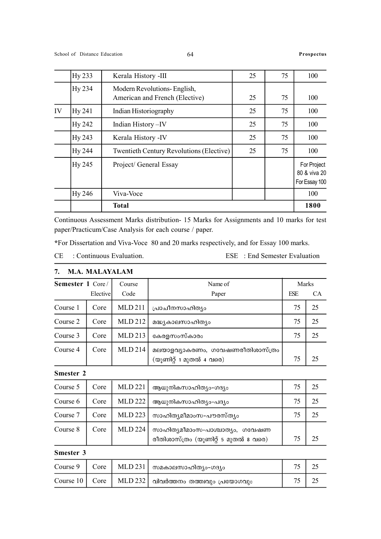|    |               | <b>Total</b>                                                  |    |    | 1800                                         |
|----|---------------|---------------------------------------------------------------|----|----|----------------------------------------------|
|    | <b>Hy 246</b> | Viva-Voce                                                     |    |    | 100                                          |
|    | Hy 245        | Project/ General Essay                                        |    |    | For Project<br>80 & viva 20<br>For Essay 100 |
|    | Hy 244        | Twentieth Century Revolutions (Elective)                      | 25 | 75 | 100                                          |
|    | Hy 243        | Kerala History -IV                                            | 25 | 75 | 100                                          |
|    | Hy 242        | Indian History-IV                                             | 25 | 75 | 100                                          |
| IV | Hy 241        | Indian Historiography                                         | 25 | 75 | 100                                          |
|    | Hy 234        | Modern Revolutions-English,<br>American and French (Elective) | 25 | 75 | 100                                          |
|    | Hy 233        | Kerala History -III                                           | 25 | 75 | 100                                          |

Continuous Assessment Marks distribution- 15 Marks for Assignments and 10 marks for test paper/Practicum/Case Analysis for each course / paper.

\*For Dissertation and Viva-Voce 80 and 20 marks respectively, and for Essay 100 marks.

```
CE : Continuous Evaluation. ESE : End Semester Evaluation
```

| <b>Semester 1 Core/</b> |          | Course        | Name of                          | Marks      |    |
|-------------------------|----------|---------------|----------------------------------|------------|----|
|                         | Elective | Code          | Paper                            | <b>ESE</b> | CA |
| Course 1                | Core     | <b>MLD211</b> | പ്രാചീനസാഹിത്യം                  | 75         | 25 |
| Course 2                | Core     | MLD 212       | മദ്ധ്യകാലസാഹിത്യം                | 75         | 25 |
| Course 3                | Core     | MLD 213       | കേരളസംസ്കാരം                     | 75         | 25 |
| Course 4                | Core     | MLD 214       | മലയാളവ്യാകരണം, ഗവേഷണരീതിശാസ്ത്രം |            |    |
|                         |          |               | (യൂണിറ്റ് 1 മുതൽ 4 വരെ)          | 75         | 25 |

### 7. M.A. MALAYALAM

Smester 2

| Course 5 | Core | <b>MLD 221</b> | ആധുനികസാഹിത്യം-ഗദ്യം                                                    | 75 | 25 |
|----------|------|----------------|-------------------------------------------------------------------------|----|----|
| Course 6 | Core | <b>MLD 222</b> | ആധുനികസാഹിത്യം-പദ്യം                                                    | 75 | 25 |
| Course 7 | Core | MLD 223        | സാഹിത്യമീമാംസ-പൗരസ്ത്യം                                                 |    |    |
| Course 8 | Core | MLD 224        | സാഹിത്യമീമാംസ-പാശ്ചാത്യം, ഗവേഷണ<br>രീതിശാസ്ത്രം (യൂണിറ്റ് 5 മുതൽ 8 വരെ) | 75 |    |

Smester 3

|  | Course 9 $\parallel$ Core $\parallel$ MLD 231 $\parallel$ സമകാലസാഹിത്യം-ഗദ്യം |  |
|--|-------------------------------------------------------------------------------|--|
|  | Course $10$   Core   MLD 232   വിവർത്തനം തത്തിവും പ്രയോഗവും                   |  |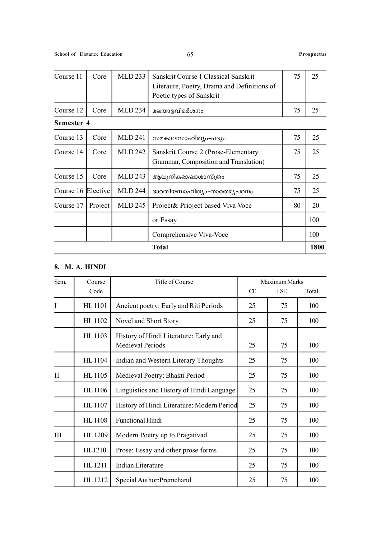| Course 11  | <b>MLD 233</b><br>Sanskrit Course 1 Classical Sanskrit<br>Core<br>Literaure, Poetry, Drama and Definitions of |                | 75                                                                           | 25 |      |
|------------|---------------------------------------------------------------------------------------------------------------|----------------|------------------------------------------------------------------------------|----|------|
|            |                                                                                                               |                | Poetic types of Sanskrit                                                     |    |      |
| Course 12  | Core                                                                                                          | <b>MLD 234</b> | മലയാളവിമർശനം                                                                 | 75 | 25   |
| Semester 4 |                                                                                                               |                |                                                                              |    |      |
| Course 13  | Core                                                                                                          | MLD 241        | സമകാലസാഹിത്യം-പദ്യം                                                          | 75 | 25   |
| Course 14  | Core                                                                                                          | <b>MLD 242</b> | Sanskrit Course 2 (Prose-Elementary<br>Grammar, Composition and Translation) | 75 | 25   |
| Course 15  | Core                                                                                                          | MLD 243        | ആധുനികഭാഷാശാസ്ത്രം                                                           | 75 | 25   |
| Course 16  | Elective                                                                                                      | <b>MLD 244</b> | ഭാരതീയസാഹിത്യം-താരതമൃപഠനം                                                    | 75 | 25   |
| Course 17  | Project                                                                                                       | <b>MLD 245</b> | Project& Prioject based Viva Voce                                            | 80 | 20   |
|            |                                                                                                               |                | or Essay                                                                     |    | 100  |
|            |                                                                                                               |                | Comprehensive Viva-Voce                                                      |    | 100  |
|            |                                                                                                               |                | <b>Total</b>                                                                 |    | 1800 |

### 8. M. A. HINDI

| Sem.         | Course        | Title of Course                                                   |    | Maximum Marks |       |
|--------------|---------------|-------------------------------------------------------------------|----|---------------|-------|
|              | Code          |                                                                   | Œ  | ESE           | Total |
| I            | HL 1101       | Ancient poetry: Early and Riti Periods                            | 25 | 75            | 100   |
|              | HL 1102       | Novel and Short Story                                             | 25 | 75            | 100   |
|              | HL 1103       | History of Hindi Literature: Early and<br><b>Medieval Periods</b> | 25 | 75            | 100   |
|              | HL 1104       | Indian and Western Literary Thoughts                              | 25 | 75            | 100   |
| $\mathbf{I}$ | HL 1105       | Medieval Poetry: Bhakti Period                                    | 25 | 75            | 100   |
|              | <b>HL1106</b> | Linguistics and History of Hindi Language                         | 25 | 75            | 100   |
|              | HL 1107       | History of Hindi Literature: Modern Period                        | 25 | 75            | 100   |
|              | <b>HL1108</b> | <b>Functional Hindi</b>                                           | 25 | 75            | 100   |
| Ш            | HL 1209       | Modern Poetry up to Pragativad                                    | 25 | 75            | 100   |
|              | HL1210        | Prose: Essay and other prose forms                                | 25 | 75            | 100   |
|              | HL 1211       | <b>Indian Literature</b>                                          | 25 | 75            | 100   |
|              | HL 1212       | Special Author: Premchand                                         | 25 | 75            | 100   |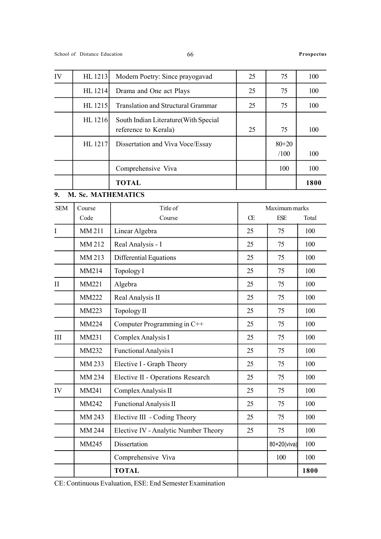| IV           | HL 1213            | Modern Poetry: Since prayogavad                              | 25 | 75                | 100   |
|--------------|--------------------|--------------------------------------------------------------|----|-------------------|-------|
|              | HL 1214            | Drama and One act Plays                                      | 25 | 75                | 100   |
|              | HL 1215            | Translation and Structural Grammar                           | 25 | 75                | 100   |
|              | HL 1216            | South Indian Literature(With Special<br>reference to Kerala) | 25 | 75                | 100   |
|              | HL 1217            | Dissertation and Viva Voce/Essay                             |    | $80 + 20$<br>/100 | 100   |
|              |                    | Comprehensive Viva                                           |    | 100               | 100   |
|              |                    | <b>TOTAL</b>                                                 |    |                   | 1800  |
| 9.           | M. Sc. MATHEMATICS |                                                              |    |                   |       |
| <b>SEM</b>   | Course             | Title of                                                     |    | Maximum marks     |       |
|              | Code               | Course                                                       | Œ  | ESE               | Total |
| I            | MM 211             | Linear Algebra                                               | 25 | 75                | 100   |
|              | MM 212             | Real Analysis - I                                            | 25 | 75                | 100   |
|              | MM 213             | Differential Equations                                       | 25 | 75                | 100   |
|              | MM214              | Topology I                                                   | 25 | 75                | 100   |
| $\mathbf{I}$ | MM221              | Algebra                                                      | 25 | 75                | 100   |
|              | <b>MM222</b>       | Real Analysis II                                             | 25 | 75                | 100   |
|              | MM223              | Topology II                                                  | 25 | 75                | 100   |
|              | MM224              | Computer Programming in C++                                  | 25 | 75                | 100   |
| III          | MM231              | Complex Analysis I                                           | 25 | 75                | 100   |
|              | MM232              | Functional Analysis I                                        | 25 | 75                | 100   |
|              | MM 233             | Elective I - Graph Theory                                    | 25 | 75                | 100   |
|              | MM 234             | Elective II - Operations Research                            | 25 | 75                | 100   |
| IV           | MM241              | Complex Analysis II                                          | 25 | 75                | 100   |
|              | MM242              | <b>Functional Analysis II</b>                                | 25 | 75                | 100   |
|              | MM 243             | Elective III - Coding Theory                                 | 25 | 75                | 100   |
|              | MM 244             | Elective IV - Analytic Number Theory                         | 25 | 75                | 100   |
|              | MM245              | Dissertation                                                 |    | 80+20(viva)       | 100   |
|              |                    | Comprehensive Viva                                           |    | 100               | 100   |
|              |                    | <b>TOTAL</b>                                                 |    |                   | 1800  |

CE: Continuous Evaluation, ESE: End Semester Examination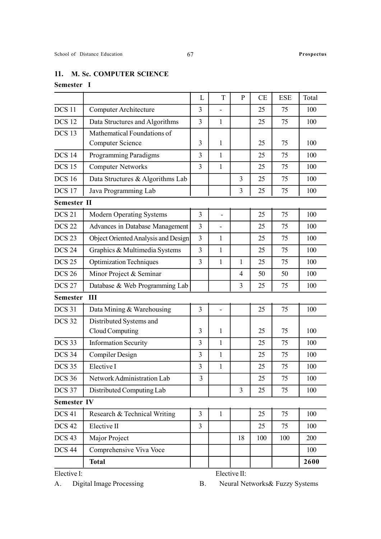### Semester I

|                    |                                                 | L                       | T            | $\mathbf{P}$   | CE  | <b>ESE</b> | Total |
|--------------------|-------------------------------------------------|-------------------------|--------------|----------------|-----|------------|-------|
| <b>DCS 11</b>      | <b>Computer Architecture</b>                    | 3                       |              |                | 25  | 75         | 100   |
| <b>DCS 12</b>      | Data Structures and Algorithms                  | $\overline{3}$          | 1            |                | 25  | 75         | 100   |
| DCS <sub>13</sub>  | Mathematical Foundations of<br>Computer Science | 3                       | $\mathbf{1}$ |                | 25  | 75         | 100   |
| <b>DCS 14</b>      | <b>Programming Paradigms</b>                    | 3                       | $\mathbf{1}$ |                | 25  | 75         | 100   |
| <b>DCS 15</b>      | <b>Computer Networks</b>                        | $\overline{3}$          | $\mathbf{1}$ |                | 25  | 75         | 100   |
| <b>DCS 16</b>      | Data Structures & Algorithms Lab                |                         |              | $\overline{3}$ | 25  | 75         | 100   |
| <b>DCS 17</b>      | Java Programming Lab                            |                         |              | 3              | 25  | 75         | 100   |
| <b>Semester II</b> |                                                 |                         |              |                |     |            |       |
| <b>DCS 21</b>      | <b>Modern Operating Systems</b>                 | 3                       |              |                | 25  | 75         | 100   |
| <b>DCS 22</b>      | Advances in Database Management                 | 3                       |              |                | 25  | 75         | 100   |
| DCS <sub>23</sub>  | Object Oriented Analysis and Design             | 3                       | $\mathbf{1}$ |                | 25  | 75         | 100   |
| <b>DCS 24</b>      | Graphics & Multimedia Systems                   | 3                       | 1            |                | 25  | 75         | 100   |
| <b>DCS 25</b>      | <b>Optimization Techniques</b>                  | 3                       | $\mathbf{1}$ | $\mathbf{1}$   | 25  | 75         | 100   |
| <b>DCS 26</b>      | Minor Project & Seminar                         |                         |              | $\overline{4}$ | 50  | 50         | 100   |
| <b>DCS 27</b>      | Database & Web Programming Lab                  |                         |              | 3              | 25  | 75         | 100   |
| <b>Semester</b>    | Ш                                               |                         |              |                |     |            |       |
| <b>DCS 31</b>      | Data Mining & Warehousing                       | 3                       |              |                | 25  | 75         | 100   |
| <b>DCS 32</b>      | Distributed Systems and<br>Cloud Computing      | 3                       | $\mathbf{1}$ |                | 25  | 75         | 100   |
| <b>DCS 33</b>      | <b>Information Security</b>                     | 3                       | $\mathbf{1}$ |                | 25  | 75         | 100   |
| <b>DCS 34</b>      | <b>Compiler Design</b>                          | 3                       | $\mathbf{1}$ |                | 25  | 75         | 100   |
| DCS 35             | Elective I                                      | 3                       | $\mathbf{1}$ |                | 25  | 75         | 100   |
| <b>DCS 36</b>      | Network Administration Lab                      | $\overline{\mathbf{3}}$ |              |                | 25  | 75         | 100   |
| DCS 37             | Distributed Computing Lab                       |                         |              | $\overline{3}$ | 25  | 75         | 100   |
| <b>Semester IV</b> |                                                 |                         |              |                |     |            |       |
| <b>DCS 41</b>      | Research & Technical Writing                    | 3                       | $\mathbf{1}$ |                | 25  | 75         | 100   |
| <b>DCS 42</b>      | Elective II                                     | 3                       |              |                | 25  | 75         | 100   |
| DCS <sub>43</sub>  | Major Project                                   |                         |              | 18             | 100 | 100        | 200   |
| <b>DCS 44</b>      | Comprehensive Viva Voce                         |                         |              |                |     |            | 100   |
|                    | <b>Total</b>                                    |                         |              |                |     |            | 2600  |
| Elective I:        |                                                 |                         |              | Elective II:   |     |            |       |

A. Digital Image Processing B. Neural Networks& Fuzzy Systems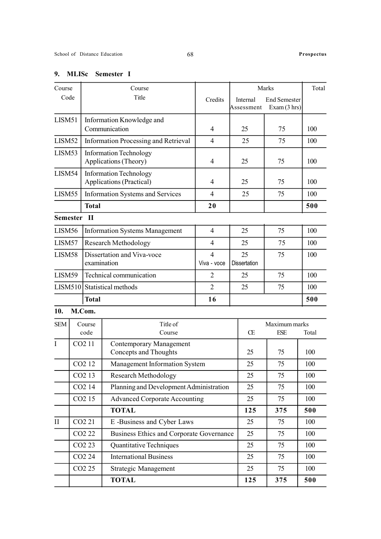### 9. MLISc Semester I

| Course<br>Course   |                    |                                                               | Marks                                                          |                               | Total                     |                              |       |
|--------------------|--------------------|---------------------------------------------------------------|----------------------------------------------------------------|-------------------------------|---------------------------|------------------------------|-------|
| Code               |                    |                                                               | Title                                                          | Credits                       | Internal<br>Assessment    | End Semester<br>Exam (3 hrs) |       |
| LISM51             |                    |                                                               | Information Knowledge and                                      |                               |                           |                              |       |
|                    |                    |                                                               | Communication                                                  | $\overline{4}$                | 25                        | 75                           | 100   |
| LISM52             |                    |                                                               | <b>Information Processing and Retrieval</b>                    | $\overline{4}$                | 25                        | 75                           | 100   |
| LISM53             |                    |                                                               | <b>Information Technology</b><br>Applications (Theory)         | 4                             | 25                        | 75                           | 100   |
| LISM54             |                    |                                                               | <b>Information Technology</b><br>Applications (Practical)      | $\overline{4}$                | 25                        | 75                           | 100   |
| LISM55             |                    |                                                               | Information Systems and Services                               | 4                             | 25                        | 75                           | 100   |
|                    |                    | <b>Total</b>                                                  |                                                                | 20                            |                           |                              | 500   |
| <b>Semester</b>    |                    | Ш                                                             |                                                                |                               |                           |                              |       |
| LISM <sub>56</sub> |                    |                                                               | <b>Information Systems Management</b>                          | $\overline{4}$                | 25                        | 75                           | 100   |
| LISM57             |                    |                                                               | <b>Research Methodology</b>                                    | $\overline{4}$                | 25                        | 75                           | 100   |
| LISM58             |                    |                                                               | Dissertation and Viva-voce<br>examination                      | $\overline{4}$<br>Viva - voce | 25<br><b>Dissertation</b> | 75                           | 100   |
| LISM59             |                    |                                                               | Technical communication                                        | 2                             | 25                        | 75                           | 100   |
| <b>LISM510</b>     |                    |                                                               | Statistical methods                                            | $\overline{2}$                | 25                        | 75                           | 100   |
|                    |                    | <b>Total</b>                                                  |                                                                | 16                            |                           |                              |       |
| 10.                |                    | M.Com.                                                        |                                                                |                               |                           |                              |       |
| <b>SEM</b>         |                    | Title of<br>Course<br>code<br>Course                          |                                                                |                               | Œ                         | Maximum marks<br><b>ESE</b>  | Total |
| I                  |                    | CO <sub>2</sub> 11                                            | <b>Contemporary Management</b><br><b>Concepts and Thoughts</b> | 25<br>75                      |                           |                              | 100   |
|                    | CO <sub>2</sub> 12 |                                                               | Management Information System                                  |                               |                           | 75                           | 100   |
|                    |                    | CO <sub>2</sub> 13                                            | <b>Research Methodology</b>                                    |                               | 25                        | 75                           | 100   |
|                    |                    | Planning and Development Administration<br>CO <sub>2</sub> 14 |                                                                |                               | 25                        | 75                           | 100   |
|                    |                    | CO <sub>2</sub> 15                                            | <b>Advanced Corporate Accounting</b>                           |                               | 25                        | 75                           | 100   |
|                    |                    |                                                               | <b>TOTAL</b>                                                   |                               | 125                       | 375                          | 500   |
| $\mathbf{I}$       |                    | CO <sub>2</sub> 21                                            | E-Business and Cyber Laws                                      |                               | 25                        | 75                           | 100   |
|                    | CO <sub>2</sub> 22 |                                                               | Business Ethics and Corporate Governance                       |                               | 25                        | 75                           | 100   |
|                    |                    | CO <sub>2</sub> 23                                            | Quantitative Techniques                                        |                               | 25                        | 75                           | 100   |
|                    | CO <sub>2</sub> 24 |                                                               | <b>International Business</b>                                  |                               | 25                        | 75                           | 100   |
|                    |                    | CO <sub>2</sub> 25                                            | Strategic Management                                           |                               | 25                        | 75                           | 100   |
|                    |                    |                                                               | <b>TOTAL</b>                                                   |                               | 125                       | 375                          | 500   |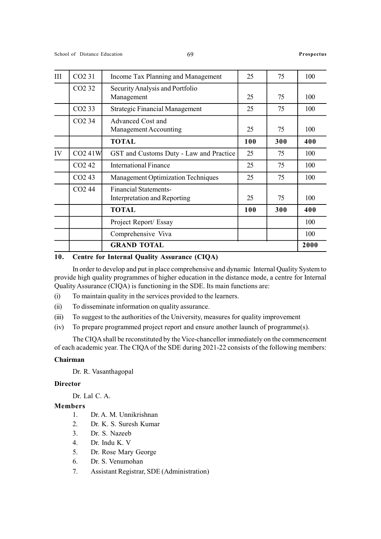| III | CO <sub>2</sub> 31 | Income Tax Planning and Management                           | 25  | 75  | 100  |
|-----|--------------------|--------------------------------------------------------------|-----|-----|------|
|     | CO <sub>2</sub> 32 | Security Analysis and Portfolio<br>Management                | 25  | 75  | 100  |
|     | CO <sub>2</sub> 33 | <b>Strategic Financial Management</b>                        | 25  | 75  | 100  |
|     | CO <sub>2</sub> 34 | Advanced Cost and<br>Management Accounting                   | 25  | 75  | 100  |
|     |                    | <b>TOTAL</b>                                                 | 100 | 300 | 400  |
| IV  | CO241W             | GST and Customs Duty - Law and Practice                      | 25  | 75  | 100  |
|     | CO <sub>2</sub> 42 | International Finance                                        | 25  | 75  | 100  |
|     | CO <sub>2</sub> 43 | <b>Management Optimization Techniques</b>                    | 25  | 75  | 100  |
|     | CO <sub>2</sub> 44 | <b>Financial Statements-</b><br>Interpretation and Reporting | 25  | 75  | 100  |
|     |                    | <b>TOTAL</b>                                                 | 100 | 300 | 400  |
|     |                    | Project Report/ Essay                                        |     |     | 100  |
|     |                    | Comprehensive Viva                                           |     |     | 100  |
|     |                    | <b>GRAND TOTAL</b>                                           |     |     | 2000 |

### 10. Centre for Internal Quality Assurance (CIQA)

In order to develop and put in place comprehensive and dynamic Internal Quality System to provide high quality programmes of higher education in the distance mode, a centre for Internal Quality Assurance (CIQA) is functioning in the SDE. Its main functions are:

(i) To maintain quality in the services provided to the learners.

(ii) To disseminate information on quality assurance.

(iii) To suggest to the authorities of the University, measures for quality improvement

(iv) To prepare programmed project report and ensure another launch of programme(s).

The CIQA shall be reconstituted by the Vice-chancellor immediately on the commencement of each academic year. The CIQA of the SDE during 2021-22 consists of the following members:

### Chairman

Dr. R. Vasanthagopal

### **Director**

Dr. Lal C. A.

### Members

- 1. Dr. A. M. Unnikrishnan
- 2. Dr. K. S. Suresh Kumar
- 3. Dr. S. Nazeeb
- 4. Dr. Indu K. V
- 5. Dr. Rose Mary George
- 6. Dr. S. Venumohan
- 7. Assistant Registrar, SDE (Administration)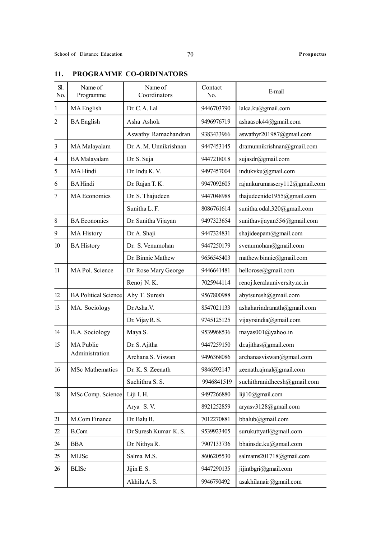# Sl. Name of Name of Contact No. Programme Coordinators No. E-mail 1 MA English Dr. C. A. Lal 9446703790 lalca.ku@gmail.com 2 BA English Asha Ashok 9496976719 ashaasok44@gmail.com Aswathy Ramachandran | 9383433966 | aswathyr201987@gmail.com 3 MA Malayalam Dr. A. M. Unnikrishnan 9447453145 dramunnikrishnan@gmail.com 4 BA Malayalam Dr. S. Suja 9447218018 sujasdr@gmail.com 5 MA Hindi Dr. Indu K. V. 9497457004 indukvku@gmail.com 6 BA Hindi Dr. Rajan T. K. 9947092605 rajankurumassery $112@g$ mail.com 7 MA Economics Dr. S. Thajudeen 9447048988 thajudeenide1955@gmail.com Sunitha L. F. 1999 | 8086761614 | sunitha.odal.320@gmail.com 8 BA Economics Dr. Sunitha Vijayan 9497323654 sunithavijayan556@gmail.com 9 | MA History | Dr. A. Shaji | 9447324831 | shajideepam@gmail.com 10 BA History Dr. S. Venumohan 9447250179 svenumohan@gmail.com Dr. Binnie Mathew 9656545403 | mathew.binnie@gmail.com 11 MA Pol. Science Dr. Rose Mary George 9446641481 hellorose@gmail.com Renoj N. K. 17025944114 renoj.keralauniversity.ac.in 12 BA Political Science Aby T. Suresh 9567800988 abytsuresh@gmail.com 13 | MA. Sociology | Dr.Asha.V. | 8547021133 | ashaharindranath@gmail.com Dr. Vijay R. S.  $9745125125$  vijayrsindia@gmail.com 14 B.A. Sociology Maya S. 9539968536 mayas001@yahoo.in 15 MA Public Dr. S. Ajitha 9447259150 dr.ajithas@gmail.com Administration Archana S. Viswan 9496368086 archanasviswan@gmail.com 16 MSc Mathematics Dr. K. S. Zeenath 9846592147 zeenath.ajmal@gmail.com Suchithra S. S. 9946841519 suchithranidheesh $@g$ mail.com 18 MSc Comp. Science Liji I. H. 9497266880 liji10@gmail.com Arya S.V. 8921252859 | aryasv3128@gmail.com 21 M.Com Finance Dr. Balu B. 7012270881 bbalub@gmail.com 22 B.Com Dr. Suresh Kumar K. S. 9539923405 surukuttvatl@gmail.com 24 BBA Dr. Nithya R. 7907133736 bbainsde.ku@gmail.com 25 | MLISc | Salma M.S. | 8606205530 | salmams201718@gmail.com 26 BLISc Jijin E.S. 9447290135 iijintbgri@gmail.com Akhila A. S. 19946790492 asakhilanair@gmail.com

### 11. PROGRAMME CO-ORDINATORS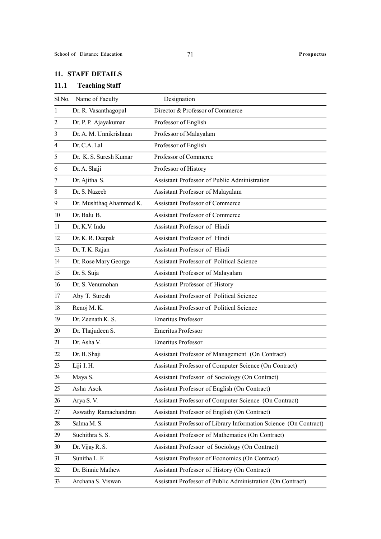### 11. STAFF DETAILS

## 11.1 Teaching Staff

|    | Sl.No. Name of Faculty  | Designation                                                      |
|----|-------------------------|------------------------------------------------------------------|
| 1  | Dr. R. Vasanthagopal    | Director & Professor of Commerce                                 |
| 2  | Dr. P. P. Ajayakumar    | Professor of English                                             |
| 3  | Dr. A. M. Unnikrishnan  | Professor of Malayalam                                           |
| 4  | Dr. C.A. Lal            | Professor of English                                             |
| 5  | Dr. K. S. Suresh Kumar  | Professor of Commerce                                            |
| 6  | Dr. A. Shaji            | Professor of History                                             |
| 7  | Dr. Ajitha S.           | Assistant Professor of Public Administration                     |
| 8  | Dr. S. Nazeeb           | Assistant Professor of Malayalam                                 |
| 9  | Dr. Mushthaq Ahammed K. | Assistant Professor of Commerce                                  |
| 10 | Dr. Balu B.             | <b>Assistant Professor of Commerce</b>                           |
| 11 | Dr. K.V. Indu           | Assistant Professor of Hindi                                     |
| 12 | Dr. K. R. Deepak        | Assistant Professor of Hindi                                     |
| 13 | Dr. T. K. Rajan         | Assistant Professor of Hindi                                     |
| 14 | Dr. Rose Mary George    | Assistant Professor of Political Science                         |
| 15 | Dr. S. Suja             | Assistant Professor of Malayalam                                 |
| 16 | Dr. S. Venumohan        | Assistant Professor of History                                   |
| 17 | Aby T. Suresh           | Assistant Professor of Political Science                         |
| 18 | Renoj M.K.              | Assistant Professor of Political Science                         |
| 19 | Dr. Zeenath K. S.       | <b>Emeritus Professor</b>                                        |
| 20 | Dr. Thajudeen S.        | <b>Emeritus Professor</b>                                        |
| 21 | Dr. Asha V.             | <b>Emeritus Professor</b>                                        |
| 22 | Dr. B. Shaji            | Assistant Professor of Management (On Contract)                  |
| 23 | Liji I.H.               | Assistant Professor of Computer Science (On Contract)            |
| 24 | Maya S.                 | Assistant Professor of Sociology (On Contract)                   |
| 25 | Asha Asok               | Assistant Professor of English (On Contract)                     |
| 26 | Arya S.V.               | Assistant Professor of Computer Science (On Contract)            |
| 27 | Aswathy Ramachandran    | Assistant Professor of English (On Contract)                     |
| 28 | Salma M.S.              | Assistant Professor of Library Information Science (On Contract) |
| 29 | Suchithra S. S.         | Assistant Professor of Mathematics (On Contract)                 |
| 30 | Dr. Vijay R. S.         | Assistant Professor of Sociology (On Contract)                   |
| 31 | Sunitha L. F.           | Assistant Professor of Economics (On Contract)                   |
| 32 | Dr. Binnie Mathew       | Assistant Professor of History (On Contract)                     |
| 33 | Archana S. Viswan       | Assistant Professor of Public Administration (On Contract)       |